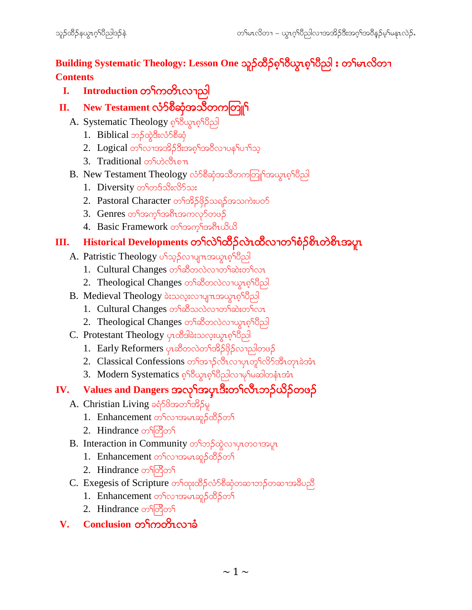Building Systematic Theology: Lesson One သူဉ်ထိဉ်စ<sup>ှ</sup>ဂြိယ္နာစ်<sup>ဂြ</sup>တ္တါ : တ<sup>ှ</sup>မာလိတ္ **Contents**

**I. Introduction** တ<sup>ှ</sup>ကတိၤလၢညါ

### **II.** New Testament လံၥ်စီဆုံအသိတကတြူ<sup>န</sup>

- A. Systematic Theology *ရ*ှိဝိယ္စာရှိပြီည
	- 1. Biblical ဘ $\beta$ ထဲ့ဒီးလံ $\delta$ စီဆုံ
	- $2.$  Logical တ႑လၢအအိဉ်ဒီးအစ္န1်အဝိလၢပန1ပောါသူ
	- 3. Traditional <sub>of v</sub>ooton
- B. New Testament Theology လံာ်စိဆုံအသိတကတြူ<sup>ရ</sup>အယွာစ့<sup>၎</sup>ပီည
	- 1. Diversity တ<sup>ှ</sup>တ§သိးလိ်သး
	- 2. Pastoral Character တ<sup>ှ</sup>အိဉ်ဖိုဉ်သရဉ်အသကဲးပဝဉ်
	- 3. Genres တ<sup>ရ</sup>အက္ခါအစီးအကလုာ်တဖဉ်
	- 4. Basic Framework တ<sup>ှ</sup>အက္ခါအရီးယိယ်

### **III. Historical Developments တ<sup>ှ</sup>လဲ<sup>န</sup>တို**လဲထိလၢတ**်**စံဉ်စိုးတဲစိုးအပူး

- A. Patristic Theology ပါသူဉ်လာပျπအယွာစ့<sup>ရ</sup>ပီညါ
	- 1. Cultural Changes တ<sup>ှ</sup>ဆီတလဲလၢတ<sup>ှ</sup>ဆဲးတ<sup>ှ</sup>လၤ
	- 2. Theological Changes တ<sup>ှ</sup>ဆီတလဲလာယွာစ<sup>ှ</sup>ပြီညါ
- B. Medieval Theology ခဲးသလုံးလာပျπအယွာစ့<sup>ရ</sup>ပိည
	- 1. Cultural Changes တ<sup>ရ</sup>ဆီသလဲလၢတ<sup>ရှ</sup>ဆဲးတ<sup>ရ</sup>လာ
	- $2.$  Theological Changes တ<sup>၎</sup>ဆီတလဲလၢယွာစွ<sup>၎</sup>ပိညါ
- C. Protestant Theology ပုၤထိဒါခဲးသလူးယွπၵ့<sup>ရ</sup>ပိညါ
	- 1. Early Reformers ပုၤဆီတလဲတ<sup>ှ</sup>အိဉ်ဖိုဉ်လျညါတဖဉ်
	- 2. Classical Confessions w>ft>.fvDRv>ySRwl>fvdmftDRwkRcJtHR
	- 3. Modern Systematics ၈ှါo လွှာလေသိုလ်ခြင်္ခရာ အောက်

## **IV.** Values and Dangers အလုိအပုံးဒီးတ<sup>ှ</sup>လီးဘဉ်ယိဉ်တဖဉ်

- A. Christian Living ခရံ $58$ အတ<sup>ှ</sup>အိ $5\%$ 
	- $1.$  Enhancement တ<sup>ှ</sup>လၢအမၤဆူဉ်ထိဉ်တ<sup>ှ</sup>
	- 2. Hindrance  $\infty$ ြတိုတ
- B. Interaction in Community တ<sup>ှ</sup>တဉ်ထွဲလျေပုလေသေမှု
	- 1. Enhancement တ<sup>ှ</sup>လၢအမာဆူဉ်ထိဉ်တျ
	- 2. Hindrance တ<sup>ှ</sup>တြိတ်
- $C.$  Exegesis of Scripture တၫ်ထုးထိဉ်လံာ်စီဆုံတဆၢဘဉ်တဆၢအခ်ီပညီ
	- 1. Enhancement တ<sup>ှ</sup>လၢအမာဆူဉ်ထိဉ်တ<sup>ှ</sup>
	- 2. Hindrance တ<sup>ှ</sup>တြိတ်

#### $V.$  **Conclusion** တ<sup>ြ</sup>ကတိၤလၢခံ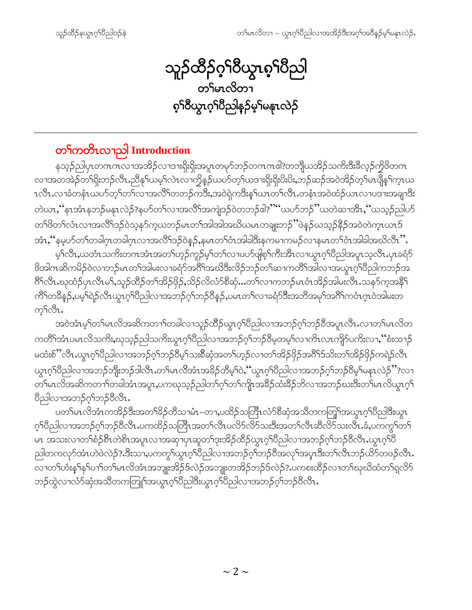သူဉ်ထိဉ်ဂ့<sup>၎</sup>ဝိယ္ပၤစ့<sup>၎</sup>ပိညါ တ်မာလိတ္ <mark>၈့</mark>าဝီယွာက်ပြည်နဉ်မှာ်မနာလဲဉ်

## တ<sup>ှ</sup>ကတိၤလၫညါ Introduction

နသ့ဉ်ညါပှၤတဂၤဂၤလၢအအိဉ်လၢဒၢးရိုးရိုးအပူၤတမုာ်ဘဉ်တဂၤဂၤဇါ?တဘိျီယအိဉ်သက်းဒီးခ်ီလ့ဉ်ကွိဖိတဂၤ လၫအတအဲဉ်တၫ်ရိုးဘဉ်လီၤ.ညီနု၊်ယမ့၊်လဲၤလၤက္ခိနဉ်ယဟ်တ့၊်ယဒၢးရိုးရိုးပိးပိး,ဘဉ်ဆဉ်အဝဲအိဉ်တ့၊်မၤပျိန၊်က္ၤယ တဲယာႇိနၤအံၤနဘဉ်မနုၤလဲဉ်?နဟ်တၫ်လၢအလိၤ်အကျဲဒဉ်ဝဲတဘဉ်ဓါ?"ိယတ်ဘဉ်"ယတဲဆၢအိၤႇိယသူဉ်ညါဟ် တၫိဖိတ႑်လုံးလၤအထွ႕အပွဲတံ့ဗ်ညံကံကာသည္။ ထဉ္မဆုံအရွာအက္လက္ေလး။ သမ္းသည္အမွတ္တယ္ အဆက္ဆက္မ်ားက ဥ အံၤႇဴနမ့ပာ်တၫ်တခါဂူၤတခါဂူၤလၢအလိ႑်ဒဉ်ဝဲနဉ်ႇနမၤတ႑်ဝံၤအါခါဒီးနကမၢကမဉ်လၢနမၤတ႑်ဝံၤအါခါအဃိလီၤ''.

မ့်ၫလီၤႇယတံၤသက်ိးတဂၤအံၤအတ႑်ဟ့ဉ်ကူဉ်မ့ှ၊တ႑လၢပဟ်ဖျစ့်ၫက်ိးအီၤလၢယ္ပၤဂ့ၫ်ပိညါအပူၤသ့လီၤ.ပှၤခရံှာ် .<br>ဗိုဒာါကဆိကမိဉ်ဝဲလၢဘဉ်မၤတၫ်အါမးလၢခရာ်အင်္ဂါအဃိဒီးလိဉ်ဘဉ်တ႑်ဆၢကတိ႑်အါလၢအယွာဂ့ၢိပိညါကဘဉ်အ ဂြိးလီး ဃုထံဉ်ပှၤလီးမ<sup>ှ</sup>ညှေဉ်ထိဉ်တ<sup>ှ</sup>အိဉ်ဖှိဉ်,သိဉ်လိလံာ်စီဆုံ…တ်လၢကဘဉ်မၤဝံၤအိဉ်အါမးလီး သန5်က့အနိ<sup>၎</sup> ကိ်ါတခ်ိန္3်,ပမ့်ရြဲဉ်လီၤယွၤဂ့ါပီညါလၫအဘဉ်ဂ့ါဘဉ်ဝိန္ဉ်,ပမၤတၤ်လၢခရံဉ်ဒီးအဘိအမု၊်အဂိါကဝံၤဂ့ၤဝဲအါမးတ က့¶လီၤ.

အဝဲအံၤမ့္ပ်ားမၤလိအဆိကတ႑)တခါလ႑သူဉ်ထိိဉ်ယွၤဂ့္ပ်ပြညါလ႑အဘဉ်ဂ့္ပ်ဘဉ်၀ိအပူၤလီၤ.လ႑တ႑်မၤလိတ ကတိႝၤ်အာၤပမၤလိသကိႏႇဃုသုဉ်ညါသကိႏယ္ပၤဂ့ၤ်ဝိညါလၤအဘဉ်ဂ့ၤ်ဘဉ်ဝိမ့တမ့ၤ်လၤကိၤလၤကျိဉ်ပကိႏလၢႇ''စံးထ႑ဉ် မထံးစ်ိႛလီၤႉယွၤဂ့ၢိပဵညါလၫအဘဉ်ဂ့ၢ်ဘဉ်ဝီမ့ၢ်သးစီဆုံအတၢ်ဟ့ဉ်လၫတၢ်အိဉ်ဖိုဉ်အဂဵိၢ်ဒ်သိးတၢ်အိဉ်ဖိုဉ်ကရဲဉ်လီၤ ယွၤဂ့ၫ်ပိညါလၫအဘဉ်ဘိုုးဘဉ်ဒါလီၤႉတ႑်မၤလိအံၤအခိဉ်တိမ့ၫ်၀ဲ,''ယွၤဂ့ၫ်ပိညါလၫအဘဉ်ဂ့ၫ်ဘဉ်ပိမ့ၫ်မနၤလဲဉ်''?လ႑ တ်ရမာလိအဆိကတၫ်ာတခါအံံာအပူာႇပကဃုသုဉ်ညါတၫ်ဂ့ၫ်တၫ်ကျာအခိဉ်ထီးခိဉ်ဘိလၫအဘဉ်ဃးဒီးတၫ်မာလိယွာဂ့ၫ် ပြီညါလၫအဘဉ်ဂ့ౕၢဘဉ်ပီလီၤ.

ပတ႑်မၤလိအံၤကအိဉ်ဒီးအတ႑်ခိဉ်တိသ႑မံၤ–တ႑ႇပထိဉ်သတြိၤလံာ်စိဆုံအသိတကတြူ အယွာၤဂ့ၤ်ဝိညါဒီးယွာ ့ဂ်ပီညါလၢအဘဉ်ဂ့ါဘဉ်8လီၤ.ပကထိဉ်သတြီၤအတ႑်လီၤပလိဉ်လိဉ်သးဒီးအတ႑်လီၤဆီလိဉ်သးလီၤ.ခံ,ပကကွြတ႑် မၤ အသးလၫတၫ်စံဉ်စိၤတဲစိၤအပူၤလၫအဆု႑ပုၤဆူတ႑်ဒုးအိဉ်ထိဉ်ယွπဂ္ဂၢိပိညါလၫအဘဉ်ဂ့ၢ်ဘဉ်ဝိလိၤႉယွπဂ္ဂၢိပိ ညါတကလုၥ်အံၤဟဲဖဲလဲဉ် $\mathbf{?}$ းဒီးသ႑ပကကွ<sup>ရ်</sup>ယွၤဂ္ဂ<sup>ရိ</sup>ပြညါလၫအဘဉ်ဂ့ၢ်ဘဉ်၀ိအလုၢ်အပ္ $\mathbf{r}$ ဒီးတ႑်လီၤဘဉ်ယိဉ်တဖဉ်လီၤ $\mathbf{.}$ လၢတၫ်ဟံးနှၤ်နှၤ်ပၢ႑်တ႑်မၤလိအံၤအဘျုးအိဉ်§လဲဉ်အဘျုးတအိဉ်ဘဉ်§လဲဉ်? ပကစးထိဉ်လၢတ႑်ဃုဃိထံတ႑်ရှလိဉ် ဘဉ်ထွဲလၫလံာ်ဆုံအသိတကတြူ<sup>ရ</sup>အယွπဂ့<sup>ရ</sup>ပီည<sup>ျ</sup>ဒီးယွπဂ့<sup>ရု</sup>ပီညါလၫအဘဉ်ဂ့<sup>ရ</sup>ဘဉ်ဝီလီၤ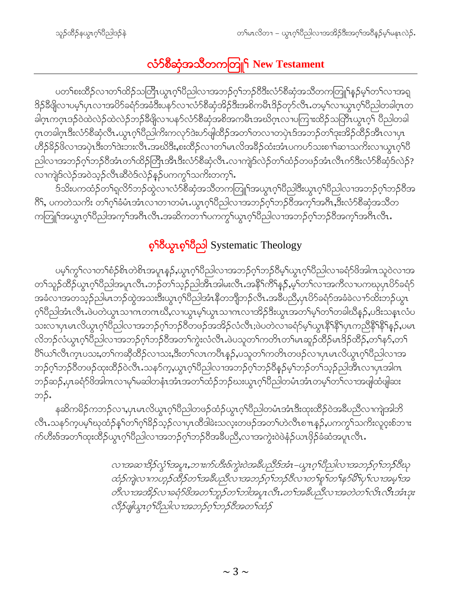# လံာ်စိဆုံအသိတကတြူ<sup>၎</sup> New Testament

ပတၫ်စးထိဉ်လၢတၫ်ထိဉ်သတြိၤယွၤဂ့ၢ်ပိညါလၢအဘဉ်ဂ့ၢ်ဘဉ်ပိဒိးလံာ်စိဆုံအသိတကတြူၫ်နဉ်မှၢ်တၫလၢအရျ ဒိဉ်နီဖျိလၢပမ့်္ျာလၢအပိဉ်ခရံဉ်အခံဒီးပနာ်လၢလံာ်စီဆုံအိဉ်ဒီးအစိကမီၤဒိဉ်တုာ်လီၤ.တမ့်္ျလာယွၤဂ့်္ျပဳညါတခါဂ္ၤတ ခါဂုၤကဂ္ၤဒဉ်ဝဲထဲလဲဉ်ထဲလဲဉ်ဘဉ်ခီဖျိလၤပနဉ်လံဉ်စီဆုံအစိအကမီၤအဃိဂ္ၤလၤပကြၢးထိဉ်သတြိၤယွၤဂ့ၢ် ပီညါတခါ ဂ္ၤတခါဂ္ၤဒီးလံာ်စီဆုံလီၤ.ယွၤဂ့ါပီညါကိႏကလုာ်ဒဲးပာ်ဖျါထိဉ်အတ႑်တလၢတပှဲၤဒ်အဘဉ်တ႑်ဒုးအိဉ်ထိဉ်အိၤလၢပှၤ ဟိဉ်<sup>8</sup>ဉ်<sup>8</sup>လၫအပုံၤဒီးတၫ်ဒဲးဘးလီၤ.အဃိဒိ<mark>း,</mark>စးထိဉ်လၢတၫ်မၤလိအခ်ိဉ်ထံးအံၤပကပဉ်သးစၫၫ်ဆၫသကိုးလၫယွၤဂ့ၫ်ပိ ညါလၢအဘဉ်ဂ့ၢ်ဘဉ်၀ိအံၤတၢ်ထိဉ်တြိၤအိၤဒီးလံာ်စိဆုံလီၤႉလၢကျဲဒ်လဲဉ်တၢ်ထံဉ်တဖဉ်အံၤလီၤက်ဒီးလံာ်စိဆုံဒ်လဲဉ်? လၢကျဲဒ်လဲဉ်အဝဲသ့ဉ်လီၤဆိဝဲဒ်လဲဉ်နဉ်ပကကွ ်သက်ိးတက့ ်၊

ဒ်သိးပကထံဉ်တ႑်ရလိာ်ဘဉ်ထွဲလ႑လံာ်စိဆုံအသိတကတြူြအယွာဂ့ၫ်ပိညါဒီးယွာဂ့ၫ်ပိညါလ႑အဘဉ်ဂ့႑်ဘဉ်ပိအ ား<br>ကြီး ပကတဲသကိုး တၫ်ဂ့်ၫ်ခံမံၤအံၤလၢတၢတမံၤ.ယွၤဂ့ၢိပိညါလၢအဘဉ်ဂ့်ၫဘဉ်ဝိအကဲ့ၫ်အဂ်ိၤ,ဒီးလံာ်စီဆုံအသိတ ကတြူြအယွာဂ့်္ဂါပိညါအက့်္ဂါအဂ်ီလီၤ.အဆိကတ႑်ပကက္ဂြါယွာဂ့်္ဂါပိညါလ႑အဘဉ်ဂ့္ဂ်ဘဉ်ဝိအက့်္ဂါအဂ်ီၤလီၤ.

### စွ<sup>ရှ</sup>ပွဲယာစွ<sup>ရှ</sup>ပြီညါ Systematic Theology

ပမ့််ကွှ်လၢတၢ်စံဉ်စိၤတဲစိၤအပူၤန္ဉာဴ,ယွၤဂ့်္ဂါပီညါလၢအဘဉ်ဂ့်္ဂဘဉ်ဝီမ့်္ဂယွၤဂ့်္ဂါပီညါလၢခရံှာ်ဖိအါဂၤသူဝဲလၢအ တၫ်သူဉ်ထိဉ်ယွπဂ့ၢိပိညါအပူπလီၤ.ဘဉ်တ႑်သူဉ်ညါအီၤအါမးလီၤ.အနိ<sup>႖</sup>ကိ႖်နှဉ်,မ္ဒ၊်တ႑်လၤအကီလၤပကဃုပှၤပိဉ်ခရံဉ် အခံလၢအတသုဉ်ညါမၤဘဉ်ထွဲအသးဒီးယွၤဂ့ၢိပိညါအံၤနိတဘျိဘဉ်လီၤ.အနီပညိႇပှၤပိဉ်ခရံဉ်အခံခဲလၢာ်ထိးဘဉ်ယွၤ ဂ့်္ဂါတ္ခါအံၤလီၤ.ဖဲပတဲယွၤသၢဂၤတဂၤဃိဳ,လၢယွၤမ့္ပ်ယ္ဂၤသၢဂၤလၢအိဉ်ဒီးယွၤအတ႑်မ့္ပ်တ႑်တခါဃိန္ဉ်,ပဒိးသန္ၤလံပ သးလၢပုၤမၤလိယ္ငၤဂ့်ၢိ၀ိညါလၢအဘဉ်ဂ့်ၫဘဉ်၀ိတဖဉ်အအိဉ်လံလီၤ;ဖဲပတဲလၢခရံဉ်မ့္ပ်ယ္ဂၤနို်နီ်ျပုၤကညီနိ်ၤနိ်းန္ ဉ်ႇပမၤ လိဘဉ်လံယွၤဂ့<sup>ရာ</sup>ပြညါလၢအဘဉ်ဂ့<sup>ရ</sup>ဘဉ်ဝိအတ<sup>ရ</sup>ကွဲးလံလီၤ.ဖဲပသူတ<sup>ရ</sup>ကတိၤတ<sup>ရ</sup>မၤဆူဉ်ထိဉ်မၤဒိဉ်ထိဉ်,တ<sup>ရ</sup>နာ်,တ<sup>ရ</sup> ပြီးယ႑်လီးက္နာပသး,တ႑်ကဆိုထိဉ်လၫသး,ဒီးတ႑်လၤကပီးနှဉ်,ပသူတ႑်ကတိၤတဖဉ်လ႑ပ္႑မၢလိယ္မွာဂ္<sup>ရ</sup>ပီညါလၫအ ဘဉ်ဂ့ၢ်ဘဉ်၀ိတဖဉ်ထုးထိဉ်၀ဲလီၤ.သန5က့,ယွၤဂ့ၢ်ပိညါလၢအဘဉ်ဂ့ၢ်ဘဉ်၀ိန္ဉာမ့ၢ်ဘဉ်တၢ်သ့ဉ်ညါအီၤလၢပှၤအါဂၤ ဘဉ်ဆဉ်,ပှၤခရံဉ်<sup>ဖွဲ့</sup>အါဂၤလၢမုၫ်မဆါတနံၤအံၤအတ<sup>ြ</sup>ထံဉ်ဘဉ်ဃးယွၤဂ့ၫ်ပီညါတမံၤအံၤတမ့ၫ်တ႑်လၢအဖျါထံဖျါဆး ဘဉ်.

နဆိကမိဉ်ကဘဉ်လၢ,ပှၤမၤလိယွၤဂ့ါ်ပီညါတဖဉ်ထံဉ်ယွၤဂ့ါ်ပီညါတမံၤအံၤဒီးထုးထိဉ်ဝဲအခ်ီပညီလၢကျဲအါဘိ လီၤႉသန>်ကပမ့်<sup>ရ</sup>ဃုထံဉ်နှၤ်တ႑်ဂုံ<sup>ဌ</sup>နဉ်သှဉ်လπှာထီဒါခဲးသလူးတဖဉ်အတၤ်ဟဲလီၤစ႑ာနှဉ်ႇပကကွ<sup>၎်</sup>သက်းလူဝှးစ်ဘၤး က်ဟီးဇ်အတၫ်ထုးထိဉ်ယွπဂ့ၫိပညါလၫအဘဉ်ဂ့ၢ်ဘဉ်ဝိအဓိပညိႆႇလၫအကွဲးဝဲဖဲနံဉ်ယπဖှိဉ်ခံဆံအပူπလိၤ

> လၫအဆၫဒိဉ်လွံၫ်အပူၤ,ဘ႑းက်ဟီးစ်ကွဲးဝဲအခ်ဳပညီဒ်အံၤ–ယွၤဂုၤ်ပညါလ႑အဘဉ်ဂုၤ်ဘဉ်ဝီဃု ထံဉ်ကျဲလ ၊ကဟ္ဝ်ထိဉ်တ1်အခီပညီလ ၊အဘဉ်ဂ္ဂါဘဉ်ဝီလ ၊တ1်စူ ၊်တ1်နဉ်မိ1်ပှ1်လ ၊အမ္ဂါအ တီလ ၊အအိဉ်လ ၊ခရံဉ်ဗိအတ ်ဘူဉ်တ ်ဘါအပူၤလီၤ.တ ်အခီပညီလ ၊အတဲတ ်၊လိၤလိၤအံၤဒုး လီဉ်ပျံယွၤဂုၤ်ဝိည္ပါလၢအဘဉ်ဂုၤ်ဘု၁်ဝိအတၤ်ထံဉ်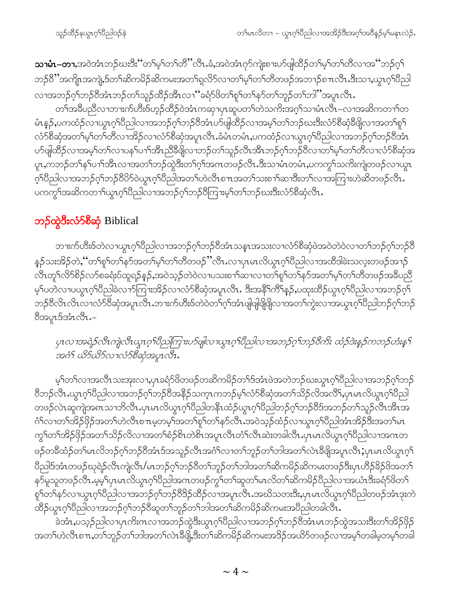သၢမံၤ–တၢ,အဝဲအံၤဘဉ်ဃးဒီး''တ႑်မှ႞တ႑်တိ''လိၤ.ခံ,အဝဲအံၤဂုဉ်ကျဲးစၫးဟာ်ဖျါထိဉ်တ႑်မှ႞တ႑်တိလ႑အ''ဘဉ်ဂ္႑် ဘဉ်8ိ ''အကျိုၤအကျဲ့,§တၫ်ဆိကမိဉ်ဆိကမးအတ႑်ရှလိဉ်လၢတ႑်မှ့ၫ်တ႑်တိတဖဉ်အဘ႑ာ်စπလီၤ.ဒီးသ႑,ယ္ဂၤဂ့ၫ်ပိညါ လၢအဘဉ်ဂ့ၢ်ဘဉ်ဝိအံၤဘဉ်တၫ်သူဉ်ထိဉ်အီၤလၤ''ခရံဉ်ဖိတၢ်စူၢ်တၢ်နှာ်တၢ်ဘူဉ်တၢ်ဘါ''အပူၤလီၤ

တၫ်အခ်ဳပညီလၫဘၢးက်ဟီးဇ်ဟ္နဉ်ထိဉ်ဝဲအံၤကဆု႑ပုၤဆူပတၫ်တဲသက်ိးအဂ္ဂၤ်သၢမံၤလိၤ–လၢအဆိကတ႑ၤ်တ မံၤန္5,ပကထံဉ်လၫယ္ပၤဂ့ါပီညါလၫအဘဉ်ဂ့ါဘဉ်၀ိအံၤပာ်ဖျါထိဉ်လၫအမ့ါတၫ်ဘဉ်ဃးဒီးလံာ်စိဆုံဒီဖျိလ႑အတ႑်စူၫ လံာ်စီဆုံအတ<sup>ျှ</sup>မှာတာကိုလာအိဉ်လာလံာ်စီဆုံအပူာလီၤ.ခံမံၤတမံၤ,ပကထံဉ်လာယွာဂ့ာ်ပိညါလာအဘဉ်ဂ့ာ်ဘဉ်၀ိအံၤ ပာ်ဖျါထိဉ်လၢအမ့်ာတာ်လၢပနဉ်ပၢာ်အီၤညီခီဖျိလၢဘဉ်တဉ်သူဉ်လီၤအီၤဘဉ်ဂ့ါဘဉ်ဝီလၢတာ်မ့ှာ်တာ်တီလၢလံာ်စီဆုံအ ပူး,ကဘဉ်တၫ်နှၤ်ပၢၫ်အီၤလၢအတၫ်ဘဉ်ထွဲဒီးတၫ်ဂ့ၫ်အဂၤတဖဉ်လီး.ဒီးသၢမံၤတမံၤ,ပကကွ႑်သကိးကျဲတဖဉ်လၢယွၤ ပကကွ်ရအဆိကတၫ်ယွာလုံပိညါလၫအဘဉ်လုံဘဉ်ဝိကြၫးမ့ှ်တ႑်ဘဉ်ဃးဒီးလံာ်စီဆုံလီၤ.

# ဘ**ှ**တွဲဒီးလံာ်စီဆုံ Biblical

ဘၢးက်ဟီးဖ်တဲလၢယွၤဂ့ါပီညါလၢအဘဉ်ဂ့ါဘဉ်ဝိအံၤသနၤအသးလၢလံာ်စီဆုံဖဲအဝဲတဲဝဲလၢတၫ်ဘဉ်ဂ့ါဘဉ်ဝိ နၵိုသးအိ႙်တဲႇဴႚတၫ်စူၫ်တ႑်န႒်အတ႑်မ့ၫ်တ႑်တိတဖ႙ၲႛလီၤႉလ႑ပ္႑မၤလိယ္မ႑ဂၞၢိပိညါလ႑အထိဒါခဲးသလ္းတဖ႙်အ႑႙ၲ လီၤတူၫ်လိ်ာစိဉ်လာ်စခရံးပ်ထူရဉ်နဉ်,အဝဲသ့ဉ်တဲဝဲလ႑ပသးစ႑ာ်ဆ႑လ႑တ႑်စူၫ်တ႑်နှာ်အတ႑်မ့ှ်တ႑်တိတဖဉ်အခ်ဳပညီ မ့်ၢပတဲလၢပယ္ဂၤဂ့ါပီညါ့ခဲလၫာ်ကြၫးအိဉ်လၫလံာ်စိဆုံအပူၤလီၤႉ ဒီးအနိ<sup>၎</sup>ကိြန္ဉာ်,ပထုးထိဉ်ယွၤဂ့ါပီညါလၫအဘဉ်ဂ့ါ ဘဉ်ဝီလိၤလိၤလၢလံ၁်ဝီဆုံအပူၤလီၤ.ဘၢးက်ဟီးဖ်တဲ၀ဲတ<sup>ြ</sup>ဂ္ဂါအံၤဖျံဖျံဖြိဖြိလၫအတ<sup>၎</sup>ကွဲးလၢအယွၤဂ့ါ်ပီညါဘဉ်ဂ့ါဘဉ် 8็รวµาร์รวำเง็า.-

ပုၤလၢအရဲဉ်လီၤကျဲလီၤယွၤဂ့ၫ်ပညါကြ႑းပဉ်ဖျါလ႑ယွၤဂ့ၫ်ပညါလၢအဘဉ်ဂုၤ်ဘှဉ်ဝီကိုး ထံဉ်ဒဲးနည်ကဘဉ်ဟံးနှ႑် အဂံ႑ိ ယိ9်ယိ9်လ႑လံ9်စီဆုံအပူၤလီး.

မ့်ၢိတၢ်လၢအလီၤသးအုးလၢ,ပုၤခရံဉ်ဖိတဖဉ်တဆိကမိဉ်တၤ်ဒ်အံၤဖဲအတဲဘဉ်ဃးယွၤဂ့ါပိညါလၢအဘဉ်ဂ့ၢ်ဘဉ် ၀ိဘဉ်လီၤႉယွၤဂ့ၢ်ပီညါလၢအဘဉ်ဂ့ၢ်ဘဉ်၀ိအနိုဉ်သက္ၤကဘဉ်မ့ၢ်လံာစိဆုံအတ႑်သိဉ်လိအလိၢ်ႇပှၤမၤလိယွၤဂ့ၢ်ပီညါ တဖဉ်လဲၤဆူကျဲအ၈ၤသၢဘိလီၤ.ပှၤမၤလိယွၤဂ့ၢ်ပီညါတနိၤထံဉ်ယွၤဂ့ၢ်ပီညါဘဉ်ဂ့ၢ်ဘဉ်ပီဒ်အဘဉ်တၫ်သူဉ်လီၤအီၤအ ဂံၫ်လၢတၫ်အိဉ်ဖှိဉ်အတ႑်ဟဲလီၤစ႑ာမ့တမ့ၢ်အတ႑်စူၫ်တ႑်နာ်လီၤ.အဝဲသ့ဉ်ထံဉ်လၢယ္ပၤဂ့ၢ်ပိညါအံၤအိဉ်ဒီးအတ႑်မၤ ကွ်က်အိဉ်ဖိုဉ်အတ်သိဉ်လိလၢအတ်စံဉ်စိၤတဲစိၤအပူၤလီၤတံၤ်လီၤဆဲးတခါလီၤ.ပုၤမၤလိယ္ဂၤဂ့ါပီညါလၢအဂၤတ ဖဉ်တခ်ီထံဉ်တၫ်မၤလိဘဉ်ဂ့ၢ်ဘဉ်၀ိအံၤဒ်အသူဉ်လီၤအငံံ၊လၢတၢ်ဘူဉ်တၫ်ဘါအတၫ်လဲၤခီဖျိအပူၤလီၤ $\boldsymbol{;}$ ပှၤမၤလိယွၤဂ့ၢ် ပိညါဒ်အံၤတဖဉ်ဃုရဲဉ်လီၤကျဲလီၤ/မၤဘဉ်ဂ့ၢ်ဘဉ်ပိတၤ်ဘူဉ်တၤ်ဘါအတၤ်ဆိကမိဉ်ဆိကမးတဖဉ်ဒီးပှၤဟိဉ်ခိဉ်ဖိအတၤ် န>်မူသူတဖဉ်လီၤႉမ့မ့်ၫ်ပှၤမၤလိယွၤဂ့ၢ်ပီညါအဂၤတဖဉ်ကွn်တၫ်ဆူတၫ်မၤလိတၫ်ဆိကမိဉ်ပီညါလၫအယံၤဒီးခရံဉ်ဖိတ႑် စှn်တ<sup>ြ</sup>န5်လၫယွၤဂ့ါပီညါလၫအဘဉ်ဂ့ၢ်ဘဉ်၀ီဒိဉ်ထိဉ်လၫအပူၤလီၤ.အဃိသတးဒီး,ပှၤမၤလိယွၤဂ့ါပီညါတဖဉ်အံၤဒုးကဲ ထိဉ်ယွၤဂ့<sup>ရ</sup>ပိညါလၫအဘဉ်ဂ့<sup>ရ</sup>ဘဉ်ဝိဆူတ<sup>ရ</sup>ဘူဉ်တ<sup>ရ</sup>ဘါအတ<sup>ရ</sup>ဆိကမိဉ်ဆိကမးအပိညါတခါလိၤ

ခဲအံၫႇပသ္၃်ညါလၢပှၤကိႏၵၤလၢအဘဉ်ထွဲဒီးယွၤဂ့ၫ်ပိညါလၢအဘဉ်ဂ့ၫ်ဘဉ်ဝိအံၤမၤဘဉ်ထွဲအသးဒီးတၫ်အိဉ်ဖှိဉ် အတ<sup>ှ</sup>ုပာလီၤစπ,တၫ်ဘူဉ်တၫ်ဘါအတၫ်လဲၤနိဖြို့ဒီးတ႑်ဆိက<sup>ြ</sup>ဉ်ဆိကမးအဒိဉ်အယိဉ်တဖဉ်လၢအမ့ၢ်တခါမှတမ့ၫ်တခါ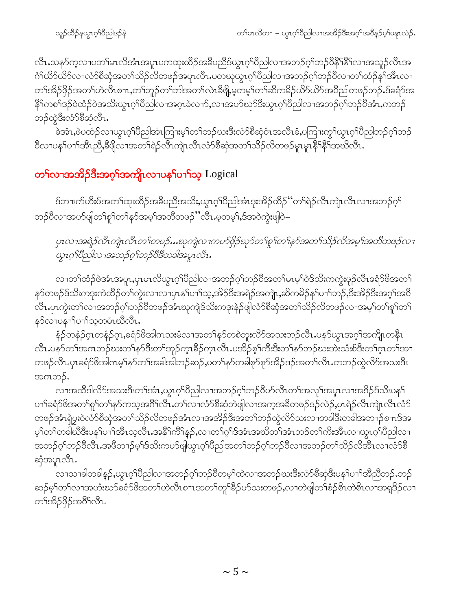လီၤႉသန>်က့လၢပတၫ်မၤလိအံၤအပူၤပကထုးထိဉ်အခ်ိဳပညိဒ်ယွၤဂ့ၢ်ပိညါလၢအဘဉ်ဂ့ၢ်ဘဉ်ပီနိ<sup>၎</sup>နိုၤ်လၢအသူဉ်လီၤအ ဂံ<sup>ရလ</sup>ာပါတယ်မွေးအလည်း ပွဲလွှတ်ရာ များကို မလေးပါတယ် ပြည်သည် ပွဲသည် ပွဲလည်း ပွဲသည် များကျ တၫ်အိဉ်ဖှိဉ်အတၫ်ဟဲလီၤစ႑ာ,တ႑်ဘူဉ်တ႑်ဘါအတ႑်လဲၤခီဖျိ,မဲ့တမှ ကြာဆိကမိဉ်ယိဉ်ယိဉ်အဝိညါတဖဉ်ဘဉ်.ဒ်ခရံဉ်အ ဘဉ်ထွဲဒီးလံာ်စီဆုံလီၤ.

.<br>ခဲအံၤႇဖဲပထံဉ်လၢယ္ပၤဂ့ၫ်ပညါအံၤကြၢးမ့ၫ်တ႑်ဘဉ်ဃးဒီးလံာ်စိဆုံဝံၤအလီၤခံ,ပကြၢးကွ<sup>၎</sup>ယွၤဂ့ၫ်ပညါဘဉ်ဂ့ၫ်ဘဉ် ႜ<br>၀ီလၢပန1်ပၫၢဒၗိၤညိႇိခဖြိုလၤအတ႑်ရဲဉ်လီၤကျဲၤလီၤလံာ်စီဆုံအတ႑်သိဉ်လိတဖဉ်မှုၤမှုၤနိ<sup>႖န္ဓ</sup>ြအဃိလီၤ

## တ¶လၫအအိ<mark>ဉ်ဒီးအဂ္</mark>႑အကျိုးလၫပန<sup>ှ</sup>ါပၫ<sup>ှ</sup>သ့ Logical

§ဘၢးက်ဟီးဇ်အတ<sup>ှ</sup>ထုံးထိဉ်အခီပညီအသိးႇယွာဂ့<sup>ှ</sup>ပီညါအံၤဒုံးအိဉ်ထိဉ်''တ႑်ရဲဉ်လီၤကျဲၤလီၤလၢအဘဉ်ဂ့ြ ဘဉ်ဝီလၫအပ>်ဖျါတ<sup>ှ</sup>ရှ\်တှန>်အမှှ\အတီတဖဉ်"လီၤ.မ့တမ့ှ\,ဒ်အဝဲကွဲးဖျါဝဲ−

y1လ1အရဲဉ်လီၤကျဲၤလီၤတ1်တဖဉ်…ဃုကျဲလ1ကပာ်ဖိုဉ်ဃုာ်တ1်စူ1်တ1်နှာ်အတ1်သိဉ်လိအမှ1်အတီတဖဉ်လ1 .<br>ယူၤဂုၫိတိုလ ၊အဘဉ်ဂုၫ်ဘဉ်8ီဒီတခါအပူၤလီး

လၢတၫ်ထံဉ်ဖဲအံၤအပူၤ,ပှၤမၤလိယွၤဂ့ၢိပိညါလၢအဘဉ်ဂ့ၢ်ဘဉ်ပီအတ႑်မၤမ့ၢ်ဝဲဒ်သိးကကွဲးဖုဉ်လီၤခရံာ်ဖိအတ႑် နှာ်တဖဉ်ဒ်သိးကဒုးကဲထိဉ်တၫ်ကွဲးလၫလၫပှၤန<sup>၎</sup>ပၢၫ်သ့,အိဉ်ဒီးအရဲဉ်အကျဲၤ,ဆိကမိဉ်န႑်ပၢၫ်ဘဉ်,ဒီးအိဉ်ဒီးအဂ္ဂၤ်အဝိ .<br>လီၤ.ပှၤကွဲးတၫ်လၢအဘဉ်ဂ့ၢ်ဘဉ်ဝိတဖဉ်အားဃုကျဲဒ်သိးကဒုးနဲဉ်ဖျဲလံာ်စိဆုံအတၫ်သိဉ်လိတဖဉ်လၢအမ့ၢ်တၫ်စူၫ်တ႑် နဉ်လၢပနၢၢိပၢၢ်သ့တမံၤဃီလီၤ.

နံဉ်တနံဉ်ဂ္ $\,$ တနံဉ်ဂ္ $\,$ ,ခရံဉ်ဖိအါဂ $\,$ သးမံလ $\,$ ၊အတ $\,$ န $\,$ ်တစဲဘူးလိ $\,$ ဒာသးဘဉ်လီ $\,$ .ပန $\,$ ်ယွ $\,$ အဂ္ $\,$ ါအကိျ $\,$ တနိ $\,$ ၊ လီၤ.ပန**်**တၫ်အဂၤဘဉ်ဃးတၫ်နဉ်ဒီးတၫ်အုဉ်က္ၤဒိဉ်က္ၤလီၤ.ပအိဉ်စ့ၫ်ကီးဒီးတၫ်နှာ်ဘဉ်ဃးအဲးသံးစ်ဒီးတၫ်ဂၤတၫ်အ႑ တဖဉ်လီၤႉပုၤခရံာ်ဖိအါကမ့<sup>ှ</sup>နာ်တ<sup>ှ</sup>အခါအါဘဉ်ဆဉ်ႇပတ႑်နာ်တခါစုာ်စုာ်အိဉ်ဒဉ်အတ႑်လီၤႉတဘဉ်ထွဲလိာ်အသးဒီး အဂၤဘဉ်.

လၢအထိဒါလိ5်အသးဒီးတၫ်အံၤႇယ္ပၤဂ့ၢ်ပိညါလၢအဘဉ်ဂ့ၢ်ဘဉ်၀ိဟ်လိၤတၢ်အလှၢ်အပ္ၤလၢအဒိဉ်ဒ်သိးပန႑် ပၫၢိခရံဉ်ဖိအတၫ်စူၫ်တၫ်နာ်ကသ့အဂ်ိၢလိၤတော်လာလာံဉ်စီဆုံတဲဖျါလၢအက္ခအဓိတဖဉ်ဒဉ်လဲဉ်ႇပှၤရဲဉ်လီၤကျဲၤလီၤလံဉ် တဖဉ်အံၤရဲပွးဝဲလံာ်စိဆုံအတ႑်သိဉ်လိတဖဉ်အံၤလၢအအိဉ်ဒီးအတ႑်ဘဉ်ထွဲလိာ်သးလၢတခါဒီးတခါအဘၢဉ်စπဒ်အ မ့်ၢ်တ်ကခါယီဒီးပန<sup>ှ</sup>ုပาါအီၤသ့လီၤအနိ<sup>ု</sup>ကိြန္ ဉ်ႇလၢတၢ်ဂ့ါဒ်အံၤအဃိတ<sup>ြ</sup>အံၤဘဉ်တၢ်ကိုးအီၤလၢယ္ဂၤဂ့<sup>ရ်</sup>၀ိညါလၢ .<br>အဘဉ်ဂ့ၢ်ဘဉ်ဝီလိၤၗအဖိတၫဉ်မ့ၢ်ဒ်သိးကပာ်ဖျယွπဂ့ၢ်ပိညါအတၢ်ဘဉ်ဂ့ၢ်ဘဉ်ဝိလၫအဘဉ်တၫသိဉ်လိအိၤလၢလံာစိ ဆုံအပူၤလီၤ.

လၫသၢခါတခါနဉ်ိႇယ္ပၤဂ့ၫ်ပိညါလၫအဘဉ်ဂ့ၫ်ဘဉ်ဝိတမ့ၫ်ထဲလၫအဘဉ်ဃးဒီးလံာ်စိဆုံဒီးပန႑်ပၫၤ်အိညီဘဉ်ႇဘဉ် ဆဉ်မ့<sup>၎</sup>တၫ်လၫအဟံးဃာ်ခရံာ်<sup>ဖွ</sup>အတ႑်ဟဲလီၤစ႑ာအတ႑်တူၫ်နိဉ်ဟ်သးတဖဉ်ႇလၫတဲဖျံတၫ်စံဉ်စိၤတဲစိၤလၢအရခြိဉ်လ႑ တ႑်အိဉ်ဖိုဉ်အဂိၤ်လီး.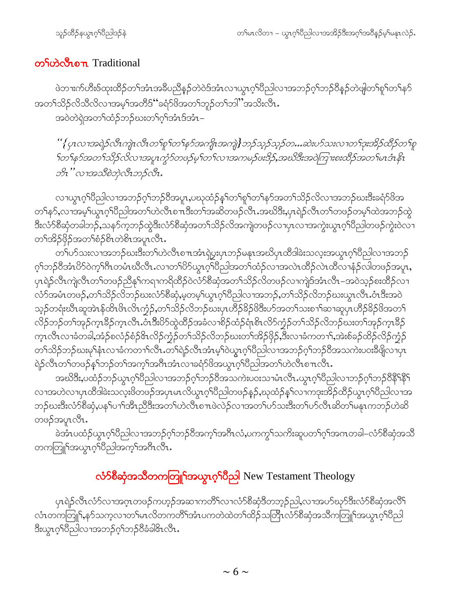#### တြိုဟဲလိုတာ Traditional

ဖဲဘၢးက်ဟီးဖ်ထုးထိဉ်တၫ်အံၤအခ်ဳပညီနှဉ်တဲဝဲဒ်အံၤလၢယွၤဂ့ၢ်ပိညါလၢအဘဉ်ဂ့ၢ်ဘဉ်ပိန္ဉာ်တဲဖျါတၢ်စူၫ်တၫ်နှာ် အတ႑်သိဉ်လိသီလိလၢအမ့<sup>၎</sup>အတိဒ်''ခရံဉ်ဖိအတ႑်ဘူဉ်တ႑်ဘါ''အသိးလီၤ. အဝဲတဲရဲအတၫ်ထံဉ်ဘဉ်ဃးတၫ်ဂွၢ်အံၤဒ်အံၤ–

" {ပုၤလၢအရဲဉ်လီးကျဲၤလီးတ႑်စူ ၂်တ႑်နဉ်အကျိၤအကျဲ] ဘဉ်သွဉ်သူဉ်တ…ဆဲးပဉ်သးလၢတ႑်ဒုးအိဉ်ထိဉ်တ႑်စူ ဘိၤ ''လၢအသိစဲဘဲလီးဘဉ်လီး.

လၢယ္လၤဂ့ၫ်ပိညါလၫအဘဉ်ဂ့ၫ်ဘဉ်ပိအပူၤ,ပဃုထံဉ်နှၤ်တ႑်စူၫ်တ႑်နှာ်အတ႑်သိဉ်လိလ႑အဘဉ်ဃးဒီးခရံဉ်ဖိအ တၫိနာ်,လၫအမှၫိယ္လၤဂ့ၢိပီညါအတ႑ိဟဲလိၤစ႑ာဒီးတ႑်အဆိတဖဉ်လိၤးအဃိဒီး,ပှၤရဲဉ်လီၤတ႑်တဖဉ်တမှၫ်ထဲအဘဉ်ထွဲ ဒီးလံာ်စီဆုံတခါဘဉ်ႇသနာ်ကဘာဉ်ထွဲဒီးလံာ်စီဆုံအတ႑်သိဉ်လိအကျဲတဖဉ်လၤပုၤလၤအကွဲးယွၤဂ့ၫ်ပီညါတဖဉ်ကွဲးဝဲလၤ တၫ်အိဉ်ဖိုဉ်အတ႑်စံဉ်စိၤတဲစိၤအပူၤလီၤ.

.<br>တၫိပၥ်သးလၢအဘဉ်ဃးဒီးတ႑်ဟဲလီၤစ႑ာအံၤရဲပွးပုၤဘဉ်မနၤအဃိပုၤထိဒါခဲးသလူးအယွπဂ္ဂါ၀ိညါလၫအဘဉ် ဂ့ၢ်ဘဉ်ဝိအံၤ $8$ ာ်ဝဲက့ၢ်ဂိၤတမံၤဃိလီၤႉလၢတၢ် $8$ ာ်ယွπဂ့ၢ်ိပိညါအတၢ်ထံဉ်လၤအလဲၤထိဉ်လဲၤထိလၢနံဉ်လါတဖဉ်အပူၤႇ ပုၤရဲဉ်လီၤကျဲလီၤတၫ်တဖဉ်ညီနှၤ်ကရาကရိထိဉ်ဝဲလံာ်စီဆုံအတ႑်သိဉ်လိတဖဉ်လၢကျဲဒ်အံၤလီၤ–အဝဲသ့ဉ်စးထိဉ်လ႑ လံာ်အမံၤတဖဉ်,တၫ်သိဉ်လိဘဉ်ဃးလံာ်စီဆုံ,မ့တမ့ၢ်ယွၤဂ့ၢ်ပိညါလၢအဘဉ်,တၫ်သိဉ်လိဘဉ်ဃးယွၤလိၤ.ဝံၤဒီးအဝဲ သ့ဉ်တရံးဃိၤဆူအဲၤန်ထိၤဗိၤလိၤက္ဘံဉ်ႇတ႑်သိဉ်လိဘဉ်ဃးပုၤဟိဉ်<sup>႙ွ</sup>ဉ်ဖိဒီးဟ်အတ႑်သးစ႑ာ်ဆၢဆူပုၤဟိဉ်နိဉ်ဖိအတ႑် လိဉ်ဘဉ်တၫ်အှဉ်ကူးဒီဉ်ကူၤလီၤ.ဝံၤဒီးပိဉ်ထွဲထိဉ်အခံလၢစိဉ်ထံဉ်ရံ၊စိၤလိဉ်ကံ့ဉ်တ႑်သိဉ်လိဘဉ်ဃးတ႑်အှဉ်ကူးဒိဉ် က္ၤလီၤလၢခံတခါ,အံဉ်စလံဉ်စံဉ်&ၤလိဉ်က္ခံဉ်တ႑်သိဉ်လိဘဉ်ဃးတ႑်အိဉ်ဖှိဉ်,ဒီးလၢခံကတ႑၊်,အဲးစ်ခဉ်ထိဉ်လိဉ်က္ခံဉ် တၫ်သိဉ်ဘဉ်ဃးမုၫ်နံၤလၢခံကတ႑ၢ်လိၤႉတၫ်ရဲဉ်လီၤအံၤမ့ၫ်ဝဲယွၤဂ့ၫ်ပီညါလၢအဘဉ်ဂ့ၫ်ဘဉ်ဝီအသကဲးပဝးဒီဖျိလၢပှၤ ရဲဉ်လီၤတၫ်တဖဉ်နှၤ်ဘဉ်တ႑်အက္ဥ္ပါအဂ္ဂိၤအံၤလၢခရံှာဖိအယွာက်ျပဳညါအတ႑်ဟဲလီၤစ႑ာလီၤ

အဃိဒိီး,ပထံဉ်ဘဉ်ယွπဂ့ါပီညါလၢအဘဉ်ဂ့ါဘဉ်၀ိအသကဲးပ၀းသၢမံၤလီၤ.ယွπဂ့ါပီညါလၢဘဉ်ဂ့ါဘဉ်၀ိနိ<sup>ု</sup>နိ<sup>ု</sup> လၫအဟဲလ႑ပုၤထိဒါခဲးသလုးဖိတဖဉ်အပုၤမၤလိယ္မၤဂ့ౕၢပိဳညါတဖဉ်န္ဉ\$,ဃုထံဉ်န္ၤ်လ႑ကဒုးအိဉ်ထိဉ်ယွၤဂ့ၤ်ပိညါလ႑အ ဘဉ်ဃးဒီးလံာ်စီဆုံ,ပန<sup>ှ</sup>ပ႑်အိၤညီဒီးအတ<sup>ြ</sup>ဟဲလ်ၤစπဖဲလဲဉ်လၢအတြယ်သးဒီးတ႑်ယ်လီၤဆိတ႑်မန္နၤကဘဉ်ဟဲဆိ တဖဉ်အပူၤလီၤ.

ခဲအီၤပထံဉ်ယွၤဂ့ါပိညါလၫအဘဉ်ဂ့ါဘဉ်ဝိအက့ါအဂ်ီၤလံ,ပကကွါသကိႏဆူပတၢိဂ့ါအဂၤတခါ–လံာ်စိဆုံအသိ တကတြူ<sup>ရ</sup>အယွπဂ့<sup>ရ်</sup>ပိညါအက့<sup>ရ</sup>အဂီၤလီၤ.

## လံာ်စီဆုံအသိတကတြူ<sup>ရ</sup>အယွာဂ့<sup>ရ</sup>ပီညါ New Testament Theology

ပှၤရဲဉ်လီၤလံာ်လၢအဂ္ဂၤတဖဉ်ကဟ္ဉာ်အဆၢကတိႝၤလၤလံာ်စီဆုံဒီတဘ္ဉာ်ညါႇလၢအပာ်ဃှာ်ဒီးလံာ်စီဆုံအလိၤ် လံၤတကတြူၫႇန>်သက့လၢတၫ်မၤလိတကတိႝၫ်အံၤပကတဲထဲတၫ်ထိဉ်သတြိၤလံာ်စီဆုံအသိကတြူၫ်အယွၤဂ့ၫ်ပိညါ ဒီးယွၤဂုၤ်(ဝိညါလၢအဘဉ်ဂုၤ်ဘဉ်ဝိခံခါဇိၤလိၤ.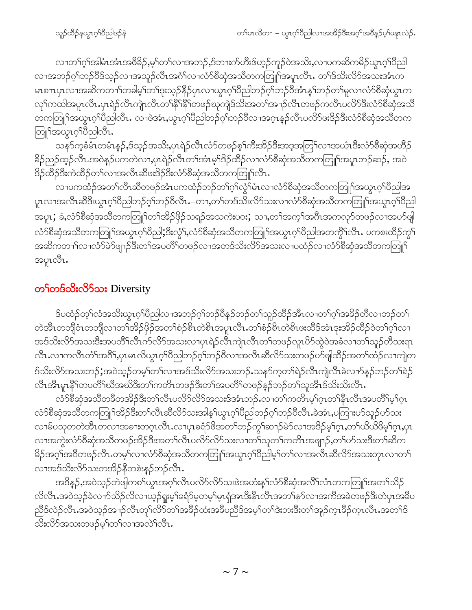လၢတၫ်ဂုၫ်အါမံၤအံၤအ<sup>88</sup>ဉ်,မှၫ်တၫလၢအဘဉ်,ဒ်ဘၢးက်ဟီးဖ်ဟုဉ်ကူဉ်ဝဲအသိး,လၢပကဆိကမိဉ်ယွၤဂုၫ်ပီညါ လၫအဘဉ်ဂ့<sup>၎</sup>ဘဉ်ဝိဒ်သ့ဉ်လၫအသူဉ်လီၤအငံ္ဂလ႑လံာ်စီဆုံအသိတကတြူ<sup>ငြ</sup>အပူၤလီၤႉ တ<sup>၎</sup>ဒ်သိးလိာ်အသးအံၤက မၤစၫာပုၤလၢအဆိကတၫ်ါတခါမ့်ါတ်၊ဒုးသ့ဉ်နိဉ်ပုၤလၢယ္ပၤဂ့ၢိပိညါဘဉ်ဂ့ၢ်ဘဉ်ပိအံၤန္ ၊်ဘဉ်တၢ်မူလၢလံာ်စိဆုံယွၤက လှၤ်ကထါအပူၤလီၤ.ပုၤရဲဉ်လီၤကျဲၤလီၤတၤ်နိ<sup>ု</sup>နိ<sup>ု</sup>ရာဖဉ်ဃှကျဲဒ်သိးအတၤ်အၢဉ်လီၤတဖဉ်ကလီၤပလိ်ာဒီးလံာ်စိဆုံအသိ တကတြူၫ်အယွာဂ့ၫ်ပိညါလီၤ လၢဖဲအံၤ,ယွာဂ့ၫ်ပိညါဘဉ်ဂ့ၫ်ဘဉ်ဝိလၢအဂ္ဂၤန္ဉာ်လီၤပလိဉ်ဖးဒိဉ်ဒီးလံာ်စီဆုံအသိတက တြူ<sup>ရ</sup>အယွာဂ့<sup>ရှ</sup>ပ္ပည္ပါလီၤ.

သနာ်က့ခံမံၤတမံၤန္ဉာ်,ဒ်သ္ဥ်အသိး,ပုၤရဲဉ်လီၤလံာ်တဖဉ်စ့ၢ်ကီးအိဉ်ဒီးအဒ္ဒအတြၤ်လၢအယံၤဒီးလံာ်စီဆုံအဟိဉ် ခြိဉ်ညှဉ်ထွဉ်လီး အဝဲနဉ်ပကတဲလၢႇပုၤရဲဉ်လီၤတၫ်အံၤမ့ၢ်ဒိဉ်ထိဉ်လၢလံာ်စီဆုံအသိတကတြူၫ်အပူၤဘဉ်ဆဉ်, အဝဲ ဒိဉ်ထိဉ်ဒီးကဲထိဉ်တ<sup>၎</sup>လၢအလီၤဆီဖးဒိဉ်ဒီးလံာ်စီဆုံအသိတကတြူၫ်လီၤ*ႋ* 

လၢပကထံဉ်အတၫ်လီၤဆီတဖဉ်အံၤပကထံဉ်ဘဉ်တ႑်ဂ့ၫ်လွံ<sup>၎</sup>မံၤလၢလံာ်စီဆှံအသိတကတြူၫ်အယွၤဂ့<sup>၎</sup>ပီညါအ ပူၤလၢအလီၤဆီဒီးယွၤဂ့ါပီညါဘဉ်ဂ့ါဘဉ်၀ီလီၤႉ–တၢ,တါတဒ်သိးလိ်ာသးလၢလံာ်စီဆုံအသိတကတြူါအယွၤဂ့ါပီညါ အပူးႏ်ဴောင်္လေတီအသီတကတြူ<sup>ရ</sup>တၫ်အိဉ်ဖိုဉ်သရဉ်အသကဲးပ**း**ႏွံ သ႑တၫ်အက္ဂၤ်အဂီၤအကလုာ်တဖဉ်လၢအဟ်ဖျါ လံာ်စီဆုံအသိတကတြူၫ်အယွာဂ့ၫ်ပိညါ;ဒီးလွံ႑်ႇလံာ်စီဆုံအသိတကတြူၫ်အယွာဂ့ၫ်ပိညါအတက္ဂိၤ်လီၤ . ပကစးထိဉ်ကွ႑် အဆိကတၫ်ာလၢလံ႒်မဲာ်ဖျာဉ်ဒီးတၫ်အပတိႝၤ်တဖဉ်လၢအတဒ်သိးလိာ်အသးလၢပထံဉ်လၢလံာ်စီဆုံအသိတကတြူၫ် အပူၤလီၤ.

#### တ<sup>ှ</sup>တဒ်သိုးလိ5်သး Diversity

ဒ်ပထံဉ်တဲ့််လံအသိးယွၤဂ့ါပီညါလၢအဘဉ်ဂ့ါဘဉ်ဝီနဉ်ဘဉ်တါသူဉ်ထိဉ်အီၤလၢတါဂ့ါအခိဉ်တိလၢဘဉ်တါ တဲအိၤတဘျီဝံၤတဘျီလၢတၫ်အိဉ်ဖှိဉ်အတၫ်စံဉ်စိၤတဲစိၤအပူၤလီၤ.တၫ်စံဉ်စိၤတဲစိၤဖးထိဒ်အံၤဒုးအိဉ်ထိဉ်ဝဲတၫ်ဂ့ၫ်လၢ အဒ်သိးလိ်ာအသးဒီးအပတိိ<sup>ု</sup>လီၤက်လိာ်အသးလၢပှၤရဲဉ်လီၤကျဲၤလီၤတၫ်တဖဉ်လူၤပိဉ်ထွဲဝဲအခံလၢတၫ်သူဉ်တီသးရာ လီၤႉလၢကလီၤတံၲါအဂီိါႇပှၤမၤလိယွၤဂ့ါ်ပီညါဘဉ်ဂ့ါဘဉ်ဝီလၢအလီၤဆီလိ်ာသးတဖဉ်ဟ်ဖျါထိဉ်အတ႑်ထံဉ်လၢကျဲတ ဒ်သိးလိ်ာအသးဘဉ်;အဝဲသူဉ်တမ့်္ဂတ႑်လၢအဒ်သိးလိ်ာအသးဘဉ်ႉသနာ်က့တ႑်ရဲဉ်လီၤကျဲလီၤခဲလ႑ာ်နှဉ်ဘဉ်တ႑်ရဲဉ် လီၤအီၤမူ၊နိ<sup>ု</sup>ကပတိႝ႞ဃီအဃိဒီးတ႞ကတိၤတဖဉ်ဒီးတ႞အပတိႆ႞တဖဉ်နဉ်ဘဉ်တ႞သူအီၤဒ်သိးသိးလီၤႉ

လံာ်စီဆုံအသိတခ်ီတအိဉ်ဒီးတ႑်လီၤပလိဉ်လိဉ်အသးဒ်အံၤဘဉ်ႉလၢတ႑်ကတိၤမ့္ပ်က္စတ႑်နီၤလီၤအပတိ႑်မ့္ပ်က္ လံာ်စီဆုံအသီတကတြူၫ်အိဉ်ဒီးတ႑်လီၤဆီလိ5သးအါန္ ၊်ယွၤဂ့ၫ်ပီညါဘဉ်ဂ့ၫ်ဘဉ်ဝီလီၤ.ခဲအံၤ,ပကြၢးပ5်သူဉ်ပာ်သး လၫမ်ပသုတတဲအိၤတလၫအခၢးတဂုၤလိၤ.လၢပှၤခရံဉ်ဖိအတၫ်ဘဉ်ကွ<sup>၎</sup>ဆ႑ာ်မဲဉ်လၢအဒိဉ်မ့<sup>၎</sup>ဂုၤ,တ႑်ယိယိဖိမ့<sup>၎</sup>ဂုၤ,ပှၤ လၢအကွဲးလံာ်စီဆုံအသိတဖဉ်အိဉ်ဒီးအတ႑်လီၤပလိာ်လိာ်သးလၢတ႑်သူတ႑်ကတိၤအဖျာဉ်ႇတ႑်ပာ်သးဒီးတ႑်ဆိက မိဉ်အဂ္ဂါအ၀ိတဖဉ်လီၤ.တမ့ါလၢလံာ်စီဆုံအသိတကတြူၫ်အယွၤဂ့ါပိညါမ့ါတၫ်လၢအလိၤဆိလိာ်အသးတုၤလၢတ႑် လၢအဒ်သိးလိ်ာသးတအိဉ်နီတစဲးနဉ်ဘဉ်လီၤ.

အဒိန**ှ်,**အဝဲသ့ဉ်တဲဖျဲကစ<sup>႑</sup>ယွၤအဂ့ၢ်လီၤပလိ်ာလိ်သးဖဲအဟံးန5်လံာစိဆုံအလိ်ၤလံၤတကတြူၫ်အတ႑်သိဉ် လိလီၤႉအဝဲသ့ဉ်ခဲလ႑ာ်သိဉ်လိလ႑ယ့ဉ်ရူးမ့<sup>၎</sup>ခရံာ်မ့တမ့<sup>၎</sup>မ့ၤရုံအၤဒီးနီၤလီၤအတ႑်နာ်လ႑အကီအခဲတဖဉ်ဒီးတဲပုၤအခ်ိပ ညီဒ်လဲဉ်လီၤ.အဝဲသ့ဉ်အၫဉ်လီၤတူၫ်လိ5်တၫ်အခဵဉ်ထံးအခဵပညီဒ်အမ့ၢ်တၫ်ဒဲးဘးဒီးတၫ်အုဉ်က္ၤခဵဉ်က္ၤလီၤ.အတၫ်ဒ် သိးလိ်ာအသးတဖဉ်မှါတါလၢအလဲါလီၤ.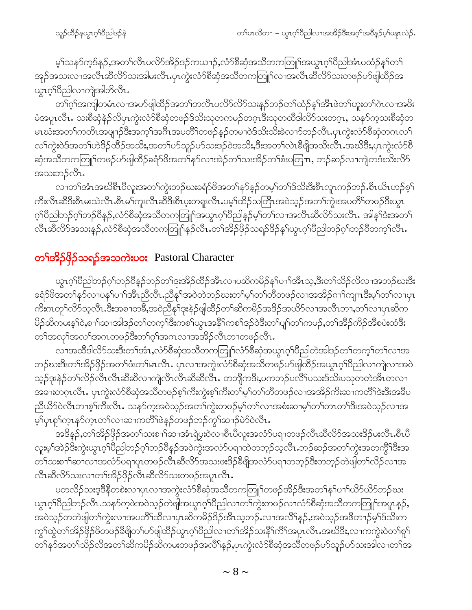မ့်)သန>်က္ဒဒ်န္5်,အတ}်လီၤပလိ်ာအိဉ်ဒဉ်ကယ႑ာ်,လံာ်စီဆုံအသိတကတြူ်အယွာဂ့ါ်ပီညါအံၤပထံဉ်နှ်)တြ အှဉ်အသးလၫအလိၤဆီလိ5သးအါမးလိၤ.ပုၤကွဲးလံ5စိဆုံအသိတကတြူၫ်လၫအလိၤဆီလိ5သးတဖဉ်ဟ်ဖျ်ထိဉ်အ ယ္စၤဂုိးပိညါလၫကဲုအါဘိလိၤ.

တၫ်ဂ့ၫ်အကျါတမံၤလၢအဟ်ဖျါထိဉ်အတ႑်တလီၤပလိဉ်လိဉ်သးနည်တဉ်တ႑်ထံဉ်နှၤ်အီၤဖဲတ႑်ဟူးတ႑်ဂဲၤလၢအဖိး မံအပူၤလီၤႉ သးစိဆုံနဲဉ်လိပှၤကွဲးလံာ်စိဆုံတဖဉ်ဒ်သိးသုတကမဉ်တဂ္**ၤဒိး**သုတထိဒါလိ5်သးတဂ္ၤ, သနာ်က့သးစိဆုံတ မၤဃီးအတၫ်ကတိၤအဖျၫဉ်ဒီးအက္ခ႑်အဂၤအပတိ႑်တဖဉ်နဉ်တမၢဝဲဒ်သိးသိးခဲလၫာ်ဘဉ်လီၤ.ပုၤကွဲးလံာ်စီဆုံတဂၤလ႑် လၫ်ကွဲးဝဲဒ်အတ႑်ဟဲဒိဉ်ထိဉ်အသိး,အတ႑်ဟ်သူဉ်ဟ်သးဒဉ်ဝဲအသိး,ဒီးအတ႑်လဲၤခီဖျိအသိးလိၤ.အဃိဒီး,ပုၤကွဲးလံာ်စီ ဆုံအသိတကတြူၫ်တဖဉ်ပာ်ဖျါထိဉ်ခရံာ်<sup>ဖြ</sup>အတ<sup>ြို့</sup>နှာ်လၢအဲဉ်တ႑်သးအိဉ်တ႑်စီးပတြπ, ဘဉ်ဆဉ်လၢကျဲတဒီးသိးလိ5် အသးဘဉ်လီၤ.

လၢတၫ်အံၤအဃိစီၤပီလူးအတၫ်ကွဲးဘဉ်ဃးခရံာ်ဖိအတ႑်နာ်နဉ်တမ့ၢ်တၫ်ဒ်သိးဒီးစီၤလူၤကဉ်ဘဉ်ႉစီၤယိၤဟဉ်စ့႑် ကီးလီၤဆီဒီးစီၤမးသဲလီၤ.စီၤမၢ်ကူးလီၤဆီဒီးစီၤပ္းတရူးလီၤ.ပမ့ၢ်ထိဉ်သတြိၤအဝဲသ့ဉ်အတၫ်ကွဲးအပတိႝၤ်တဖဉ်ဒီးယွၤ ဂ့ါပီညါဘဉ်ဂ့ါဘဉ်ပီနဉ်,လံာ်စီဆုံအသိတကတြူၫ်အယွၤဂ့ါပီညါနဉ်မ့ါတါလၢအလီၤဆီလိာ်သးလီၤ. အါန1်ဒံးအတ1် လီၤဆီလိ်ာအသးနဉ်ႇလံာ်စီဆုံအသိတကတြူၫ်နဉ်လီၤ.တၫ်အိဉ်ဖှိဉ်သရဉ်ဒိဉ်နှၤ်ယွၤဂ့ၢ်ပီညါဘဉ်ဂ့ၢ်ဘဉ်ဝိတက့ၤ်လီၤ.

#### တ**်ာအိဉ်ဖိုဉ်သရဉ်အသကဲးပဝး** Pastoral Character

ယွၤဂ့ါပီညါဘဉ်ဂ့ါဘဉ်ပီနဉ်ဘဉ်တ1်ဒုးအိဉ်ထိဉ်အီၤလၢပဆိကမိဉ်န1်ပၢါအီၤသ့,ဒီးတ1်သိဉ်လိလၢအဘဉ်ဃးဒီး ခရံာ်ဖိအတ႑်နာ်လၢပန႑်ပ႑ါအီၤညီလီၤ.ညီနုါအဝဲတဲဘဉ်ဃးတ႑်မှါတ႑်တိတဖဉ်လၢအအိဉ်ဂ႑ါကျπဒီးမ့ါတ႑်လၢပုၤ ကိႏၵၤတူၫ်လိ်ာသ့လီၤ.ဒီးအစၫတခ်ိဳႇအဝဲညီနုၤ်ဒုးနဲ့ဉ်ဖျံထိဉ်တ႑်ဆိကမိဉ်အဒိဉ်အယိာ်လ႑အလီၤဘ႑,တ႑်လ႑ပုၤဆိက မိဉ်ဆိကမးနှ1်ဝဲ,စၫါဆၫအါဒဉ်တ႑်တက္႑်ဒီးကစ႑်ယွၤအနိ<sup>႖</sup>ကစ႑်ဒဉ်ဝဲဒီးတ႑်ပျၤတ႑်ကမဉ်,တ႑်အိဉ်ကိဉ်အိစပုံးထံဒီး တၫ်အလုၤ်အလၤ်အကတဖဉ်ဒီးတၤ်ဂ့ၤ်အကလၤအအိဉ်လီၤဘၢတဖဉ်လီၤ.

လၫအထိဒါလိ5်သးဒီးတ႑်အံၤႇလံ5စိဆုံအသိတကတြူ႑်လံ5စိဆုံအယွၤဂ့ၫ်ပိညါတဲအါဒဉ်တ႑်တက့႑်တ႑်လ႑အ ဘဉ်ဃးဒီးတၫ်အိဉ်ဖှိဉ်အတၫ်ဖီးတၫ်မၤလီၤႉ ပှၤလၢအကွဲးလံာ်စိဆုံအသိတဖဉ်ပာ်ဖျထိဉ်အယွπဂ့ၢိပိညါလၢကျဲလၢအဝဲ သဉ်ဒုးနဲဉ်တၫ်လိဉ်လီၤလီၤဆီဆီလၫကျဲလီၤလီၤဆီဆီလီၤ. တဘျိကဒီး,ပကဘဉ်ပလိႝၤ်ယားဒ်သိးပသုတတဲအိၤတလ႑ အခၢးတဂ္ $\tau$ လီ $\cdot$  ပု $\cdot$ က္မဲးလံ $\cdot$ စိဆုံအသိတဖဉ်စ့ $\cdot$ ကိးကွဲးစ့ $\cdot$ ကိးတ $\cdot$ မ့ $\cdot$ တ $\cdot$ တိဟဖဉ်လၢအအိ $\circ$ ကိးဆ $\cdot$ ကတိ $\cdot$ ါဒ်းဒိးအခိပ ညီယိ5်ဝဲလီၤဘၢစ့ါ်ကီးလီၤႉ သနၥ်က့အဝဲသ့ဉ်အတါ်ကွဲးတဖဉ်မ့ါ်တါလၢအစံးဆၢမ့ါ်တါတၤတါဒီးအဝဲသ့ဉ်လၢအ မ့်ပြာစွါကွာနှဉ်ကွာတက်လာဆာကတိရဖဲ့နှဉ်တဖဉ်ဘဉ်ကွါဆာဉ်မဲ့၁်ဝဲလီး.

အဒိန**ှ်,**တၫ်အိဉ်ဖှိဉ်အတ႑်သးစ႑ာ်ဆၢအံၤရဲပွးဝဲလၢစီၤပီလူးအလံာ်ပရၢတဖဉ်လီၤဆီလိာ်အသးဒိဉ်မးလီၤ.စီၤပီ လူးမ့<sup>ရ</sup>အဲဉ်<sup>ဒွဲ့</sup>းကွဲးယွၤဂ့<sup>ရ်ဂွီ</sup>ညါဘဉ်ဂ့<sup>ရ</sup>ဘဉ်ဝိနဉ်အဝဲကွဲးအလံာ်ပရၢထဲတဘ့ဉ်သ့လိၤ.ဘဉ်ဆဉ်အတ<sup>ရ</sup>ကွဲးအတကွိ<sup>ရဒွိ</sup>းအ တ႑်သးစၫါဆၫလ႑အလံဉ်ပရၫပူၤတဖဉ်လီၤဆီလိဉ်အသးဖးဒိဉ်နိဖျိအလံဉ်ပရ႑တဘ္ဉဉ်ဒီးတဘ္ဉဉ်တဲဖျါတ႑်လိဉ်လ႑အ လီၤဆီလိ်ာသးလၢတၫ်အိဉ်ဖိုဉ်လီၤဆီလိ်ာသးတဖဉ်အပူၤလီၤ.

ပတလိဉ်သးဒ့ဒီနိတစဲးလၢပှၤလၢအကွဲးလံာ်စိဆုံအသိတကတြူၫ်တဖဉ်အိဉ်ဒီးအတ႑်န႑်ပ႑်ယိ5်ယိ5်ဘဉ်ဃး ယွၤဂ့ါ်ပီညါဘဉ်လီၤႉသနဉ်ကဲ့ဖဲအဝဲသ့ဉ်တဲဖျါအယွၤဂ့ါ်ပီညါလၢတၤ်ကွဲးတဖဉ်လၢလံာ်စီဆုံအသိတကတြူၫ်အပူၤန္ဉာ်ႇ အဝဲသ့ဉ်တတဲဖျါတၫ်ကွဲးလၫအပတိႝၤထိလၢပုၤဆိကမိဉ်ဒိဉ်အိၤသ့ဘဉ်ႉလၢအလိႝၤ်နှဉ်ႇအဝဲသ့ဉ်အဖိတ႑ာ်မှၤ်ဒ်သိးက ကွS်ထွဲတSအိဉ်ဖိုဉ်ဖိတဖဉ်ခီဖျိတSပာ်ဖျါထိဉ်ယွာဂ့S်ပီညါလာတSအိဉ်သးနိS်ကိSအပူၤလီၤဆဃိဒီး,လာကကွဲးဝဲတSစူS တ႑်နှာ်အတ႑်သိဉ်လိအတ႑်ဆိုကမိဉ်ဆိုကမးတဖဉ်အလိ႑်နှဉ်,ပုၤကွဲးလံာ်စီဆုံအသိတဖဉ်ဟ်သူဉ်ဟ်သးအါလ႑တ႑်အ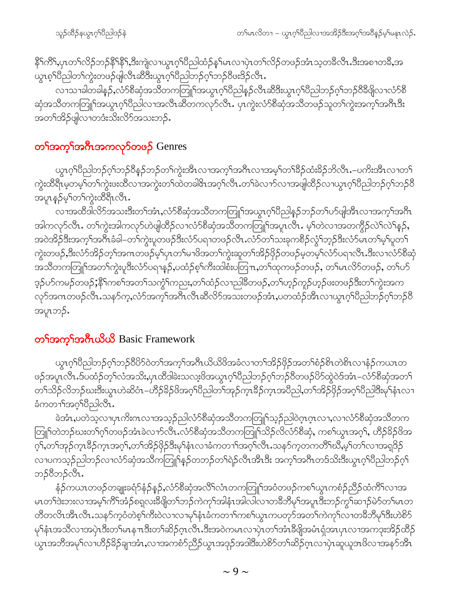နိဂ်ကီ1,ပုၤတ႑်လိဉ်ဘဉ်နိ<sup>႖</sup>န္ဓိ႖န္ဒီႏဘုုံလ႑ယ္ဓ႑ဂ္ဂါပီညါထံဉ်န္ ါမၤလ႑ပုဲၤတ႑်လိဉ်တဖဉ်အံၤသ္စတခ်ီလီၤႉဒီးအစ႑တခ်ိႇအ ယွၤစ္ ်ပြည္ပါတ ်ကွဲးတဖဉ်ဖျလြီၤဆီဒီးယွၤစ္ ်ပြည္ပါဘဉ်စ္ ်ာဘ္ ဝိဖဴးဒိဉ်လီၤ.

လၫသၢခါတခါန္ဉ်,လံာ်စီဆုံအသိတကတြူၫ်အယွာဂ့ၫ်ပိညါန္ဉာ်လီၤဆီဒီးယွာဂ့ၫ်ပိညါဘဉ်ဂ့ၫ်ဘဉ်၀ိီဒီဖြိုလ႑လံာ်စီ ဆုံအသိတကတြူၫ်အယွာဂ့ၫ်ပိညါလၫအလီၤဆိတကလုၥ်လီၤႉ ပုၤကွဲးလံာ်စိဆုံအသိတဖဉ်သူတ႑်ကွဲးအက့႑်အဂီၤဒီး အတၫ်အိဉ်ဖျိလၫတဒံးသိးလိ်သသားဘဉ်.

### တ<mark>်္ဂအက္ဂ္</mark>ဂါအဂီးအကလုာ်တဖဉ် Genres

ယွၤဂ့ါပီညါဘဉ်ဂ့ါဘဉ်ဝိနဉ်ဘဉ်တါကွဲးအီၤလၢအက့ါအဂ်ီၤလၢအမ့ါတၫ်နိဉ်ထံးနိဉ်ဘိလီၤ.–ပကိးအီၤလၢတ႑် ကွဲးထိရိၤမ့တမ့<sup>ရ်</sup>တ<sup>ရ</sup>ကွဲးဖးထိလၢအကွဲးတ<sup>ရ</sup>ထဲတခါ&ၤအဂ္ဂၢိလိၤႉတ<sup>ရ</sup>ခဲလၫာ်လၢအဖျါထိဉ်လၢယွၤဂ့ၢိပိညါဘဉ်ဂ့ၢ်ဘဉ်ဝိ အပူၤန္ဉာိမ့္ပ်တ္ပါက္ပဲးထိရီၤလီၤ.

လၫအထိဒါလိ5်အသးဒီးတၫ်အံၤႇလံ5စိဆုံအသိတကတြူၫ်အယွာဂ့ၫ်ပိညါနဉ်ဘဉ်တ႑်ပ5်ဖျ်အီၤလၢအက့ၫ်အဂိၤ အါကလုဉ်လီၤ. တၫ်ကွဲးအါကလုဉ်ဟဲဖျါထိဉ်လၫလံဉ်စိဆုံအသိတကတြူၫ်အပူၤလီၤ. မ့ၫ်တဲလၢအတကွိဉ်လဲ႑်လဲ႑်နှဉ်, အဝဲအိဉ်ဒီးအက့်၊အဂ်ီၤခံခါ–တၫ်ကွဲးပူတဖဉ်ဒီးလံာ်ပရၢတဖဉ်လီၤႉလံာ်တ႑်သးခုကစိဉ်လွံၤ်ဘုဉ်ဒီးလံာ်မၤတ႑်မှၤ်ပူတ႑် ကွဲးတဖဉ်,ဒီးလံာ်အိဉ်တ့်၊အဂၤတဖဉ်မ့ှ၊်ပှၤတ႑်မၢဖိအတ႑်ကွဲးဆူတ႑်အိဉ်ဖှိဉ်တဖဉ်မှတမ့်၊လံာ်ပရၢလီၤ.ဒီးလၢလံာ်စီဆုံ အသိတကတြူၫ်အတၫ်ကွဲးပူဒီးလံာ်ပရၫန္ဉာ်,ပထံဉ်စ့ၫ်ကီးထါစံးပတြ႑ာ,တၫ်ထုကဖဉ်တဖဉ်, တ႑်မၤလိာ်တဖဉ်, တ႑်ပာ် ဒ္ဒဉ်ပာ်ကမဉ်တဖဉ်;နိ<sup>6</sup>ကစ<sup>6</sup>အတ<sup>6</sup>သက္ဂ််ါကညး,တ<sup>6</sup>ထံဉ်လ႑ည<sup>္ပြ</sup>ခ်ိတဖဉ်,တ<sup>6</sup>ဟ္ဥာ်ကူဉ်ဟ္ဥပ်းတဖဉ်ဒီးတ<sup>6</sup>ကွဲးအက လှာ်အဂၤတဖဉ်လီၤႉသနာ်က့ႇလံာ်အက့ၢ်အဂီၤလီၤဆီလိာ်အသးတဖဉ်အံၤႇပတထံဉ်အီၤလၢယ္ဂၤဂ့ၢိပိညါဘဉ်ဂ့ၢ်ဘဉ်၀ိ အပူၤဘဉ်ႉ

#### တ<sup>ှ</sup>အက္ခ်အကယ်ယိတ် Basic Framework

ယ္လ္ဂၤဂ္ဒ္ဂါဝိည္ပါဘဉ်ဂုိဘဉ်၀ိတိုဝဲတ႑်အက္ဒ္ဂါအဂ်ိဳၤယိယိဖိအခံလ႑တ႑်အိဉ်ဖိုဉ်အတ႑်စံဉ်စိၤတဲစိၤလ႑နံဉ်ကယၤတ ဖဉ်အပူၤလီၤႉဒ်ပထံဉ်တ့်ౕလံအသိးႇပုၤထိဒါခဲးသလႈ့ဖိအယွπဂ့ၢိပိညါဘဉ်ဂ့ၢ်ဘဉ်ပိတဖဉ်ပိဉ်ထွဲဝဲဒ်အံၤ−လံဉ်စီဆုံအတၤ် တၫ်သိဉ်လိဘဉ်ဃးဒီးယွၤဟဲဆိဝံၤ*–*ဟိဉ်<sup>ဌ</sup>ဉ်ဖိအဂ္ဂါပီညါတၫ်အုဉ်ကွၤဒီဉ်ကူးအပီညါ,တၫ်အိဉ်ဖိုဉ်အဂ္ဂါပီညါဒီးမုၫ်နံၤလၢ ခံကတၫ်အဂ္ဂါပီညါလီၤ.

ခဲအံၫႇပတဲသ့လၫပှၤကိႏၵၤလၢအသ့ဉ်ညါလံာ်စိဆုံအသိတကတြူၫ်သ့ဉ်ညါဝဲဂ္ၤဂ္ၤလၢႇလၢလံာ်စိဆုံအသိတက တြူ်ကဲဘဉ်ဃးတၫ်ဂ့ၫ်တဖဉ်အံၤခဲလ႑ာလီၤႉလံာ်စီဆုံအသိတကတြူၫ်သိဉ်လိလံာ်စီဆုံ, ကစ႑်ယွၤအဂ့ၢ်, ဟိဉ်ခိဉ်ဖိအ ဂ့ౕၢ,တౕၢအှဉ်ကူၤဒိဉ်ကူၤအဂ္໌ၢ,တ႑်အိဉ်ဖိုဉ်ဒီးမှၤ်နံၤလၢခံကတ႑ၢ်အဂ္໌ၢလီၤႉသနၥ်က္ခတကတိႝၤ်ဃိႇမ့ၤ်တၤလၢအရှုဒိဉ် လၢပကသ့ဉ်ညါဘဉ်လၢလံာ်ဆုံအသိကတြူၫ်နဉ်တဘဉ်တၫ်ရဲဉ်လီၤအီၤဒီး အက့ၢ်အဂ်ီၤတဒ်သိးဒီးယွၤဂ့ၢ်ိ၀ိညါဘဉ်ဂ့ၢ် ဘဉ်ဝီဘဉ်လီၤ.

နံဉ်ကယၤတဖဉ်တချူးခရံဉ်နံဉ်နဉ်,လံဉ်စိဆုံအလိႝၤလံၤတကတြူ<sup>ရ</sup>အဝံတဖဉ်ကစ<sup>ရ</sup>ယွၤကစံဉ်ညိဉ်ထံကိ<sup>ရ</sup>လၢအ မၤတၫ်ဒဲးဘးလၢအမ့ၢ်ကိၢိအံ့ဉ်စရလးခ်ိဖျိတၫ်ဘဉ်ကဲကု၊်အါနံၤအါလါလၢတခ်ိဘိမှ၊်အပူ၊ဒီးဘဉ်ကွ၊်ဆ႑ာ်မဲှာ်တ၊်မၤတ တီတလိၤအီၤလီၤႉသနဉ်ကဲ့ဝံတဲ့စ့<sup>၎</sup>ကီးဝဲလၤလၢမု<sup>ု</sup>နံၤခံကတၤါကစါယွၤကပတုဉ်အတ<sup>၎</sup>ကဲကုါလၤတခ်ိဘိမု<sup>ု</sup>ဒီးဟဲစိဉ် မုîနံၤအသိလၢအပှဲၤဒီးတౕါမၤနπဒီးတၢ်ဆိဉ်ဂ့ၤလီၤ.ဒီးအ၀ဲကမၤလၢပှဲၤတၢ်အံၤဒီဖျိအမံၤရုံအၤပှၤလၢအကဒုးအိဉ်ထိဉ် ယွၤအဘိအမုၢိလၫဟိဉ်<sup>ဌ</sup>ဉ်ချၫအံၤႇလၫအကစံဉ်ညိဉ်ယွၤအဒုဉ်အဒါဒီးဟဲစိဉ်တၫဆိဉ်ဂ္ၤလ<sup>ုံ</sup>လှဲ၊ဆူယူအဖိလၫအနဉ်အိၤ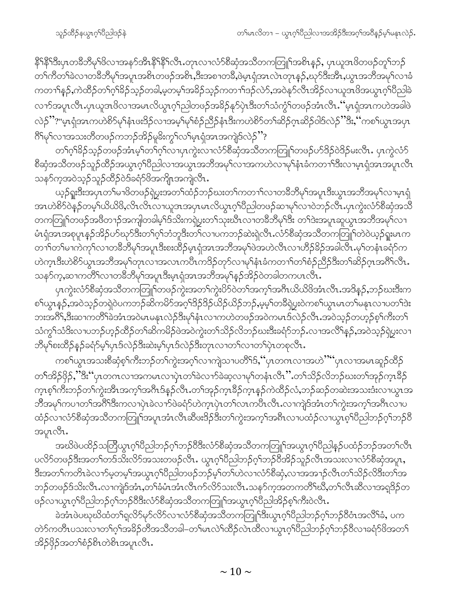နိ<sup>ု</sup>နိ<sup>ုဒ္မ</sup>ီးပုၤတ<sup>8ွ</sup>ဘီမု<sup>ု</sup>ဖိလၢအနဉ်အိၤနိ<sup>ု</sup>နိ<sup>ု</sup>လိုၤ.တုၤလၤလံာ်စီဆုံအသိတကတြူၫ်အစိၤန္ဉာ်, ပုၤယူဒၤဖိတဖဉ်တူၫ်ဘဉ် တၫ်ကီတၫ်ခဲလၫတခ်ိဘိမုၫ်အပူၤအစိၤတဖဉ်အစိၤႇဒိးအစ႑တခ်ိႇဖဲမ္ၤရုံအၤလဲၤတုၤန္ဉာ်,ဃုာ်ဒီးအိၤႇယ္ပၤအဘိအမုၫ်လၫခံ ကတၫ<sup>ု</sup>နဉ်ႇကဲထိဉ်တၫ်ဂ့<sup>ရ</sup>ခိဉ်သ့ဉ်တခါႇမ့တမ့<sup>ရ</sup>အခိဉ်သ့ဉ်ကတၫ်၊ဒဉ်လဲ9်ႇအဝဲနု၁်လီၤအိဉ်လ႑ယူဒၤဖိအယွၤဂ့<sup>ရ</sup>ပီညါခဲ လၫာ်အပူၤလီၤ.ပှၤယူအဖိလၫအမၤလိယွၤဂ့ၢ်ညါတဖဉ်အခိဉ်နု၁်ပှဲၤဒီးတၢ်သံကွံၢ်တဖဉ်အံၤလီၤ.''မှၤရုံအၤကဟဲအခါဖဲ လဲဉ်''?"မှၤရုံအၤကဟဲစိဉ်မှၫ်နံၤဖးဒိဉ်လၢအမှှၫ်မှၫ်စံဉ်ညှိဉ်နံၤဒီးကဟဲစိဉ်တ႑်ဆိဉ်ဂ္ဂၤဆိဉ်ဝါဒ်လဲဉ်''ဒိး,''ကစ႑်ယွၤအပုၤ ဂြိမှ်လာအသးတိတဖဉ်ကဘဉ်အိဉ်မူခ်ိးကွှ်လျှိမှုရဲ့အာအကျဲဒ်လဲဉ်''?

တၫ်ဂ့ၫ်ိန်ညသု့ဉ်တဖဉ်အံၤမ့ၢ်တၫ်ဂ့ၤ်လၢပုၤကွဲးလၢလံာ်စီဆုံအသိတကတြူၫ်တဖဉ်ပာ်ဒိဉ်ဝဲဒိဉ်မးလိၤ ပုၤကွဲလံာ် စိဆုံအသိတဖဉ်သူဉ်ထိဉ်အယွာဂ့ါပိညါလၢအယွာအဘိအမှါလၢအကဟဲလၢမှါနံာခံကတၢါဒိီးလၢမ့ာရုံအာအပူာလီာ သနၥ်က္ခအဝဲသု့ဉ်သူဉ်ထိဉ်ဝဲဒ်ခရံာ်ဖိအကျိုၤအကျဲလီၤ.

ယ့ဉ်ရူးဒီးအပုၤတၫ်မၢဖိတဖဉ်ရဲပွးအတ႑်ထံဉ်ဘဉ်ဃးတ႑်ကတ႑ာ်လၢတခ်ိဘိမှာ်အပူၤဒီးယွၤအဘိအမှာ်လၢမ့ၤရုံ အၤတဲ8်ာဝဲန်ှဉ်တမ့်ၫယိယိဖိႇလိၤလိၤလာယူဒၤအပှၤမၤလိယွၤဂ့ၢိပိညါတဖဉ်ဆၢမုၢ်လၫဝဲဘဉ်လီၤ.ပှၤကွဲးလံာ်စီဆုံအသိ တကတြူၫ်တဖဉ်အဖိတ႑ာ်အကျါတခါမ့ၫ်ဒ်သိးကရဲပွးတ႑်သုးဃိၤလၢတခ်ိဘိမုၫ်ဒိး တ႑်ဒဲးအပူၤဆူယွၤအဘိအမှ႑်လ႑ မံၤရုံအၤအစုပူၤန္ဉာ်အိဉ်ဟ်ဃုာ်ဒီးတ႑်ဂ့ၫ်ဘုံဘူဒီးတ႑်လ႑ပကဘဉ်ဆဲးရဲလီၤႉလံာ်စီဆုံအသိတကတြူၫ်တဲဝဲယ့ဉ်ရူးမၤက တၫၲာတ်မၢကဲကုၲလၢတခ်ိဘိမုၲအပူၤဒီးစးထိဉ်မှၤရုံအၤအဘိအမုၲဖဲအဟဲလီၤလၢဟိဉ်ခိဉ်အခါလီၤ.မုၢိတနံၤခရံဉ်က သန>်က္ႇဆၢကတိိၤ်လၢတခ်ိဘိမှၤ်အပူၤဒိးမ္ၤရုံအၤအဘိအမှၤ်န္ဥအိဥ်ဝဲတခါတကပၤလိၤႉ

ပုၤက္ပဲးလံာ်စိဆုံအသိတကတြူၫ်တဖဉ်ကွဲးအတ႑်ကွဲးပိၥ်ဝဲတ႑်အက္႑်အဂၤယိယိဖိအံၤလီၤ အဒိန္၁်,ဘဉ်ဃးဒီးက စၫ်ယွာနှဉ်ႇအဝဲသ့ဉ်တရဲဝဲပကဘဉ်ဆိကမိဉ်အဂ္ဂါဒိဉ်ဒိဉ်ယိဉ်ယိဉ်ဘဉ်ႇမ့မ့ှ်တခ်ီရဲပွးဝဲကစ႑်ယွာမာတ႑်မနာလာပတ႑်ဒဲး ဘးအဂိ်<sup>ရ</sup>,ဒီးဆၫကတိ််၊ခဲအံၤအဝဲမၤမနုၤလဲဉ်ဒီးမှၢိနံၤလၢကဟဲတဖဉ်အဝဲကမၤဒ်လဲဉ်လိၤႉအဝဲသ့ဉ်တဟ့ဉ်စ့<sup>၎</sup>ကိီးတ႑် သံကွၫ်သံဒိးလၢပဘဉ်ဟ့ဉ်ထိဉ်တၫ်ဆိကမိဉ်ဖဲအဝဲကွဲးတ႑်သိဉ်လိဘဉ်ဃးဒီးခရံာ်ဘဉ် လၢအလိၢိန္ဉာ် အဝဲသ့ဉ်ရဲပွးလၢ ဘီမု`ါစးထိဉ်နဉ်ခရံဉ်မ့`ါၦၤဒ်လဲဉ်ဒီးဆဲးမ့`ါၦၤဒ်လဲဉ်ဒီးတုၤလၢတ`ါလၢတ`ါၦဲၤတစုလီၤ.

ကစၫ်ယွၤအသးစိဆုံစ့ၫ်ကီးဘဉ်တၫ်ကွဲးအဂ့ၢ်လၢကျဲသၢပတိႝၤ်§,''ပုၤတဂၤလၢအဟဲ''''ပုၤလၢအမၤဆူဉ်ထိဉ် တၫ်အိဉ်ဖိုဉ်,''ဒီး''ပုၤတဂၤလၢအကမၤလၢပုဲၤတၫ်ခဲလၢာ်ခဲဆ့လၢမှၢ်တနံၤလိၤ'' တ႑်သိဉ်လိဘဉ်ဃးတ႑်အှဉ်က္ၤခိဉ် က္နာစ့<sup>ရ</sup>က်ိဳးဘဉ်တ<sup>ရ</sup>ကွဲးအိၤအက္ခ<sup>ရ</sup>အဂြီးဒ်နဉ်လီၤ.တ<sup>ရ</sup>အုဉ်က္နာနိဉ်ကဲ့ နှဉ်ကဲထိဉ်လံ,ဘဉ်ဆဉ်တဆဲးအသးဒီးလၫယွၤအ ာ<br>ဘီအမုၢိကပၢတၢ်အဂ်ိ<sup>ရဒ္</sup>ဒီးကလၢပှဲၤခဲလၫာ်ဖဲခရံာ်ဟဲက္ၤပှဲၤတၢ်လၤကပိၤလိၤလၢကျဲဒ်အံၤတၢ်ကွဲးအက္ဒၢ်အဂ်ိၤလၢပ ထံဉ်လၢလံာ်စီဆုံအသိတကတြုု၊်အပူၤအံၤလီၤဆိၒးဒိဉ်ဒီးတၫ်ကွဲးအက့ၢ်အရီၤလၢပထံဉ်လၢယွၤစှၢိပိညါဘဉ်ဂ့ၢ်ဘဉ်ဝိ အပူၤလီၤ.

အဃိဖဲပထိဉ်သတြိယွၤဂ့ါပီညါဘဉ်ဂ့ါဘဉ်၀ီဒီးလံာ်စီဆုံအသိတကတြူ၊်အယွၤဂ့ါပီညါနဉ်ပထံဉ်ဘဉ်အတၤ်လီၤ ပလိ်ာတဖဉ်ဒီးအတၫ်တဒ်သိးလိ်ာအသးတဖဉ်လီၤႉ ယွၤဂ့ၢ်ပိညါဘဉ်ဂ့ၢ်ဘဉ်ဗိအိဉ်သူဉ်လီၤအသးလၢလံာ်စိဆုံအပူၤႇ ဒီးအတ႑်ကတိၤခဲလၫာ်မှတမ့်၊အယွာက်ပြီညါတဖဉ်ဘဉ်မ့ှ၊်တ႑်ဟဲလၢလံာ်စီဆုံႇလၢအအၫဉ်လီၤတ႑်သိဉ်လိဒီးတ႑်အ ဘဉ်တဖဉ်ဒ်သိးလီၤႉလၢကျဲဒ်အံၤႇတၫ်ခံမံၤအံၤလီၤက်လိဉ်သးလီၤႉသနဉ်က္ခအတကတိႝၤ်ဃီႇတ႑်လီၤဆီလၢအရှုဒိဉ်တ ဖဉ်လၢယ္လၤဂ့ౕၢပိညါဘဉ်ဂ့ౕၢဘဉ်၀ိဒိီးလံာ်စိဆုံအသိတကတြူၤ်အယွၤဂ့ၤ်ပိညါအိဉ်စ့ၤ်ကီးဝဲလီၤ.

ခဲအံၤဖဲပဃုဃိထံတ႑်ရလိ႒်မှာ်လိ႒်လၢလံ႒်စိဆုံအသိတကတြူၫ်ဒီးယွာဂ့ၫ်ပိညါဘဉ်ဂ့ၢ်ဘဉ်၀ိဝံၤအလိၢ်ခံ, ပက တဲ့၁်ကတိၤပသးလၢတၫ်ဂ့ၫ်အခိဉ်တိအသိတခါ–တ႑်မၤလဲ႑်ထိဉ်လဲၤထိလၢယ္ပၤဂ့ၫ်ပိညါဘဉ်ဂ့ၫ်ဘဉ်ဝိလၢခရံာ်ဖိအတ႑် အိဉ်ဖှိဉ်အတ<sup>ှ</sup>စံဉ်စိၤတဲစိၤအပူၤလီၤ.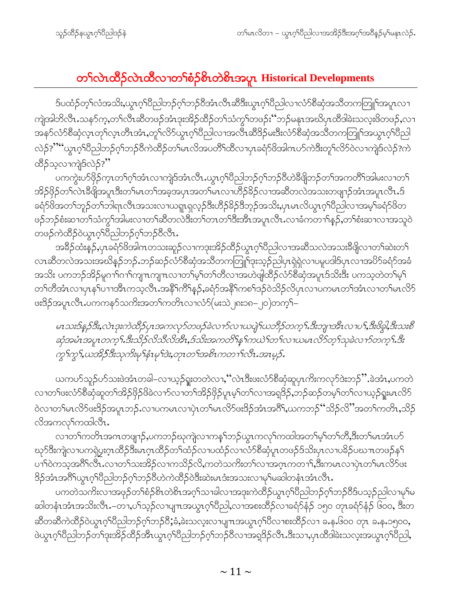## တ႑်လဲၤထိဉ်လဲၤထိလၢတ႑်စံဉ်စိၤတဲစိၤအပူၤ Historical Developments

ဒ်ပထံဉ်တ့ၫ်လံအသိႏႇယ္လၤဂ့ၫ်ပီညါဘဉ်ဂ့ၫ်ဘဉ်ဝိအံၤလီၤဆီဒီးယွၤဂ့ၫ်ပီညါလၢလံာ်စိဆုံအသိတကတြူၫ်အပူၤလၢ ကျဲအါဘိလီၤႉသနၥ်က္ႇတၫ်လီၤဆီတဖဉ်အံၤဒုးအိဉ်ထိဉ်တၫ်သံကွၤ်တဖဉ်း''ဘဉ်မနုၤအဃိပုၤထီဒါခဲးသလူးဖိတဖဉ်ႇလ႑ အနဉ်လံဉ်စီဆုံလ့ၤတုၤ်လ္ၤတိၤအံၤ,တူၤ်လိဉ်ယွၤဂ့ၤ်ပီညါလၤအလီၤဆီဒိဉ်မးဒီးလံဉ်စီဆုံအသိတကတြူၤ်အယွၤဂ့ၤ်ပီညါ လဲဉ်?"" ယွာဂ္ဂါပီညါဘဉ်ဂုၤ်ဘဉ်ဝီကဲထိဉ်တၤ်မာလိုအပတိၤ်ထိလာပုာခရံဉ်ဖိအါကပဉ်ကဲဒီးတူၤ်လိဉ်လာကျဲဒ်လဲဉ်?ကဲ ထိိဉ်သ့လၢကျဲဒ်လဲဉ်?"

ပကကွဲးပာ်ဖိုဉ်ကူၤတၫ်ဂူၫ်အံၤလၢကျဲဒ်အံၤလီၤ.ယွၤဂူၫ်ပိညါဘဉ်ဂုၤ်ဘဉ်၀ိဟဲနိဖျိဘဉ်တ႑်အကတိၤ်အါမးလၢတ႑် အိဉ်ဖိုဉ်တ<sup>ှ</sup>လဲၤခီဖြိုအပူၤဒီးတၫ်မၤတၫ်အခဲ့အပုၤအတ႑်မၤလၢဟိဉ်<sup>၌</sup>ဉ်လၢအဆီတလဲအသးတဖျာဉ်အံၤအပူၤလီၤ.ဒ် ခရံာ်ဖိအတ<sup>၎</sup>ဘူဉ်တ<sup>၎</sup>ဘါရာလီၤအသးလၫယရူာရှလ့ဉ်ဒီးဟိဉ်<sup>ဌ</sup>ဉ်ဒိဘ္ဉာ်အသိး,ပှာမာလိယွာဂ့်္ဂါပိညါလၢအမ့်္ဂါခရံာ်ဖိတ ဖဉ်ဘဉ်စံးဆၢတၫ်သံကွၫ်အါမးလၢတၫ်ဆီတလဲဒီးတၫ်တၤတၫ်ဒီးအိၤအပူၤလီၤႉလၢခံကတၫၢိန္ဉ $\mathfrak{z}_2$ တ႑်စံးဆၢလၢအသူဝဲ တဖဉ်ကဲထိဉ်ဝဲယွာဝှါပိညါဘဉ်ဝှါဘဉ်ဝီလီာ.

အခ်ိႆဉ်ထံးနဉ်ႇပုၤခရံာ်ဖိအါဂၤတသးဆူဉ်လၢကဒုးအိဉ်ထိဉ်ယွၤဂ့ၫ်ပိညါလၢအဆိံသလဲအသးခ်ိဖျိလၢတ႑်ဆဲးတ႑် လာဆီတလဲအသးအဃိန္ဉာိဘဉ်ႉဘဉ်ဆဉ်လံာ်စိဆုံအသိတကတြူၫ်ဒုးသ့ဉ်ညါပုၤရဲရဲလၢပမူပဒါဒ်ပုၤလၢအပိာ်ခရံာ်အခံ အသိး ပကဘဉ်အိဉ်မူဂၢါဂၢါကျၤကျၤလၢတၫ်မှ့ါတ႑်တိလၢအဟဲဖျါထိဉ်လံာ်စိဆုံအပူၤဒ်သိးဒီး ပကသ့တဲတ႑်မှု တၫ်တိအံၤလၢပုၤနှၤ်ပၢၢအိၤကသ့လိၤ.အနိၤ်ကိၤ်နဉ်,ခရံဉ်အနိၤ်ကစၤ်ဒဉ်ဝဲသိဉ်လိပုၤလၢပကမၤတၤ်အံၤလၢတၤ်မၤလိဉ် ဖးဒိဉ်အပူၤလီၤ.ပကကန>်သကိႏအတၤ်ကတိၤလၢလံ>်(မးသဲ၂၈း၁၈–၂၀)တက့ౕ၊–

မၤသးဒ်န္နဉ်ဒီး,လဲၤဒုးကဲထိဉ်ပုၤအကလုဉ်တဖဉ်ခဲလ႑ာ်လ႑ယပျဲ့ၫ်ယဘိဉ်တက္ ၫ်.ဒီးဘျၫအီၤလ႑ပ ၫ်,ဒီးဖိခွါ,ဒီးသးစိ ဆုံအမံၤအပူၤတကၠ႑်.ဒီးသိုဉ်လိသီလိအိၤႇဒ်သိးအကတိ႑်န္ ၫ်ကယဲ႑်တ႑်လ႑ယမၤလိဉ်တ္ ႑်သုခဲလ႑ာ်တကၠ႑်.ဒီး ကွ ်ကွ ်,ယအို ် ဒီးသုက်းမှ ်နံးမှ ်ဒဲး,တုၤတ ်အစိၤကတ႑်လီး.အၤမွ ်).

ယကပာ်သူဉ်ပာ်သးဖဲအံၤတခါ–လၢယ့ဉ်ရှုးတတဲလၢႇၴဴလဲၤဒီးဖးလံာ်စီဆုံဆူပှၤကိႏကလုာ်ဒဲးဘဉ်ိႆႛႉခဲအံၤႇပကတဲ လၢတၫ်ဖးလံာ်စီဆုံဆူတၫ်အိဉ်ဖှိဉ်ဖိခဲလၫာ်လၢတၫ်အိဉ်ဖှိဉ်ပူၤမ့ၢ်တၫ်လၢအရဒိဉ်,ဘဉ်ဆဉ်တမ့ၢ်တၫ်လၢယ့ဉ်ရှုးမၤလိဉ် ဝဲလၢတၫ်မၤလိဉ်ဖးဒိဉ်အပူၤဘဉ်ႉလၢပကမၤလၢပုဲၤတ႑်မၤလိဉ်ဖးဒိဉ်အံၤအဂိါႇယကဘဉ်''သိဉ်လိ''အတ႑်ကတိၤႇသိဉ် လိအကလှ်ကထါလီၤ.

လၢတၫ်ကတိၤအဂၤတဖျာဉ်,ပကဘဉ်ဃုကျဲလၢကန္1်ဘဉ်ယွၤကလုၤ်ကထါအတၤ်မ့ၤ်တၤ်တီ,ဒီးတၤ်မၤအံၤပာ် ဃှာ်ဒီးကျဲလၢပကၡဲပွးဂ္ၤထိဉ်ဒီးမၤဂ္ၤထိဉ်တ႑်ထံဉ်လၢပထံဉ်လၢလံာ်စီဆုံပူၤတဖဉ်ဒ်သိးပှၤလၢပခိဉ်ပဃၤာတဖဉ်န႑် ပၢၢၳ၀ဲကသ့အဂိၢိလိၤႉလၢတၫ်သးအိဉ်လၢကသိဉ်လိႇကတဲသကိႏတၫ်လၢအဂ္ဂၤကတၫၢ်ႇဒီးကမၤလၢပှဲၤတၫ်မၤလိဉ်ဖး ဒိဉ်အံၤအဂိါယွၤဂ့ါပိညါဘဉ်ဂ့ါဘဉ်၀ိဟဲကဲထိဉ်ဝဲဒီးဆဲးမၤဒံးအသးလၢမှါမဆါတနံၤအံၤလိၤ.

ပကတဲသက်ိးလျာအဖုဉ်တၫ်စံဉ်စိၤတဲစိၤအဂ့ၢ်သၢခါလၢအဒုးကဲထိဉ်ယွၤဂ့ၢ်ပိညါဘဉ်ဂ့ၢ်ဘဉ်ဝိဒ်ပသ္ဉဉ်ညါလၢမုၢ်မ ဆါတနံၤအံၤအသိးလ်ိဳၤ.–တ႑ပၫ်သ္ဉ်လၢပျ႑ာအယွၤဂ့ၢိပိညါ,လၢအစးထိဉ်လၢခရံဉ်နံဉ် ၁၅၀ တုၤခရံဉ်နံဉ် ၆၀၀, ဒီးတ ဆီတဆီကဲထိဉ်ဝဲယွာဂ့်္ဂါ၀ိညါဘဉ်ဂ့်္ဂဘဉ်၀ိႏွံခဲ့ဆဲသလူးလာပျπအယွာဂ့်္ဂါ၀ိလာစးထိဉ်လာ ခန္ေပါဝဝ တုာ ခန္ေ၁၅၀၀, ဖဲယွၤဂ့ၫ်ပီညါဘဉ်တ႑်ဒုးအိဉ်ထိဉ်အီၤယွၤဂ့ၫ်ပီညါဘဉ်ဂ့ၫ်ဘဉ်ဝီလၢအရှဒိဉ်လီၤ.ဒီးသ႑ပုၤထိဒါခဲးသလူးအယွၤဂ့ၫ်ပီညါ,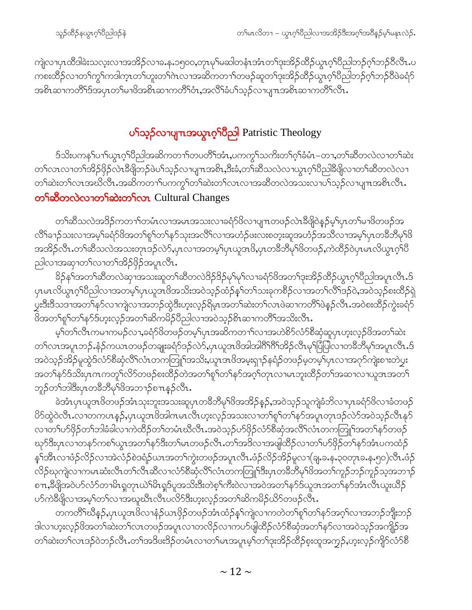ကျဲလၢပုၤထိဒါခဲးသလုးလၢအအိဉ်လၢခႉနႇ၁၅၀၀,တုၤမှၫ်မဆါတနံၤအံၤတၫ်ဒုးအိဉ်ထိဉ်ယွၤဂ့ၫ်ပိညါဘဉ်ဂ့ၢ်ဘဉ်၀ီလီၤ.ပ ကစးထိဉ်လၢတ<sup>၎</sup>ကွ<sup>၎</sup>ကဒါက္•တ႑်ဟူးတ႑်ကလၢအဆိကတ႑ာ်တဖဉ်ဆူတ႑်ဒုးအိဉ်ထိဉ်ယွၤဂ့<sup>၎</sup>ပိညါဘဉ်ဂ့<sup>၎</sup>ဘဉ်ပိဖဲခရံဉ် အစိၤဆၢကတိႝၤ်ဒ်အပုၤတၤ်မၢဖိအစိၤဆၢကတိႝၤ်၀ဲႏႇအလိၤ်ဆုံပါသူဉ်လၢပျπအစိၤဆၢကတိႝၤလိ…

## ပ**်ာ**သူ့ဉ်လာပျπအယွာဂ့<sup>ရှ</sup>ပိညါ Patristic Theology

ဒ်သိးပကန1်ပၫါယ္ဂၤဂ့ါပီညါအဆိကတ႑ါတပတိႝၤ်အံၤႇပကကၠ႑်သက်ိးတ႑်ဂ့ါခံမံၤ–တၢႇတ႑်ဆီတလဲလ႑တ႑်ဆဲး တၫ်လၤလၢတၫ်အိဉ်ဖိုဉ်လဲၤဒီဖျိဘဉ်ဖဲပ႑်သ့ဉ်လၢပျ႑ာအစိၤႇဒိဳးခံႇတ႑်ဆီသလဲလၢယ္ပၤဂ့ၫ်ပီညါနီဖျိလၢတ႑်ဆီတလဲလၢ တၫ်ဆဲးတၫ်လၤအဃိလီၤ.အဆိကတၫၢ်ပကကွၫ်တၫ်ဆဲးတၫ်လၤလၢအဆီတလဲအသးလၢပ႑်သုဉ်လၢပျ႑ာအစိၤလီၤ. တ<sup>ှ</sup>ဆိတလဲလ တှ ဆဲးတ ှလာ Cultural Changes

တၫ်ဆီသလဲအဒိဉ်ကတ႑ၢ်တမံၤလၢအမၤအသးလၢခရံာ်ဖိလၢပျπတဖဉ်လဲၤဒီဖျိဝဲနဉ်မ့ၢ်ပှၤတ႑်မၢဖိတဖဉ်အ လိြခ႑ာ်သးလၢအမှ်ခရံာ်ဖိအတ႑်စူဉ်တ႑နှာ်သုံးအလိြလၢအဟံဉ်ဖးလးစတဲ့းဆူအဟံဉ်အသိလၤအမှဉ်ပုၤတခ်ိဘိမှဉ်ဖိ အအိဉ်လီၤႉတၫ်ဆီသလဲအသးတုၤဒဉ်လဲာ်,ပုၤလၢအတမ့ၢ်ပုၤယူဒၤဖိ,ပုၤတခ်ိဘီမှၢ်ဖိတဖဉ်,ကဲထိဉ်ဝဲပုၤမၤလိယွၤဂ့ၢ်ပိ ညါလၫအဆုၫတ႑်လၫတ႑်အိဉ်ဖိုဉ်အပူၤလီၤ.

နိဉ်န1်အတ1်ဆီတလဲဆု1အသးဆူတ1်ဆီတလဲဒိဉ်ဒိဉ်မှ1်မှ1်လ1ခရံဉ်ဖိအတ1်ဒုးအိဉ်ထိဉ်ယွπ့ဂ်ပိညါအပူၤလီၤ.ဒ် ပုၤမၤလိယ္ဇၤဂ့ౕၢိ၀ိညါလၫအတမ့ၤ်ပုၤယူဒၤဖိအသိးအဝဲသ့ဉ်ထံဉ်န္ၤ်တၤ်သးခုကစိဉ်လ႑အတၤ်လိၤ်ဒဉ်ဝဲႇအဝဲသ့ဉ်စးထိဉ်ရဲ ပ္မႈဒီးဒီသဒၢအတၫ်နဉ်လၫကျဲလၫအဘဉ်ထွဲဒီးဟုးလှဉ်ရိမ္၊ာအတ႑်ဆဲးတ႑်လၤဖဲဆ႑ကတိႝၤဖဲနဉ်လိၤႉအဝဲစးထိဉ်ကွဲးခရံဉ် ဖိအတ<sup>ှ</sup>စု<sup>ရ</sup>တ<sup>ှ</sup>န>်ဒ်ဟူးလ့ဉ်အတ<sup>ှ</sup>ဆိကမိဉ်ပီညါလၢအဝဲသ့ဉ်စိၤဆၢကတိ်၊အသိးလိၤ.

မ့ါတါလီၤကမၢကမဉ်လၢ,ခရံာ်ဖိတဖဉ်တမ့ါပှၤအဆိကတ႑ါလၢအဟဲစိၥ်လံာ်စီဆုံဆူပှၤဟူးလ့ဉ်ဖိအတ1်ဆဲး တၫ်လၤအပူၤဘဉ်ႉနံဉ်ကယၤတဖဉ်တချူးခရံဉ်ဒဉ်လဲာ်,ပုၤယူအဖိအါအါဂိံၫ်ဂိံၫ်အိဉ်လီၤမှၢ်ပြံပြါလ႑တခ်ိဘိမှၢ်အပူၤလီၤ.ဒ် အဝဲသ့ဉ်အိဉ်မူထွဲဒ်လံာ်စီဆုံလိ်ၤလဲကတြူၫ်အသိႏႇယူၤဒၤဖိအမူးရှၫဉ်နရံဉ်တဖဉ်မ့တမ့ၢ်ပုၤလၢအဂုာ်ကျဲးစၫးတဲပွး အတၫ်နာ်ဒ်သိးပှၤကကကူၫ်လိ5်တဖဉ်စးထိဉ်တဲအတ႑်စူၫ်တ႑်နာ်အဂ္ဂါတုၤလၢမၤဘူးထိဉ်တ႑်အဆ႑လ႑ယူဒၤအတ႑် ဘူဉ်တ<sup>၎</sup>ဘါဒီးပှၤတ<sup>8ွ</sup>ဘိမု<sup>18ွ</sup>အဘၫဉ်စ႑ာနှဉ်လိၤ.

ခဲအံၤပှၤယူဒၤဖိတဖဉ်အံၤသုးဘူးအသးဆူပှၤတခ်ိဘီမုၤ်ဖိအအိဉ်နဉ်,အဝဲသ့ဉ်သူကျဲခံဘိလ႑ပှၤခရံာ်ဖိလ႑ခံတဖဉ် ိ9်ထွဲဝဲလီၤႉလၢတကပၤန္၄်ႇပှၤယူဒၤဖိအါဂၤမၤလီၤဟ့းလ့ဉ်အသးလၢတၫ်စူၫ်တၫ်နဉ်အပူၤတုၤဒဉ်လဲာ်အဝဲသ့ဉ်လီၤနုဉ် လၢတၫိပာ်ဖှိဉ်တၫ်ဘါခံခါလၢကဲထိဉ်တၫ်တမံၤဃိလိၤႉအဝဲသ့ဉ်ပာ်ဖှိဉ်လံာ်စိဆုံအလိံၤလံၤတကတြူၫ်အတ႑်နာ်တဖဉ် ၰာ်ဒီးပုၤလၢတနဉ်ကစၢ်ယွၤအတ႑်နဉ်ဒီးတ႑်မၤတဖဉ်လီၤႉတ႑်အဒိလၢအဖျါထိဉ်လၢတ႑်ပာ်ဖိုဉ်တ႑်နဉ်အံၤပကထံဉ် န5်အီၤလၢဖံဉ်လိဉ်လၢအဲလံဉ်စဲဒရံဉ်ယၤအတ<sup>၎</sup>ကွဲးတဖဉ်အပူၤလီၤ.ဖံဉ်လိဉ်အိဉ်မူလၢ(ချ.ခ.န.၃၀တုၤခ.န.၅၀)လီၤ.ဖံဉ် လိဉ်ဃုကျဲလၫကမၤဆံးလိၤတၫ်လီၤဆီလ႑လံာ်စိဆုံလိႝၤလံၤတကတြူၫ်ဒီးပုၤတခ်ိဘိမုၫ်ဖိအတ႑်ကူဉ်ဘဉ်ကူဉ်သ့အဘ႑ာ် စπ,8ီဖျိအဝဲဟ်လံာ်တၢမိၤရှတုၤယဲ`ါမိၤရှဒ်ပူအသိးဒီးတဲစ့`ါကီးဝဲလၢအဝဲအတ`်နဉ်ဒ်ယူအအတ`်နဉ်အံၤလီၤယူးယိဉ် ဟ်ကဲဒီဖျိလၫအမှၫ်တ႑်လၫအၰုဃိၤလိၤပလိ်ာဒီးဟူးလ္ဥ်အတ႑်ဆိကမိဉ်ယိဉ်တဖဉ်လီၤ.

တကတိႝၫဆီနဉ်ႇပုၤယူဒၤဖိလ႑နံဉ်ယၤဖိုဉ်တဖဉ်အံၤထံဉ်နှၤ်ကျဲလ႑ကတဲတ႑်ရှၤ်တ႑်နှာ်အဂ္ဂၤ်လ႑အဘဉ်ဘိုုးဘဉ် ဒါလၢဟူးလှဉ်ဖိအတၫ်ဆဲးတၫ်လၤတဖဉ်အပူၤလၢတလိဉ်လၢကဟ်ဖျါထိဉ်လံာ်စီဆုံအတၫ်နာ်လၢအဝဲသ့ဉ်အကျိဉ်အ တၫ်ဆဲးတၫ်လၤဒဉ်ဝဲဘဉ်လိၤႉတၫ်အဒိဖးဒိဉ်တမံၤလၢတၫ်မၤအပူၤမ့ၢ်တၫ်ဒုးအိဉ်ထိဉ်စုံးထူအကွဉ်ႇဟူးလ့ဉ်ကျိုာ်လံာ်စီ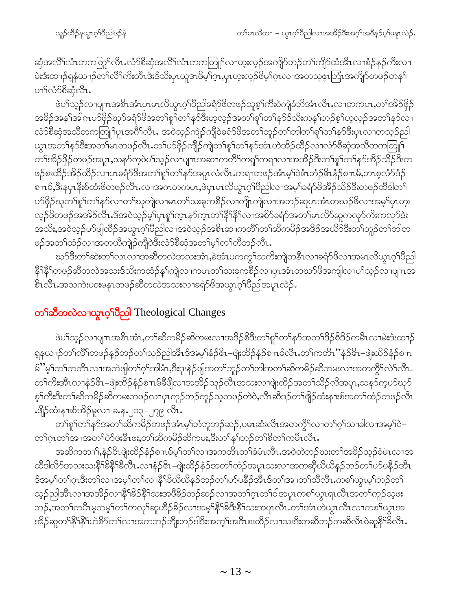ဆှံအလိ်<sup>ရ</sup>လံၤတကတြု်လိၤႉလံာ်စိဆှံအလိ်<sup>ရ</sup>လံၤတကတြူ<sup>ရ</sup>လၢဟူးလ့ဉ်အကျိၵ်ဘဉ်တ<sup>ရ</sup>ကျိန်ထံအီၤလၢစံဉ်နဉ်ကီးလၢ မဲးဒီးထၫဉ်ရနံယၫဉ်တ႑်လိႝၤက်းတီၤဒဲးဒ်သိးပှၤယူဒၤဖိမ့ၢ်ဂ့ၤႇပှၤဟူးလှဉ်ဖိမ့ၫ်ဂ္ၤလၢအတသွဇ္႑ဘြံၤအကျိဉ်တဖဉ်တန႑် ပၫ်လံာ်စီဆုံလီၤ.

ဖဲပါသ့ဉ်လၢပျπအစိၤအံၤပုၤမၤလိယ္လၤဂ့ါပီညါ့ခရံဉ်ဖိတဖဉ်သူစ့ါကီးဝဲကျဲခံဘိအံၤလီၤႉလၢတကပၤႇတၫ်အိဉ်ဖိုဉ် အခိဉ်အန<sup>ှ</sup>ုအါဂၤဟ်ဖှိဉ်ဃုာ်ခရံာ်ဖိအတ<sup>ှ</sup>ရုပ်တ<sup>ု</sup>နာ်ဒီးဟ့လ့ဉ်အတ<sup>ှ</sup>ရှုပ်တ<sup>ု</sup>နှာ်ဒ်သိးကနှၢ်ဘဉ်စ့၊်ဟ့လ့ဉ်အတ<sup>ှ</sup>နာ်လ<sup>ှ</sup>၊ လံာ်စီဆုံအသိတကတြူၫ်ပူၤအဂိၢိလိၤႉ အဝဲသ့ဉ်ကျဲဉ်ကျိဝဲခရံာ်ဖိအတ႑်ဘူဉ်တ႑်ဘါတ႑်ရှၤ်တ႑်နှာ်ဒီးပုၤလ႑တသ့ဉ်ညါ ယ္ပၤအတ႑်န>်ဒီးအတ႑်မၤတဖဉ်လီၤ.တ႑်ပာဖြဉ်ကျိဉ်ကျဲတ႑်စူ႑်တ႑်နာ်အီးယဲအိဉ်ထိဉ်လ႑လံာ်စိဆုံအသိတကတြူ႑် တၫ်အိဉ်ဖိုဉ်တဖဉ်အပူၤႇသနၥ်ကဲ့ဖဲပ႑်သ့ဉ်လၢပျ႑ာအဆ႑ကတိႝၤ်ကၡုၤ်ကရ႑လ႑အအိဉ်ဒီးတ႑်စူၤ်တ႑်နှာ်အိဉ်သိဉ်ဒီးတ ဖဉ်စးထိဉ်အိဉ်ထိဉ်လၢပုၤခရံဉ်ဖိအတ႑်စူ႑်တ႑်နှာ်အပူၤလံလီၤႉကရၢတဖဉ်အံၤမ့္၁ဝဲဇံၤဘုံဉ်&ၤနံ့ဉ်စπမ်ႇဘၤစ့လံဉ်ဒံဉ် စπမ်,ဒီးနပှၤနီးစ်ထံးဖိတဖဉ်လီၤ.လၫအကတကဟႇဖဲပှၤမၤလိယွၤဂ့်ၫိပညါလၫအမ့ၢ်ခရံဉ်ဖိအိဉ်သိဉ်ဒီးတဖဉ်ထိဒါတ႑် ပာ်ဖှိဉ်ဃုတ်ရုဂ်တၢ်နာ်လၢတဂ်ဃုကျဲလၢမၤတဂ်သးခုကစိဉ်လၢကျိုကျဲလၢအဘဉ်ဆူပှၤအံၤတဃဉ်ဖိလၢအမ့ဂ်ပှၤဟူး လှဉ်ဖိတဖဉ်အအိဉ်လီၤ.ဒ်အဝဲသ့ဉ်မ့\်ပှၤစူ\်က္ၤနှာ်က္ၤတ\်နီ\နီ\်လၢအစိာ်ခရံာ်အတ\်မၤလိာ်ဆူကလုာ်ကိႏကလုာ်ဒဲး အသိႏႈအဝဲသုဉ်ပာ်ဖျံထိဉ်အယွπဂ့ါပီညါလၫအဝဲသုဉ်အစိၤဆၫကတိႝၤ်တၤ်ဆိကမိဉ်အဒိဉ်အယိာ်ဒီးတၤ်ဘူဉ်တၤ်ဘါတ ဖဉ်အတၫ်ထံဉ်လၫအတယိကျဲဉ်ကျိဝဲဒီးလံာ်စိဆုံအတ႑်မှါတ႑်တိဘဉ်လိၤ

ၰာ်ဒီးတၫ်ဆဲးတ႑်လၤလၢအဆီတလဲအသးအံၤႇခဲအံၤပကကွ႑်သကိႏကျဲတနိၤလၢခရံာ်ဖိလၢအမၤလိယ္ပၤဂ့ၫ်ပိညါ နိ<sup>ု</sup>နိ<sup>ု</sup>တဖဉ်ဆီတလဲအသးဒ်သိးကထံဉ်နှၤ်ကျဲလၢကမၤတၤ်သးခုကစိဉ်လၢပှၤအံၤတဃာ်ဖိအကျါလၢပၤ်သ့ဉ်လၢပျ႑ာအ .<br>8ၤလီၤ.အသကဲးပ၀းမနၤတဖဉ်ဆီတလဲအသးလၢခရံာ်<sup>8</sup>အယွπဂ့ါဝိညါအပူၤလဲဉ်.

### တ<sup>ှ</sup>ဆီတလဲလၫယ္ဂၤ*ဂ့*်ါပီညှါ Theological Changes

ဖဲပါသ့ဉ်လၢပျπအစိၤအံၤ,တၢ်ဆိကမိဉ်ဆိကမးလၢအဒိဉ်စိဒီးတၢ်စူၢ်တၢ်နှာ်အတၢ်ဒိဉ်စိဒိဉ်ကမိၤလၢမဲးဒံးထၢဉ် ရှနယၫဉ်တၫ်လိႝၤ်တဖဉ်နဉ်ဘဉ်တ႑်သ့ဉ်ညါအီၤဒ်အမ့ၢ်နံဉ&–ဖျဲးထိဉ်နံဉ်စ႑ၤမ်လီၤႉတ႑်ကတိၤ်'နံဉ်&–ဖျဲးထိဉ်နံှဉ်စ႑ မ်ိပ္န်ေတြကတိၤလၢအတဲဖျတ႑်ဂ့ါအါမံ၊ႇဒီးဒုးနဲဉ်ဖျအတ႑်ဘူဉ်တ႑်ဘါအတ႑်ဆိကမိဉ်ဆိကမးလၢအတက္ဂိၤလဲြလီၤ. တၫ်ကိုးအီၤလၫနံဉ်&၊–ဖျဲးထိဉ်နံဉ်စπမ်ခ်ီဖျိလၢအအိဉ်သူဉ်လိၤအသးလၢဖျဲးထိဉ်အတ႑်သိဉ်လိအပူၤ,သန5်က့ဟ်ဃုဉ် စ့်ကြီးဒီးတၫ်ဆိက်မိဉ်ဆိကမးတဖဉ်လၢပှၤကူဉ်ဘဉ်ကူဉ်သ့တဖဉ်တဲဝဲ,လီၤဆီဒဉ်တၫ်ဖျိဉ်ထံးနုးးစ်အတ႑်ထံဉ်တဖဉ်လီၤ ..oြို့ထုံးန္းစုအွဲ႕မီဟ ၁- ၁- ၂၀၁–၂၇၉ လ်ိဳး

တၫ်စူၫ်တၫ်နှာ်အတ႑်ဆိကမိဉ်တဖဉ်အံၤမ့ၢ်ဘံဘူဘဉ်ဆဉ်,ပမၤဆံးလီၤအတကွိႝၤ်လၢတ႑်ဂ့ၢ်သၢခါလၢအမ့ၫ်ဝဲ– တၫ်ဂ္ဂၤတၫ်အၫအတ႑်ပဲ၁်ဖဴးနိုးဖဴႏႇတ႑ဆိကမိဉ်ဆိကမးႏဒီးတ႑်နှၤ်ဘဉ်တ႑်စိတ႑်ကမီၤလီၤ

အဆိကတ႑) နှံဉ်&ုဖျဲးထိဉ်နံဉ်စπမ်မ့ှါတှလာအကတိၤတှုခံမံၤလီၤအဝဲတဲဘဉ်ဃးတှုအခိဉ်သှဉ်ခံမံၤလၢအ ထိဒါလိ⁄ာ်အသးသးနိ<sup>၎႙ွ</sup>နိ<sup>႖႙ွ</sup>နီ၂ လ႑နဉ်&–ဖျဲးထိဉ်နံဉ်အတ႑်ထံဉ်အပူၤသးလ႑အကဆိုယ်ယိန္ဉာ်ဘဉ်တ႑်ပာ်ပနိဉ်အိၤ ဒ်အမ့<sup>ှ</sup>တၫ်ဂ္**ၤဒီးတၫ်လၢအမ့**ၫ်တၫလၢနိ<sup>႖</sup>နိဩယိယိန5်ဘဉ်တ႑်ပာပနိဉ်အီၤဒ်တ႑်အၢတ႑်သိလိၤႉကစ႑်ယွၤမ့္ ဘဉ်တ႑် သ့ဉ်ညါ့အီၤလၫအအိဉ်လၫနိ<sup>႖႙ၟ</sup>နိ႖ိသးအ<sup>88</sup>ဉ်ဘဉ်ဆဉ်လၫအတ<sup>၎</sup>ဂ္ဂၤတ႑်ဝါအပူၤကစ႑်ယွၤရၤလီၤအတ႑်ကူဉ်သ့ဖး ဘဉ်,အတ<sup>၎</sup>ကပီၤမ့တမ့<sup>၎</sup>တ႑်ကလု<sup>၎</sup>ဆူဟိဉ်ခိဉ်လၢအမ့<sup>၎ဇ္ဇ</sup>ါဒိဒိးနိ<sup>၎</sup>သးအပူၤလီၤ.တ<sup>၎</sup>အံၤဟဲယွၤလီၤလၢကစ႑်ယွၤအ အိဉ်ဆူတ<sup>၎ဇ္ဇ</sup>ါနိ<sup>၎</sup>ဟဲစိ႒်တ႑်လၫအကဘဉ်ဘိုုးဘဉ်ဒါဒီးအက့<sup>၎</sup>အဂီၤစးထိဉ်လ႑သးဒီးတဆိဘဉ်တဆိလိၤဝဲဆူနိ<sup>၎ဌ</sup>လိၤ.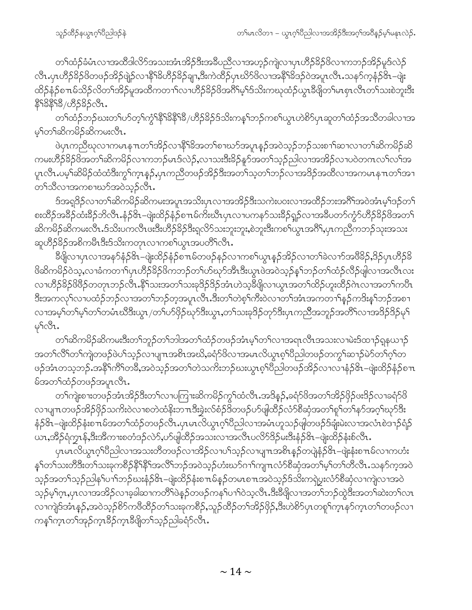တၫ်ထံဉ်ခံမံၤလၢအထိဒါလိ႒်အသးအံၤအိဉ်ဒီးအခ်ိဳပညီလၢအဟ့ဉ်ကျဲလၢပှၤဟိဉ်ခိဉ်ဖိလၢကဘဉ်အိဉ်မူဒ်လဲဉ် လီၤ.ပှၤဟိဉ်<sup>8</sup>ဉ်<sup>8</sup>တဖဉ်အိဉ်ဖျဲဉ်လၫနိ<sup>႖</sup>ၶိဟိဉ်နဉ်ချ႑အီးကဲထိဉ်ပှၤဃိာ<sup>8</sup>လေၤအနီ<sup>႖</sup>မိဒဉ်ဝဲအပူၤလီၤ.သနဉ်ကွန်ဉ်<sup>ဖွဲ</sup>႑—ဖျဲး ထိဉ်နှံဉ်စπမ်သိဉ်လိတ်၊အိဉ်မူအထိကတၫ်လၤဟိဉ်နိဉ်ဖိအ<sup>ပြွ</sup>မှ်ဒ်သိးကဃုထံဉ်ယွာနီဖြတ်၊မာစုာလီာတ၊်သးစဲဘူးဒီး 89898/09585091.

တၫ်ထံဉ်ဘဉ်ဃးတၫ်ဟ်တ့ၫ်ကွံ<sup>႖ဇ္ဇု</sup>႖ိနိ႖ိနိ႖ိနိ၂ဟိဉ်နိဉ်ဒ်သိးကန္ၫ်ဘဉ်ကစ႑်ယွၤဟဲစိဉ်ပှၤဆူတ႑်ထံဉ်အသိတခါလၢအ မ္ ်တ႑်ဆိကမိဉ်ဆိကမးလ်ိဳၤ

ဖဲပုၤကညီဃုလၢကမၤနπတၫ်အိဉ်လၢနိ<sup>႖</sup>ၶိအတၢ်စၢဃာ်အပူၤန္ဉာ်အဝဲသ့ဉ်ဘဉ်သးစၢၢ်ဆၢလၢတၫ်ဆိကမိဉ်ဆိ ကမးဟိဉ်ိန်ဉ်ဖိအတ်ၫဆိကမိဉ်လၫကဘဉ်မၤဒ်လဲဉ်ႇလၫသးဒီးနိဉ်နူဉ်အတ႑်သူဉ်ညါလၫအအိဉ်လ႑ပဝဲတဂၤလ႑်လ႑်အ ပူးလီး ပမ္ဒ<sup>င်္</sup>သမိခိုင်ထံထံဒီးကွ<sup>ို</sup>က္စ္မႈန္႕ိႇပုံးကညီတဖဉ်အိဉ်ဒီးအတ<sup>ြ</sup>သွတ<sup>်</sup>သည် သာအိဉ်အထိလၫအကမၤန္<sup>ု</sup>တ်အြာ တၫ်သီလၫအကစၫဃၥ်အဝဲသ္၄်လီၤ.

ဒ်အရုဒိဉ်လၢတၫ်ဆိကမိဉ်ဆိကမးအပူၤအသိႏၦၤလၢအအိဉ်ဒီးသကဲးပဝးလၢအထိဉ်ဘးအဂိၢ်အဝဲအံၤမ့ၢ်ဒဉ်တ႑် စးထိဉ်အခ်ိႆာ်ထံးခ်ိႆာဘိလီၤ.နံဉ်&၊–ဖျဲးထိဉ်နံဉ်စπမ်ကိးဃီၤပှၤလၢပကနာ်သးခ်ိႆာ်ရှှဉ်လၢအခ်ိဳပတာ်ကွံာ်ဟိႆဉ်ခိဉ်ဖိအတ႑် ဆိက<sup>္</sup>မိဉ်ဆိကမးလိၤ.ဒ်သိးပကလိၤဖးဒိးဟိဉ်<sup>8</sup>ဉ်ဒိးရလိဉ်သးဘူးဘူး,စဲဘူးဒိးကစၢ်ယွၤအဂိ်ၢ,ၦၤကညီကဘဉ်သုးအသး ဆူဟိဉ်8ဉ်အစိကမိၤဒီးဒ်သိးကတုၤလၢကစၫ်ယွၤအပတိႝၤလိၤ

ခ်ိဳဖျိလၢပှၤလၢအန>်နံဉ်&၊–ဖျဲးထိဉ်နံဉ်စπမ်တဖဉ်နဉ်လၢကစၢ်ယွၤနှဉ်အိဉ်လၢတၫ်ခဲလၢာ်အဖိခိဉ်,ဒိဉ်ပှၤဟိဉ်ခိ ဖိဆိကမိဉ်ဝဲသ့ႇလၫခံကတ႑)်ပုၤဟိဉ်ခိဉ်ဖိကဘဉ်တ႑်ဟ်ဃှာ်အီၤဒီးယွၤဖဲအဝဲသ့ဉ်နှၤ်ဘဉ်တ႑်ထံဉ်လိဉ်ဖျါလၫအလီၤလး လၫဟိ5ိခ်ဉ်ဖိဖိဉ်တတုၤဘဉ်လီၤ.နိ<sup>ရ်</sup>သးအတ<sup>ရ</sup>သးခု<sup>ဒ္ဌ</sup>ဉ်ဒိဉ်အံၤဟဲသွ<sup>ခွဲဖျ</sup>လၫယ္ပၤအတၫ်ထိဉ်ဟူးထိဉ်ဂဲၤလၢအတၫ်ကပီၤ လၫအမှၫ်တ႑်မှ႞တ႑်တမံၤဃိဒီးယွၤ /တ႑်ပာ်ဖိုဉ်ဃှာ်ဒီးယွၤႇတ႑်သးခုဒိဉ်တုာ်ဒီးပုၤကညီအဘူဉ်အတိြလၫအဒိဉ်ဒိဉ်မှ႑်  $\varphi$ s $\circ$ s.

တၫ်ဆိကမိဉ်ဆိကမးဒီးတၫ်ဘူဉ်တၫ်ဘါအတၫ်ထံဉ်တဖဉ်အံၤမ့ၢ်တၫ်လၢအရာလီၤအသးလၢမဲးဒ်ထ႑ာ်ရှနယ႑ာ် အတ႑်လိြတ႑်ကျဲတဖဉ်ဖဲပ႑်သည်လျာပျားအစိုးအဃိႇခရံဉ်ဖိလာအမှာလိယ္ငွာစုံရပြီညါတဖဉ်တကွ¶ဆ႑ာဉ်မဲဉ်တ႑်ပုံရတ ဖဉ်အံၤတသ့ဘဉ်ႉအနိ<sup>ု</sup>ကိ်ါတ<sup>8</sup>ွအဝဲသ့ဉ်အတ<sup>ှ</sup>တဲသက်းဘဉ်ဃးယွာစ့<sup>ရှ</sup>ဝိညါတဖဉ်အိဉ်လၫလၢနံဉ်<sup>၀ွ</sup>ၤ−ဖျံးထိဉ်နံဉ်စπ မ်အတ<sup>ှ</sup>ထံဉ်တဖဉ်အပူၤလီၤ.

တၫ်ကျဲးစၫးတဖဉ်အံၤအိဉ်ဒီးတၫ်လၫပကြ႑းဆိကမိဉ်ကွ႑်ထံလီၤႉအဒိန္ဉာ်,ခရံာ်ဖိအတ႑်အိဉ်ဖိုဉ်ဖးဒိဉ်လ႑ခရံာ်ဖိ လၫပျπတဖဉ်အိဉ်ဖိုဉ်သကိႏဝဲလ႑စတဲထံနိုးဘπဒီးခွဲးလ်စံဉ်ဒိတဖဉ်ပာ်ဖျံထိဉ်လံာ်စီဆုံအတ<sup>ု</sup>ရှ<sup>င်</sup>တ<sup>်</sup>နှာ်အဂ္ဂ<sup>ရ</sup>ယှာ်ဒီး နံဉိ<sup>၉</sup>ၤ်-ဖျဲးထိဉ်နံးစπမ်အတ<sup>ှ</sup>ထံဉ်တဖဉ်လီး ပှာမာလိယွာဂ့်္ဂါဝိညါလၫအမံၤဟူသဉ်ဖျတဖဉ်ဒ်ချီးမဲးလၢအလံၤစဲဒ႑ာနံြဉ် ...<br>ယာ,အိဉ်ရံကွာန်,ဒီးအိကၢးစတံဒဉ်လဲ9်,ဟ်ဖျထိဉ်အသးလၢအလိၤပလိ9်ဒိဉ်မ်းဒီးနံဉဲ&၊–ဖျဲးထိဉ်နံးစ်လီၤ.

γιမၤလိယ္လၤဂ့<sup>ရ</sup>ပီညါလၫအသးတိိတဖဉ်လၢအိဉ်လၫပ<sup>ု</sup>သ့ဉ်လၫပျ႑ၤအစိၤန္ဉာ်တပျဲနံဉ်<sup>ပွဲ</sup>ၤ−ဖျဲးနံးစ႑ၤမ်လ႑ကဟံး န5်တ5်သးတိဒီးတ5်သးခုကစိဉ်နိ5်နိ5်အလိ5်ဘဉ်အဝဲသ့ဉ်ဟံးဃာ်ဂၢာ်ကျπလံာ်စီဆုံအတ5်မ့5်တ5်တီလီၤ.သန5်က့အဝဲ သ့ဉ်အတ<sup>ၡ</sup>သ့ဉ်ညါန<sup>ရ</sup>ပၫ်ါဘဉ်ဃးနံဉ်<sup>၉</sup>၊ –ဖျဲးထိဉ်နံးစπမ်နှဉ်တမၤစπအဝဲသ့ဉ်ဒ်သိးကရှဲပွးလံာ်စီဆုံလၢကျဲလၢအဝဲ သည်မှ<sup>ရ</sup>ဂ္ဂၤ,ပုၤလၢအအိဉ်လၢခ့ခါဆၢကတိ<sup>ရ</sup>ဖဲနဉ်တဖဉ်ကန5်ပၢာ်ဝဲသ့လီၤ.ဒီးခီဖျိလၢအတ9်ဘဉ်ထွဲဒီးအတ9်ဆဲးတ9်လၤ လၫကျဲဒ်အံၤန္ဉာ်,အဝဲသ့ဉ်စိ႒်ကဖိထိဉ်တ႑်သးခုကစိဉ်,သူဉ်ထိဉ်တ႑်အိဉ်ဖိုဉ်,ဒီးဟဲစိ႒်ပုၤတစူ႑်က္ၤနာ်က္ၤတ႑်တဖဉ်လ႑ ကန္ ်က္နာတ႑်အုဉ်က္နာခ်ိဳဥ်က္နာခ်ိဳဖျိတ႑်သူဉ်ညါခရံာလီာ.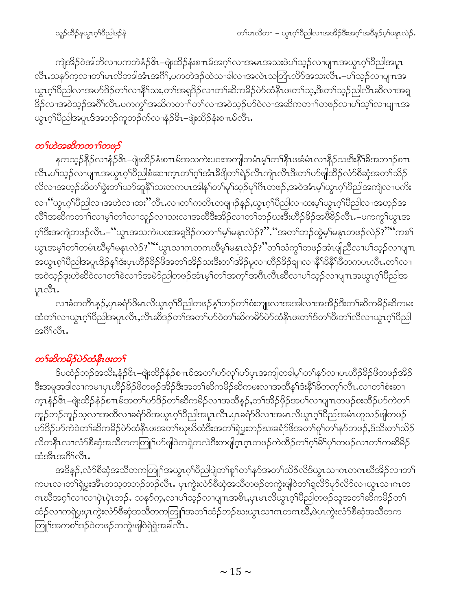ကျဲအိဉ်ဝဲအါဘိလၢပကတဲနံဉ&1–ဖျဲးထိဉ်နံးစπမ်အဂ္ဂါလၢအမၤအသးဖဲပါသူဉ်လၢပျπအယွၤဂ့ါပီညါအပူၤ လီၤ.သန5်က့လၢတၫ်မၤလိတခါအံၤအဂိါ,ပကတဲဒဉ်ထဲသၢခါလၢအလဲၤသတြဲၤလိ5်အသးလီၤ.–ပါသ့ဉ်လၢပျ႑ာအ ယွၤဂ့ါ်ပီညါလၢအပာ်ဒိဉ်တ1်လၢနိႝၤ်သး,တ1်အရှဒိဉ်လၢတ1်ဆိကမိဉ်ပဲာ်ထံနိၤဖးတ1်သ့,ဒီးတ1်သ့ဉ်ညါလီၤဆီလၢအရှ <u>8</u>ဉ်လၫအဝဲသုဉ်အဂိါလီၤ.ပကကွ<sup>ရ</sup>အဆိကတၫ<sup>ရဲ</sup>တၫလၤအဝဲသုဉ်ပာဝဲလၫအဆိကတၫါတဖဉ်လ႑ပြသေ့ါလ႑ပျ႑ာအ ယ္စာဂ္ဒ္က်ပြီညါအပူာဒ်အဘဉ်ကူဘဉ်က်လၫနံ့ဉ်&၊–ဖျဲးထိဉ်နံးစπမ်လီၤ.

#### တ႑်ဟဲအဆိကတ႑ာ်တဖဉ်

နကသ့ဉ်နိဉ်လၫနှံဉ်&–ဖျဲးထိဉ်နုံးစπမ်အသကဲးပဝးအကျါတမံၤမ့ၢ်တၢ်နိုၤဖးခံမံၤလၢနိဉ်သးဒိုးနိ<sup>၎</sup>ခ်ိအဘ႑ာ်စπ လီၤႉပၢ်သ္ဉ်ာလာပျπအယွာဂ့ဂ်ပြီညါစံးဆၢက္ၤတၫ်ဂ့ဂ်အံာနီဖျိတ႑်ရဲဉ်လီၤကျဲၤလီၤဒီးတ႑်ပာ်ဖျ်ထိဉ်လံာ်စီဆုံအတ႑်သိဉ် လိလၫအဟ္ဒဉ်ဆိတ်ၫ်ခွဲးတ<sup>5</sup>ယာ်ဆူနိ<sup>5</sup>သးတကပၤအါန5်တ<sup>ြ</sup>မှ<sup>ြ</sup>ဆှဉ်မု<sup>5</sup>က တဖဉ်,အဝဲအံၤမ့ါယွၤဂ့်ာပိညါအကျဲလ႑ပက်ိး လၫ'´ယွၤဂ့ၫ်ပိညါလၫအဟဲလ႑ထႏ''လိၤႉလ႑တ႑်ကတိၤတဖျ႑ဉ်နဉ်ႇယွၤဂ့ၫ်ပိညါလ႑ထးမ့ၫ်ယွၤဂ့ၫ်ပိညါလ႑အဟ္ဉဉ်အ လိ်<sup>ရ</sup>အဆိကတၫ်လၢမ့<sup>၎</sup>တၫ်လၢသူဉ်လၢသးလၢအထိဒီးအိဉ်လၢတၫ်ဘဉ်ဃးဒီးဟိဉ်<sup>8</sup>ဉ်အဖိ<sup>8</sup>ဉ်လီၤ<sup>့–</sup>ပကကွ<sup>ရ</sup>ယွာအ ဂ့<sup>ရဒ္</sup>ီးအကျဲတဖဉ်လီၤႉ–''ယွာအသကဲးပဝးအရှဒိဉ်ကတၫၢိမ့ၢ်မနုၤလဲဉ်?''.''အတၫ်ဘဉ်ထွဲမ့<sup>ရ</sup>မနုၤတဖဉ်လဲဉ်?''''ကစ<sup>၎</sup> ယ္ပၤအမ့<sup>၎</sup>တၫ်တမံၤဃိမ့ၫ်မနၤလဲဉ်?''''ယ္ပၤသၢဂၤတဂၤဃိမ့ၫ်မနၤလဲဉ်?''တၫ်သံကွၫ်တဖဉ်အံၤဖျံညီလၢပၫ်သ့ဉ်လၢပျ႑ၤ .<br>အယွၤစ့<sup>ရ</sup>ပြီညါအပူၤဒိဉ်န1်ဒီးပုၤဟိဉ်<sup>ရွှ</sup>ဉ်ဖိအတ1်အိဉ်သးဒီးတ1်အိဉ်မူလၢဟိဉ်<sup>ရွှ</sup>ဉ်ချာလၢနိ<sup>ရ</sup>န်ရှိခဲ့တကပၤလိၤ.တ1်လၢ အဝဲသူဉ်ဒုးဟဲဆိဝဲလၫတ်ရဲဆလာာ်အမဲဉ်ညါတဖဉ်အံၤမ့္ပ်ာတရားတွင်အဂၤလီၤဆီလ႑ပရသူဉ်လ႑ပျ႑ာအယွားဝ့ရ်ပြီညါအ ុាសិរ.

လၢခံတတိၤနဉ်ႇပှၤခရံာ်ဖိမၤလိယ္ပၤဂ့ၢ်ပိညါတဖဉ်နှၤ်ဘဉ်တၢ်စံးဘျုးလၢအအါလၢအအိဉ်ဒီးတၢ်ဆိကမိဉ်ဆိကမး ထံတၫ်လၫယ္ပၤဂ္ဂၢိ၀ိညါအပူၤလီၤႇလီၤဆီဒဉ်တ႑်အတ႑်ပၥ်ဝဲတ႑်ဆိကမိာပဲ၁်ထံနိုးဖူးတ႑်ဒ်တ႑်ပီးတ႑်လီလ႑ယ္ပၤဂ္ဂၢိ၀ိညါ အဂ်ိဳးလီး.

#### တ႑်ဆိုကမိဉ်ပဲဉ်ထံနီးပးတ႑်

ဒ်ပထံဉ်ဘဉ်အသိး,နံဉ်&၊–ဖျဲးထိဉ်နံဉ်စπမ်အတၤ်ပာ်လုၤ်ပာပွာအကျါတခါမ့ၤ်တၤ်နာ်လၢပှၤဟီဉ်ခိဉ်ဖိတဖဉ်အိဉ် ဒီးအမူအဒါလၫကမၢပုၤဟိဉ်<sup>႙ွ</sup>ဉ်ဖိတဖဉ်အိဉ်ဒီးအတ႑်ဆိကမိဉ်ဆိကမးလၢအထိိန္ ်ဒီးနိ<sup>႖</sup>ၶိတက္႑်လိၤႉလၢတ႑်စံးဆ႑ က္ၤနံဉ်&ၤ–ဖျဲးထိဉ်နံဉ်စπမ်အတၤ်ပာ်ဒိဉ်တၤ်ဆိကမိဉ်လၢအထိန္ဉာ်,တၤ်အိဉ်ဖိုဉ်အပၤ်လၢပျ႑ာတဖဉ်စးထိဉ်ပာ်ကဲတၤ် ကူဉ်ဘဉ်ကူဉ်သ့လၢအထိလၢခရံဉ်ဖိအယွာဂ့<sup>ရ</sup>ပီညါအပူၤလီၤ.ပှၤခရံဉ်ဖိလၢအမၤလိယွာဂ့<sup>ရ</sup>ပီညါအမံၤဟူသဉ်ဖျါတဖဉ် ပာ်<sup>ဒြ</sup>ဉ်ပာ်ကဲဝဲတ<sup>၎</sup>ဆိကမိဉ်ပဲာ်ထံနီၤဖးအတ<sup>ှ</sup>ုဃုဃိထံဒီးအတ<sup>ှ</sup>ရဲ့ပွးဘဉ်ဃးခရံာ်<sup>ဖွ</sup>အတ<sup>ှ</sup>ရုာ်တ<sup>ှ</sup>နာ်တဖဉ်,ဒ်သိးတ႑်သိဉ် လိတနိုၤလၢလံာ်စီဆုံအသိတကတြူၫ်ဟ်ဖျါဝဲတရှဲတလဲဒီးတဖျါဂ္ၤဂ္ၤတဖဉ်ကဲထိဉ်တ႑်ဂ္ဂါမိ႑်ပှ႑်တဖဉ်လၢတ႑်ကဆိမိဉ် ထံအီၤအဂ်ိဳးလ်ိဳး.

အဒိန္5ႇလံာ်စီဆုံအသိတကတြူၫ်အယွာဂ့ၫ်ပိညါပျဲတၫ်စူၫ်တၫ်နှာ်အတ႑်သိဉ်လိဒ်ယွာသၢကတကဃိအိဉ်လ႑တ႑် ကပၤလၢတၫ်ရဲပွးအီၤတသ့တဘဉ်ဘဉ်လီၤ. ပုၤကွဲးလံာ်စီဆုံအသိတဖဉ်တကွဲးဖျါဝဲတၫ်ရလိာ်မှာ်လိာ်လၢယွၤသၢဂၤတ ဂၤဃီအဂ္ဂါလၫလၫပှဲၤပှဲၤဘဉ်ႉ သန5်က္,လၫပ႑်သ္၁်လၫပျπအစိၤ,ပှၤမၤလိယ္ဂၤဂ့ဴၢိပိညါတဖဉ်သူအတ႑်ဆိကမိဉ်တ႑် ထံဉ်လၢကရဲပွးပုၤကွဲးလံာ်စိဆုံအသိတကတြူၫ်အတၫ်ထံဉ်ဘဉ်ဃးယွၤသၢဂၤတဂၤဃိႆႇဖဲပုၤကွဲးလံာ်စိဆုံအသိတက တြူၫ်အကစၫ်ဒဉ်ဝဲတဖဉ်တကွဲးဖျါဝဲရဲရဲအခါလီၤ.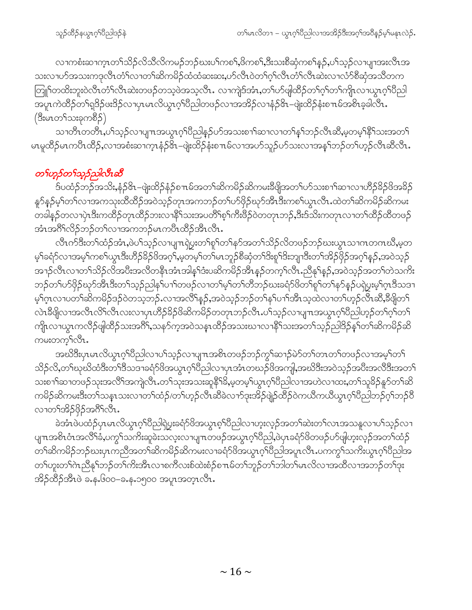လၫကစံးဆၫက္ၤတၫ်သိဉ်လိသိလိကမဉ်ဘဉ်ဃးပၫ်ကစ႑်,ဗိကစ႑်,ဒီးသးစိဆုံကစ႑်နှဉ်,ပ႑်သူဉ်လ႑ပျၫအးလီၤအ သးလၢပာ်အသးကဒုလိၤတံၫ်လၢတၫ်ဆိကမိဉ်ထံထံဆးဆး,ပာ်လီၤဝဲတၫ်ဂ့ၢ်လီၤတံၫလီၤဆဲးလၢလံာ်စီဆုံအသိတက တြူ်တထိးဘူးဝဲလီၤတိၫ်လီၤဆဲးတဖဉ်တသ့ဖဲအသ့လီၤ. လၫကျဲဒ်အံၤ,တ႑်ပာ်ဖျါထိဉ်တ႑်ဂ့႑်တ႑်ကျိုးလ႑ယ္မ႑ဂ္ဂါ၀ိညါ \_\_\_<br>အပူၤကဲထိဉ်တ႑်ရှ3်ဉဴဖး3်ဉ်လၫပုၤမၤလိယ္ဂၤဂ့ၫ်ပီညါတဖဉ်လၫအအိဉ်လၫနံဉ်&ၤ–ဖျဲးထိဉ်နုံးစ႑ာမ်အစိၤခ့ခါလိၤႉ (ဒီးမၤတ႑်သးခုကစိဉ်)

သၢတိၤတတိၤႇပါသ့ဉ်လၢပျπအယွၤဂ့ါပိညါန္ဉဉ်ပာ်အသးစၢါဆၢလၢတ<sup>ျ</sup>န္ါဘဉ်လီၤဆိႇမ့တမ့<sup>ၡန္ရွ</sup>ိသးအတ<sup>ျ</sup> မၤမူထိဉ်မၤကပိၤထိဉ်,လၢအစီးဆၢက္ၤနံဉ်၆်ၤ–ဖျဲးထိဉ်နံးစ႑ၤမ်လၢအပာ်သူဉ်ပာ်သးလၢအန†ါဘဉ်တ႑်ဟ့ဉ်လီၤဆီလီၤ $\cdot$ 

#### တ႑်ဟူဉ်တ႑်သူဉ်ညှါလီၤဆီ

ဒ်ပထံဉ်ဘဉ်အသိး,နံဉ&၊–ဖျံးထိဉ်နံဉ်စπမ်အတၫ်ဆိကမိဉ်ဆိကမးခီဖျိအတ႑်ဟ်သးစ႑ာ်ဆ႑လ႑ဟိဉ်ခိဉ်ဖိအခိဉ် နူာ်နဉ်မှ<sup>၎</sup>တ႑်လၫအကသုးထိထိဉ်အဝဲသ့ဉ်တုၤအကဘဉ်တ႑်ပာ်ဖှိဉ်ဃုာ်အီၤဒီးကစ႑်ယွၤလီၤႉထဲတ႑်ဆိကမိဉ်ဆိကမး တခါန္ဉာိတလၢပုံၤဒီးကထိဉ်တုၤထိဉ်ဘးလၢနိ<sup>၎</sup>သးအပတိႝၤ်စ့<sup>၎</sup>ကီးဖိဉ်ဝဲတတုၤဘဉ်ႇဒီးဒ်သိးကတုၤလၢတၤ်ထိဉ်ထိတဖဉ် အံၤအဂိါလိဉ်ဘဉ်တါလၢအကဘဉ်မၤကပီၤထိဉ်အီၤလီၤ.

လီၤက်ဒီးတၫ်ထံဉ်အံၤႇဖဲပၫ်သ့ဉ်လၫပျ႑ာရဲပွးတ႑်စူၫ်တ႑်နဉ်အတ႑်သိဉ်လိတဖဉ်ဘဉ်ဃးယွၤသၢကတကဃိႆႇမ့တ မ့်ၫ်ခရံာ်လၢအမဲ့ၫ်ကစၫ်ယွာဒီးဟိဉ်ခိဉ်ဖိအဂ္ဂၤ်မ့တမ့ၤ်တၤ်မာဘူဉ်စီဆုံတၤ်ဒိးစူၤ်ဒိးဘျာဒီးတၤ်အိဉ်ဖိုဉ်အဂ္ဂၤ်နှဉ်,အဝဲသူဉ် အၫဉ်လီၤလၢတၫ်သိဉ်လိအပီးအလီတနီၤအံၤအါန႑်ဒံးပဆိကမိဉ်အီၤန္ဉာ်တက္႑်လီၤ.ညီနုၤ်န္ဉာ်,အဝဲသ္ဉာ်အတ႑်တဲသကိႏ ဘဉ်တၫ်ဟ်ဖိုဉ်ဃှာ်အီၤဒီးတ႑်သ့ဉ်ညါနှၤ်ပ႑ါတဖဉ်လ႑တ႑်မှၤ်တ႑်တိဘဉ်ဃးခရံာ်ဖိတ႑်စူၫ်တ႑်နှာ်နှဉ်ပရဲပွးမ့ၤ်ဂ္ဂၤဒိသဒ႑ မ့်ဂုၤလၢပတၫ်ဆိကမိဉ်ဒဉ်ဝဲတသ့ဘဉ် လၢအလိႝန္ဉာ်,အဝဲသ့ဉ်ဘဉ်တ႑်နှၤ်ပၢၤ်အီၤသ့ထဲလၢတၤ်ဟ့ဉ်လီၤဆီ,ခီဖျိတၤ် လဲၤနီဖျိလၢအလီၤလိ်ၤလီးလၢပုၤဟိဉ်နိဉ်ဖိဆိကမိဉ်တတုၤဘဉ်လီၤႉပါသ့ဉ်လၢပျ႑ာအယွာဂ့ါပီညါဟ့ဉ်တါဂ့ါတ1် ကျိုးလၫယ္ပၤကလိဉ်ဖျါထိဉ်သးအဂိ်ၫႇသနာ်က့အဝဲသန္ၤထိဉ်အသးဃ႑လၫနိႝၤ်သးအတၤ်သ့ဉ်ညါဒိဉ်နၤ်တၤ်ဆိကမိဉ်ဆိ ကမးတက္န္က်လြီး

အဃိဒီးပုၤမၤလိယ္ဂၤဂ့ါ၀ိညါလၢပါသ့ဉ်လၢပျ႑ာအစိၤတဖဉ်ဘဉ်ကွါဆ႑ာ်မဲာ်တါတၤတါတဖဉ်လၢအမ့ါတါ သိဉ်လိ,တၫ်ဃုဃိထံဒီးတၫ်ဒိသဒၢခရံဉ်ဖိအယွာဂ့ၫ်ပိညါလၫပှၤအံၤတဃဉ်ဖိအကျါ,အဃိဒီးအဝဲသုဉ်အပီးအလိဒီးအတ႑် သးစၫါဆၢတဖဉ်သုးအလိိ<sup>ရ</sup>အကျဲလီၤႉတ<sup>ရ</sup>သုးအသးဆူနိ<sup>ရ</sup>3,မ့တမ့ါယွπဂ့ါပီညါလၫအဟဲလ႑ထး,တၫ်သူ<sup>9</sup>ဉ်နှာ်တ႑်ဆိ ကမိဉ်ဆိကမးဒီးတ<sup>ို</sup>သနၤသးလၢတ<sup>ရ</sup>ထံဉ်/တ<sup>ရ</sup>ဟ္ဥာ်လီၤဆိခဲလၫာ်ဒုးအိဉ်ဖျဲဉ်ထိဉ်ဝဲကယိကယိယွၤဂ့ါပိညါဘဉ်ဂ့ါဘဉ်ပိ လၢတ႑်အိဉ်ဖိုဉ်အင်္ဂိုလီး.

ခဲအံၤဖဲပထံဉ်ပုၤမၤလိယ္ဂၤဂ့ၫ်ပီညါရဲပွးခရံဉ်ဖိအယွπၵ့ၫ်ပီညါလၫဟူးလ္ဉ်အတ႑်ဆဲးတ႑်လၤအသန္ဒလ႑ပ႑်သ္ဉ်လ႑ ပျπအစိၤဝံၤအလိ််၊ခံႇပက္ဂၤ်သက်ိးဆူခဲးသလူးလၢပျπတဖဉ်အယွπဂ္ၤါဝိညါႇဖဲပုၤခရံာ်ဖိတဖဉ်ပာ်ဖျ်ဟူးလှဉ်အတၤ်ထံဉ် တၫ်ဆိကမိဉ်ဘဉ်ဃးပှၤကညီအတၫ်ဆိကမိဉ်ဆိကမးလၢခရံဉ်ဖိအယွၤဂ့ၢ်ပိညါအပူၤလီၤ.ပကကွ<sup>၎်</sup>သကိးယွၤဂ့ၢ်ပိညါအ တၫ်ဟူးတၫ်ဂဲၤညီနုၫ်ဘဉ်တၫ်ကိုးအီၤလၢစကီလးစ်ထဲးစံဉ်စ႑ာမ်တၫ်ဘူဉ်တၫ်ဘါတၢ်မၤလိလ႑အထိလ႑အဘဉ်တ႑်ဒုး အိဉ်ထိဉ်အီၤဖဲ ခ.န.၆၀၀–ခ.န.၁၅၀၀ အပူၤအတ္ၤလီၤ.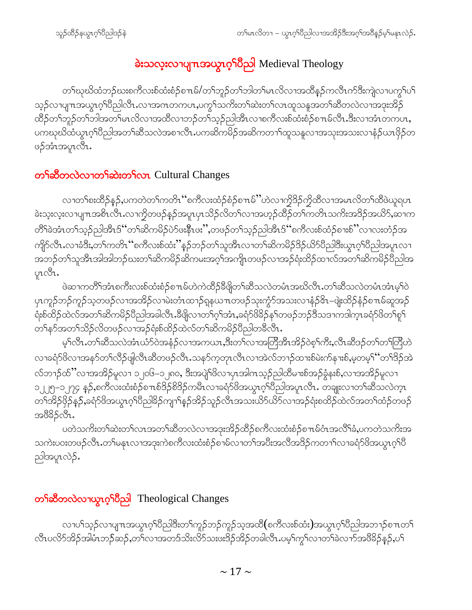## ခဲးသလုံးလၫပျπအယွာက်ပြီညါ Medieval Theology

တၫ်ဃုဃိထံဘဉ်ဃးစကီလးစ်ထံးစံဉ်စπမ်/တၫ်ဘူဉ်တၫ်ဘါတၫ်မၤလိလၢအထိနဉ်ကလီၤက်ဒီးကျဲလၢပကွၫ်ပ႑် သ့ဉ်လၫပျ႑ာအယွာဂ့ါပိညါလီာ လ႑အဂၤတကပာ ပကွ<sup>ရသက္</sup>းတ<sup>ရ</sup>ဆဲးတ<sup>ရ</sup>လာထူသန္မအတၫ်ဆိတလဲလ႑အဒုးအိဉ် ထိဉ်တၫ်ဘူဉ်တၫ်ဘါအတ႑်မၤလိလၢအထိလၢဘဉ်တ႑်သ့ဉ်ညါအီၤလၢစကီလးစ်ထံးစံဉ်စ႑ၤမ်လီၤ.ဒီးလၢအံၤတကပၤ, ပကၰဃိထံယွၤဂ့<sup>ရ</sup>ပီညါအတ<sup>ရ</sup>ဆီသလဲအစၫလီၤ.ပကဆိကမိဉ်အဆိကတၫၢ်ထူသနူလၫအသုးအသးလၫနံဉ်ယၤဖှိဉ်တ ဖဉ်အံၤအပူၤလီၤ.

### တ<sup>ှ</sup>ဆိတလဲလ တ န်ဆဲးတ ှိလၤ Cultural Changes

လၢတၫ်စးထိဉ်နဉ်,ပကတဲတၫ်ကတိၤ ''စကီလးထံဉ်စံဉ်စ႑ာမ်ိႛ'ဟဲလၢက္ခိဒိဉ်က္ခိထိလၢအမၤလိတၫ်ထိဖဲယူရပၤ ခဲးသူးလူးလၫပျπအစိၤလိၤႉလၫက္ရွိတဖဉ်နဉ်အပူၤပုၤသိဉ်လိတ်ၤ်လၢအဟ္ဥ်ာထိဉ်တ႑်ကတိၤသကိႏၶာဒိဉ်အယိ9်ႇဆ႑က တိ<sup>ရ</sup>ခဲအံၤတ<sup>၎</sup>သှဉ်ညါအီၤဒ်''တ႑်ဆိကမိဉ်ပဲာ်ဖးနိုၤဖး'',တဖဉ်တ႑်သွဉ်ညါအီၤဒ်''စကီလးစ်ထံဉ်စၢးစ်''လၢလးတံဉ်အ ကျိ $\circ$ လိၤ $\cdot$ လၢခံဒိး $\cdot$ တ႑်ကတိၤ်စကီလးစ်ထံး $"$ နဉ်ဘဉ်တ႑်သူအီၤလၢတ႑်ဆိကမိဉ် $\rm 3$ ဉ်ယိ $\rm 5$ ပိညါဒီးယွၤဂ့႑်ပိညါအပူၤလၢ အဘဉ်တၫ်သူအီၤအါအါဘဉ်ဃးတ႑်ဆိကမိဉ်ဆိကမးအဂ္႑်အကျိၤတဖဉ်လၢအဉ်ရံးထိဉ်ထၢလ်အတ႑်ဆိကမိဉ်ပီညါအ pio31.

ဖဲဆၢကတိႝၫအံၤစကီးလးစ်ထံးစံဉ်စ႑ာမ်ဟဲကဲထိဉ်ခ်ိဖျိတ႑်ဆိသလဲတမံၤအဃိလီၤ.တ႑်ဆိသလဲတမံၤအံၤမ့႑်ဝဲ ၦၤကူဉ်ဘဉ်ကူဉ်သ့တဖဉ်လၢအအိဉ်လၢမဲးတံၤထၢဉ်ရှနယπတဖဉ်သုးကွံာ်အသးလၢနံဉ်&ၤ–ဖျဲးထိဉ်နံဉ်စπမ်ဆူအဉ် ရံးစ်ထိဉ်ထဲလ်အတ႑်ဆိကမိဉ်ပီညါအခါလီၤ.ခ်ိဖျိလ႑တ႑်ဂ့႑်အံၤ,ခရံဉ်ဖိခိဉ်န႑်တဖဉ်ဘဉ်ဒိသဒ႑ကဒါက္ၤခရံဉ်ဖိတ႑်စူ႑် တၫ်နဉ်အတ႑်သိဉ်လိတဖဉ်လၢအဉ်ရံးစ်ထိဉ်ထဲလ်တ႑်ဆိကမိဉ်ပီညါတခ်ီလီၤႉ

မ့်ၢလီၤ.တၫ်ဆီသလဲအံၤယံာ်ဝဲအနံဉ်လၢအကယၤ,ဒီးတ႑်လၢအတြိအိၤအိဉ်ဝဲစ့ၢ်ကီး,လီၤဆီဒဉ်တ႑်တ႑်တြိဟဲ လၢခရံာ်ဖိလၢအနာ်တၫ်လိဉ်ဖျါလီၤဆီတဖဉ်လီၤႉသနာ်က့တုၤလီၤလၢအဲလ်ဘ႑ာ်ထၢးစ်မဲးက်နၢးစ်,မ့တမ့<sup>၎</sup>်ဴတၫ်ဒိဉ်အဲ လ်ဘၫဉ်ထိ"လၢအအိဉ်မူလၢ ၁၂၀၆–၁၂၈၀, ဒီးအပျဲ<sup>ရ</sup>ဖိလၢပှၤအါဂၤသ့ဉ်ညါထိမၢးစ်အဉ်ခွံနးစ်,လၢအအိဉ်မူလၢ ၁၂၂၅–၁၂၇၄ န**ှ်ႇ**စကီလးထံးစံှဝစ်πစ်<sup>8</sup>ဉ်စိ<sup>8</sup>ဉ်ကမီၤလၢခရံှာ်ဖိအယွာဂ့ၫ်ပီညါအပူၤလီၤ. တချူးလၢတၫ်ဆီသလဲက္ၤ တၫ်အိဉ်ဖှိဉ်နဉ်,ခရံဉ်ဖိအယွာဂ့ၫ်ပီညါခိဉ်ကျၫ်နှဉ်အိဉ်သူဉ်လီၤအသးယိဉ်ယိဉ်လၢအဉ်ရံးစထိဉ်ထဲလ်အတ႑်ထံဉ်တဖဉ် အ8ိ $35$ လိၤ.

ပတဲသက်ိးတၫ်ဆဲးတၫ်လၤအတၫ်ဆီတလဲလၢအဒုးအိဉ်ထိဉ်စကီလးထံးစံဉ်စπမ်ဝံၤအလိၢ်ခံ,ပကတဲသက်ိးအ သကဲးပဝးတဖဉ်လီၤႉတၫ်မနုၤလၢအဒုးကဲစကီလးထံးစံဉ်စၫမ်လၢတၫ်အပီးအလိအဒိဉ်ကတ႑ၢ်လၢခရံာ်ဖိအယွာၤဂ့ၢ်ပီ ညါအပူၤလဲဉ်.

### တ<sup>ှ</sup>ခ်ီတလဲလၫယ္ဓၤ**့** ်ါတ္ေါ Theological Changes

လၢပါသူဉ်လၢပျπအယွπဂ့ါပီညါဒီးတၢ်ကူဉ်ဘဉ်ကူဉ်သ့အထိ(စကီလးစ်ထံး)အယွπဂ့ါပီညါအဘ႑ာ်စπတ႑် လီၤပလိ်ာအိဉ်အါမံၤဘဉ်ဆဉ်,တၫ်လၫအတဒ်သိးလိ်ာသးဖးဒိဉ်အိဉ်တခါလီၤ.ပမ့ၢ်ကွ<sup>၎</sup>လၫတ<sup>ြ</sup>ခဲလ<sup>ှ</sup>ာ်အ<sup>88</sup>ဉ်နဉ်,ပ<sup>၎</sup>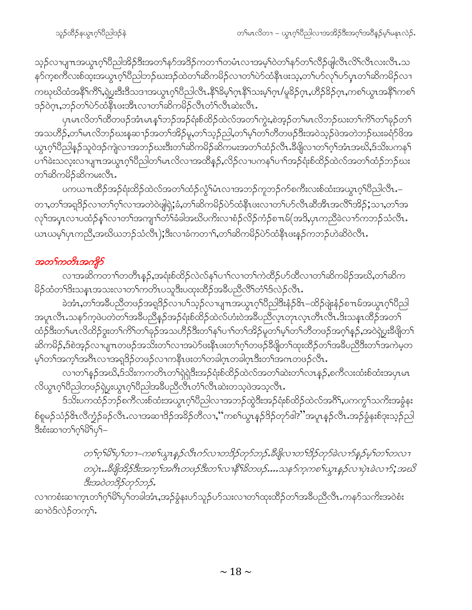သ့ဉ်လၢပျπအယွၤဂ့ၫ်ပိညါအိဉ်ဒီးအတ႑်နှာ်အဒိဉ်ကတ႑ာ်တမံၤလၢအမ့ၢ်ဝဲတ႑်နှာ်တ႑်လိဉ်ဖျါလီၤလိ႑်လီၤလးလီၤ.သ နဉ်ကစကီလးစ်ထုံးအယွπဂ့်္ဂါဝိညါဘဉ်ဃးဒဉ်ထဲတ႑်ဆိကမိဉ်လၢတ႑်ပဲဉ်ထံနိုၤဖးသ့ႇတ႑်ပာ်လှၤ်ပာ်ပှၤတ႑်ဆိကမိဉ်လ႑ ကဃုဃိထံအနိ<sup>၎</sup>ကိ<sup>၎</sup>,ရဲပ္ငးဒီးဒီသဒၢအယွၤဂ့ၫ်ပညါလီၤ.နိ<sup>၎ဌွ</sup>မ့ၫ်ဂ္ၤနိ႑သးမ့ၫ်ဂ္၊ /မူခိဉ်ဂ္၊ ဟိဉ်ခိဉ်ဂ္၊ ကစ႑်ယ္၊အနိ<sup>၎</sup>ကစ႑် ဒဉ်ဝဲဂ္ဂၤ,ဘဉ်တ႑်ပဲာ်ထံနီၤဖးအီၤလၢတ႑်ဆိကမိဉ်လီၤတံ႑လီၤဆဲးလီၤ

ပုၤမၤလိတၫ်ထိတဖဉ်အံၤမၤန1်ဘဉ်အဉ်ရံးစ်ထိဉ်ထဲလ်အတၤ်ကွဲး,စဲအ့ဉ်တၤ်မၤလိဘဉ်ဃးတၤ်ကိၤ်တၤ်ခုဉ်တၤ် အသဟိဉ်ႇတၫိမၤလိဘဉ်ဃးန်ဆ႑ာ်အတ႑်အိဉ်မူႇတ႑်သွဉ်ညါႇတ႑်မှ႑ိတ႑်တိတဖဉ်ဒီးအဝဲသှဉ်ဖဲအတဲဘဉ်ဃးခရာ်ဖိအ ယ္ပၤဂ္ဂ<sup>ရ</sup>ဝိညါနဉ်သူဝဲဒဉ်ကျဲလ<sup>ျ</sup>အဘဉ်ဃးဒီးတ<sup>ရ</sup>ဆိကမိဉ်ဆိကြမးအတၫ်ထံဉ်လီၤႉဒီဖျိလၢတၫ်ဂ့ၫ်အံၤအဃိႇဒ်သိးပကန႑် ပၫ်ါခဲးသလူးလၢပျπအယွπဂ့ါပီညါတ်မπလိလၢအထိန္ဉ်ႇလိဉ်လၢပကနဉ်ပၢါအဉ်ရံးစ်ထိဉ်ထဲလ်အတၤ်ထံဉ်ဘဉ်ဃး တ႑်ဆိုကမိဉ်ဆိုကမးလိုၤ.

ပကယπထိဉ်အဉ်ရံးထိဉ်ထဲလ်အတ<sup>ှ</sup>ထံဉ်လွံ<sup>ရ</sup>မံၤလၢအဘဉ်ကူဘဉ်က်စကီးလးစ်ထံးအယွπဂ့<sup>ရှ</sup>ဝိညါလီၤ.– တၢႇတၫ်အရှ3်ဉလၢတၫ်ဂ့ၫ်လၢအတဲဝဲဖျါရှဲ;ခံ,တ႑်ဆိကမိဉ်ပဲာ်ထံနီၤဖးလၢတ႑်ပာ်လီၤဆီအီၤအလီၤ်အိဉ်;သၢႇတ႑်အ လှ<sup>ရ</sup>အပူၤလၢပထံဉ်နှ<sup>ရ</sup>လၢတ<sup>ရ</sup>အကျၢ<sup>ရ</sup>တိရှိခံခါအဃိပကိႏလၢစံဉ်လိုဉ်ကံဉ်စπမ်(အဒိ,ပုၤကညီခဲလၢာ်ကဘဉ်သံလီၤ. ယၤယမ့္ပ်ပုၤကညီ,အဃိယဘဉ်သံလီၤ);ဒီးလၢခံကတၢၤ်,တၫ်ဆိကမိဉ်ပဲာ်ထံနီၤဖးနဉ်ကဘဉ်ဟဲဆိဝဲလီၤ.

#### အတ<sup>င်</sup>ကတိၤအကျိုာ်

လၢအဆိကတၫ်တတိၱၤန္ဥ်ႇအရုံးစ်ထိဥ်လဲလ်နှ်ပ႑ာ်လၢတ႑်ကဲထိဥ်ပာ်ထိလၢတ႑်ဆိကမိဉ်အဃိႇတ႑်ဆိက မိဉ်ထံတၫ်ဒိးသန္ၤအသးလၫတ႑်ကတိၤပသူဒိီးပထုးထိဉ်အခ်ီပညီလိ်ြတံ႑်ဒ်လဲဉ်လီၤ.

ခဲအံၤႇတၫ်အခ်ဳပညီတဖဉ်အရှ3ိဉ်လၢပ႑်သ့ဉ်လၢပျπအယွၤဂ့ၫ်ပီညါဒီးနံဉ်&ၤ–ထိဉ်ဖျဲးနံဉ်စπမ်အယွၤဂ့ၫ်ပီညါ အပူၤလီၤႉသန>်က့ဖဲပတဲတၫ်အခ်ဳပညီနှဉ်အဉ်ရံးစ်ထိဉ်ထဲလ်ဟံးဝဲအခ်ဳပညီလ့ၤတုၤလ္ၤတိၤလီၤ.ဒိးသန္ၤထိဉ်အတ႑် ထံဉ်ဒီးတၫ်မၤလိထိဉ်ဒွးတၫ်ကိ<sup>ု</sup>တၫ်ခုဉ်အသဟိဉ်ဒီးတၫ်နှၤ်ပၫ်တၫ်အိဉ်မူတ႑်မှၤ်တၫ်တိတဖဉ်အဂ့ၢ်နှဉ်,အဝဲရဲပွးဒီဖျိတ႑် ဆိကမိဉ်,ဒ်စဲအ့ဉ်လၫပျ႑တဖဉ်အသိးတ႑်လၢအပဲဉ်ဖးနီၤဖးတ႑်ဂ့႑်တဖဉ်ခီဖျိတ႑်ထုးထိဉ်တ႑်အခ်ဳပညီဒီးတ႑်အကဲမ့တ မ့်)တ႑်အက္ခၤ်အဂ်ီၤလၤအရှုဒိဉ်တဖဉ်လၤကနိၤဖးတ႑်တခါဂူၤတခါဂူၤဒီးတ႑်အဂၤတဖဉ်လီၤ.

လၢတၫ်နဉ်အဃိႇဒ်သိးကကတိၤတၫ်ရှဲရှဲဒီးအဉ်ရံးစ်ထိဉ်ထဲလ်အတၫ်ဆဲးတၫ်လၤနှဉ်ႇစကီလးထံးစ်ထံးအပှၤမၤ လိယ္ဂၤဂ့ါပီညါတဖဉ်ရဲပွးယွၤဂ့ါပီညါအခ်ီပညီလီၤတံၤ်လီၤဆဲးတသ့ဖဲအသ့လီၤ.

ဒ်သိးပကထံဉ်ဘဉ်စကီလးစ်ထံးအယွπဂ့ါပီညါလၢအဘဉ်ထွဲဒီးအဉ်ရံးစ်ထိဉ်ထဲလ်အင်္ဂါ,ပကကွ<sup>ရ</sup>သက်းအခွံနး စ်စူမဉ်သံဉ်&ၤလီက္ခံဉ်ခဉ်လီၤႉလၫအဆၫဒိဉ်အခိဉ်တီလၢႇဴ´ကစၫ်ယွၤန္ဉာ်ဒိဉ်တုာ်ဇါ?''အပူၤန္ဉာ်လီၤႉအဉ်ခွံနးစ်ဒုးသ့ဉ်ညါ ဒီးစံးဆၢတ¶က်ုှမြိ\ပှှ—

> တ႑်ဂူးမြို့ပု႑်တ႑–ကစ႑်ယ္မွာနှဉ်လီးက်လ႑တဒိဉ်တုဉ်ဘဉ်းခ်ဳပ္ပိုလ႑တ႑်ဒိဉ်တုဉ်ခဲ့လ႑ာနှဉ်မှ႑်တ႑်တလ႑ တပုဲၤ…ဒီဖျိုဒ္မွာဦးအက္စ္က အဂၤတဖဉ်ဒီးတ႑လ႑နိ႑ိခ်တဖဉ်….သန5်က္စကစ႑်ယ္ဇၤန္နဉ်လ႑ပုဲၤခဲလ႑ာ်; အဃိ ဒီးအဝဲတဒိဉ်တုဉ်ဘဉ်.

လၫကစံးဆၫက္ၤတၫ်ဂ္ၫိမ်ဴါၦၢတခါအံၤႇအဉ်ခွံနးဟ်သူဉ်ဟ်သးလၢတ႑်ထုးထိဉ်တ႑်အခ်ဳပညီလီၤႉကနာ်သက်ိးအဝဲစံး ဆၢဝဲဒ်လဲဉ်တက္**<sup>ငြ</sup>့**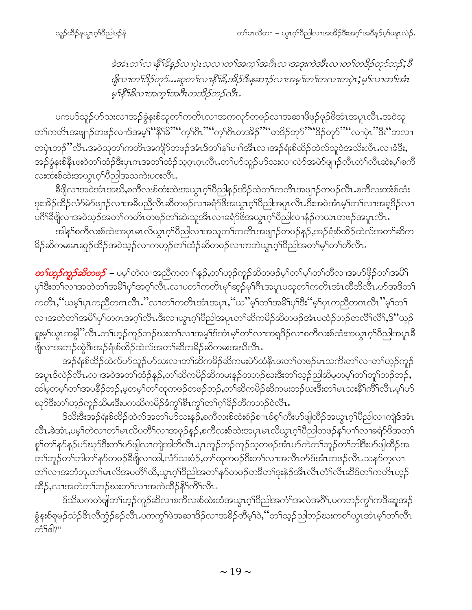ခဲအံၤတ႑်လ႑နိ႑ိခန္ ဉ်လ႑ပုဲၤသ္ဇလ႑တ႑်အတု႑်အဂၤလ႑အဒုႏကဲအိၤလ႑တ႑်တဒ္ဓဉ်တုဉ်တု၄်; ဒီ ဖြံ့လၢတ<sup>၎ဌ</sup>ဉ်တုဉ်…ဆူတ႑်လၢနိ<sup>၎၌</sup>,အိဉ်ဒီးနအေးဉ်လၢအမှု၊်တ႑်တလၢတပုဲ**၊**;မှု၊်လၢတ႑်အံၤ မ့<sup>၎ဇ္ဇ</sup>ါခ်ိလၢအကွၤ်အဂီၤတအိဉ်ဘဉ်လီၤ.

ပကပာ်သူဉ်ပာ်သးလၢအဉ်ခွံနးစ်သူတ<sup>၎</sup>ကတိၤလၢအကလုာ်တဖဉ်လၢအဆၢဖိဖုဉ်ဖုဉ်ဖိအံၤအပူၤလီၤႉအဝဲသူ တၫ်ကတိၤအဖျာဉ်တဖဉ်လၢဒ်အမ့<sup>၎</sup>''နို<sup>ရဒ္ဓာ</sup>'''က္ဂ<sup>ု</sup>ဂ္ဂိ<sup>ုဂ္ဂ</sup>ိုက္ဂ်ီးကအိဉ်''''တဒိဉ်တုဉ်''''ဒိဉ်တုဉ်''''လၢပုံ၊ ''ဒီး''တလၢ တပှဲၤဘဉ်ိႆႛလီၤႉအဝဲသူတၫ်ကတိၤအကျိဉ်တဖဉ်အံၤဒ်တၫ်နှၤ်ပၢၤ်အိၤလၢအဉ်ရံႈစ်ထိဉ်ထဲလ်သူဝဲအသိးလီၤႉလၢခံဒီးႇ အဉ်ခွံနၗစ်နိုၤဖးဝဲတၫ်ထဲဉ်ဒီးပှၤကအတၫ်ထံဉ်သဲ့ဂ္ဂၤဂလီၤ.တ႑်ပာ်သူဉ်ပာ်သးလၤလံာ်အမဲာ်ဖျၢဉ်လီၤတံ႑်လီၤဆဲးမ့႑်စကီ လးထံးစ်ထဲးအယွာလ်ပြီညါအသကဲးပဝးလိၤ.

ခ်ိဳဖိုလၢအဝဲအံၤအဃိႇစကီလးစ်ထံးထဲးအယွာဂ့်္ဂါပီညါနဉ်အိဉ်ထဲတ႑်ကတိၤအဖျာဉ်တဖဉ်လီၤ.စကီလးထံးစ်ထံး ဒုးအိဉ်ထိဉ်လံာ်မဲာ်ဖျာဉ်လၢအခ်ိပညီလီၤဆိတဖဉ်လၢခရံ<sup>ဉ်ဖြံ</sup>အယွာဂ့ၢ်ပိညါအပူၤလီၤ.ဒီးအဝဲအံၤမ့ၢ်တၫ်လၢအရှ<sup>8</sup>ဉ်လၢ ပဂိ<sup>ရရွှေ</sup>လ၊အဝဲသုဉ်အတ<sup>ရ</sup>ကတိၤတဖဉ်တ<sup>ရ</sup>ဆဲးသူအီၤလၢခရံာ<sup>ဖြ</sup>အယွπဂ့<sup>ရ</sup>ဝိညါလၫနံဉ်ကယၤတဖဉ်အပူၤလီၤ<sup>့</sup>

အါန1်စကီလးစ်ထဲးအပှၤမၤလိယ္ပၤဂ့ါပီညါလၢအသူတ1်ကတိၤအဖျာဉ်တဖဉ်နဉ်,အဉ်ရံးစ်ထိဉ်ထဲလ်အတ1်ဆိက မိဉ်ဆိကမးမၤဆူဉ်ထိဉ်အဝဲသ့ဉ်လၫကဟ့ဉ်တၫ်ထံဉ်ဆိတဖဉ်လၫကတဲယွၤဂ့ၫ်ပီညါအတ႑်မှၤ်တ႑်တီလီၤ.

*တ¶ာ့ဉ်ကူဉ်ဆိတဖဉ် – ပ*မ့<sup>၎</sup>တဲလၢအညီကတၫၢိန္ဉ်ႇတၫ်ဟ့ဉ်ကူဉ်ဆိတဖဉ်မ့ၢ်တၫ်မ့ၢ်တၢ်တိလၢအပာ်ဖှိဉ်တၫ်အမိ႑် ကတိၤႇၴဴယမ့<sup>၎</sup>ပှၤကညီတဂၤလီၤႉႛႛလၢတၫ်ကတိၤအံၤအပူၤႇၴဴယႛႛမ့<sup>၎</sup>တၫၲအမိၫ်ၦၫၲႝဒီးၴႚမ့ၫၲပှၤကညီတဂၤလီၤႛႛမ့ၫ်တ႑ လၫအတဲတၫ်အမိါၦၢ်တဂၤအဂ္ဂါလီၤ.ဒီးလၢယ္ပၤဂ့ါပီညါအပူၤတၫ်ဆိကမိဉ်ဆိတဖဉ်အံၤပထံဉ်ဘဉ်တလိႝၤ်လီ်၊,§''ယ့ဉ် ရူးမ့<sup>ရ</sup>ယ္ပၤအခွါႛႛလီၤႉတ<sup>ၡ</sup>ဟ္ဥာဴကူဉိဘၟ်ဃးတ<sup>ၡ</sup>လၢအမ့<sup>ၡ</sup>ဒ်အံၤမ့႞တ႑်လၢအရ္<sup>8</sup>ဉ်လၢစကီလးစ်ထံးအယွၤဂ့ၫိပည္ပါအပူၤနိ 

အဉ်ရုံးစ်ထိဉ်ထဲလ်ဟ်သူဉ်ဟ်သးလၢတၫ်ဆိကမိဉ်ဆိကမးပဲာ်ထံနိ $\texttt{1}$ ဖးတၫ်တဖဉ်မ $\texttt{1}$ သကိုးတ႑်လၢတ႑်ဟုဉ်ကူဉ် အပူၤဒ်လဲဉ်လိုၤ.လၢအဝဲအတၫ်ထံဉ်နဉ်,တၫ်ဆိကမိဉ်ဆိကမးနဉ်တဘဉ်ဃးဒီးတၫ်သ့ဉ်ညါဆိမ့တမ့ၢ်တၫ်တူၫ်ဘဉ်ဘဉ်, ထါမှတမ့်ၫ်တၫ်အပနိဉ်ဘဉ်,မ့တမ့်ၫ်တၫ်ထုကဖဉ်တဖဉ်ဘဉ်,တၫ်ဆိကမိဉ်ဆိကမးဘဉ်ဃးဒီးတ႑်မၤသးနိ႑်ကိြလိ႑.မ့ှ်ပဉ် ဃှာ်ဒီးတၫ်ဟ့ဉ်ကူဉ်ဆိမးဒီးပကဆိကမိဉ်ခံကွ<sup>၎</sup>စီၤကွ<sup>၎</sup>တ႑်ဂ့<sup>၎</sup>ခိဉ်တိကဘဉ်ဝဲလီၤ*ႉ* 

ဒ်သိးဒီးအဉ်ရုံးစ်ထိဉ်ထဲလ်အတ<sup>ျှ</sup>ပာ်သးနဉ်,စကီလးစ်ထံးစံဉ်စπမ်စ့<sup>၎</sup>ကိီးပာ်ဖျါထိဉ်အယွπဂ့ါပီညါလၢကျဲဒ်အံၤ လီၤ.ခဲအံၤ,ပမ့္ပ်တဲလၢတ}မၤလိပတိႝၤ်လၢအဖုဉ်န္၄်,စကီလးစ်ထဲးအပှၤမၤလိယွၤဂ့ၢိပိညါတဖဉ်နှၤ်ပၫာၤ်လၢခရံှာ်ဖိအတ႑် စူၫ်တ႑်န>်နဉ်ပ>်ဃု>်ဒီးတ႑်ပ>်ဖျါလ႑ကျဲအါဘိလီၤႉပှၤကူဉ်ဘဉ်ကူဉ်သ့တဖဉ်အံၤပ>်ကဲတ႑်ဘူဉ်တ႑်ဘါဒီးပ>်ဖျါထိဉ်အ တၫ်ဘူဉ်တၫ်ဘါတၫ်နှာ်တဖဉ်ခီဖျိလ႑ထါႇလံာ်သးဝံဉ်ႇတၫ်ထုကဖဉ်ဒီးတၫ်လ႑အလီၤက်ဒ်အံၤတဖဉ်လီၤႉသနာ်ကဲ့လ႑ တၫ်လၢအဘံဘူ,တၫ်မၤလိအပတိႝၤ်ထိ,ယွၤဂ့ၢ်ပိညါအတ႑်နဉ်တဖဉ်တခ်ိတၫ်ဒုးနဲဉ်အီၤလီၤတံၤ်လီၤဆိဒ်တ႑်ကတိၤဟ့ဉ် ထိဉ်,လၫအတဲတၫ်ဘဉ်ဃးတ႑်လၫအကဲထိဉ်နိံၤ်ကိ်ၤလီၤ.

ဒ်သိးပကတဲဖျါတၫ်ဟ္၄်ကူဉ်ဆိလၢစကီလးစ်ထဲးထံအယွာဂ့ၫ်ပီညါအကံၤ်အလဲအဂိ်ၤ,ပကဘဉ်ကွၤ်ကဒီးဆူအဉ် ခွံနႈစ်စူမဉ်သံဉ်&ၤလိက္ခံဉ်ခဉ်လိၤႉပကကွ<sup>ှ</sup>ါဖဲအဆၢ<sup>8</sup>ဉ်လၢအခိဉ်တိမ့<sup>ှ</sup>ဝဲႇိတ်၊်သ့ဉ်ညါဘဉ်ဃးကစ<sup>႑</sup>ယွၤအံၤမ့<sup>၎</sup>တ႑်လိၤ တံ်<sup>ငှ</sup>ါ?"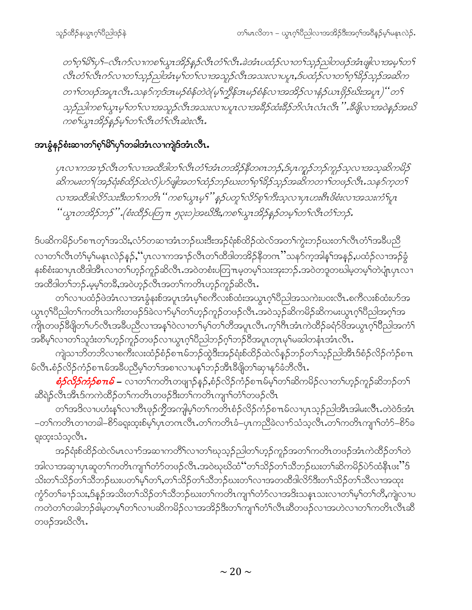တ1်ဂ္ဂါမိ1်ပု1်–လီၤက်လ႑ကစ႑်ယ္မ႑အိဉ်န္နာဴလီၤတံ႑်လီၤ.ခဲအံၤပထံဉ်လ႑တ႑်သူဉ်ညါတဖဉ်အံၤဖျါလ႑အမူ႑်တ႑် လီၤတံၫ်လီၤက်လၢတ႑်သွဉ်ညါအံၤမ္ ါတ႑်လၢအသူဉ်လီၤအသးလၢပပူၤ,ဒ်ပထံဉ်လၢတ႑်ဂုၢိနိဉ်သုဉ်အဆိက တ႑ၢိတဗဉ်အပူၤလီး သန5်က့ဒ်ဒၤမဉ်စံန်တဲဝဲ(မ့ၢ်က္ခ်ိန်အမဉ်စံန်လၢအအိဉ်လၢနံဉ်ယၤဗိုဉ်ဃိးအပူၤ)''တ႑် သ္၃်ည္ပါကစ႑်ယ္သၤမ္ ၊်တ႑်လ႑အသူဉ်လီၤအသးလ႑ပပူၤလ႑အခ်ိဴဉ်ထံးခ်ိဴဉ်ဘိလံၤလီၤလီၤ '' .ခ်ိဴဖိုလ႑အဝဲန္၄်အဃိ ကစ<ယ္နာအိ>နနဉ်မှ'က'်လီာတံႝလီာဆဲးလီာ…

#### အၤနွံနဉ်စံးဆၫတ¶စ့<sup>၎႙ၟ၎</sup>ပု႑်တခါအံၤလၫကျဲဒ်အံၤလီၤ**.**

ပုၤလၢကအၫဉ်လီၤတ႑်လၢအထိဒါတ႑်လီၤတႆၤအဴၤတအိဉ်နီတၐၤဘဉ်ႇဒ်ပုၤကူဉ်ဘဉ်ကူဉ်သူလၢအသူဆိကမိဉ် ဆိကမးတ1်(အဉ်ရုံးစ်ထိဉ်ထဲလ်)ပာ်ဖျံအတ1်ထံဉ်ဘဉ်ဃးတ1်စ့1်ခိုဉ်သှဉ်အဆိကတ႑ၢ်တဖဉ်လီး သန5်က့တ1် လาအထိဒါလိ5်သးဒီးတ႑်ကတိၤ '' ကစ႑်ယ္ဓၤမ့႑်'' နဉ်ပတူ ႑်လိ5်စ္ ႑်ကီးသ့လ႑ပ္ $\tau$ ပားစီၤဖိစံးလ႑အသးကံ ြပု႑ "ယွၤတအိဉ်ဘဉ်" (စံးထိဉ်ပတြ႑ာ ၅၃း၁)အဃိဒီး,ကစ႑်ယွၤအိဉ်နှဉ်တမ္ ၊်တ႑်လီၤတံ ၊်ဘဉ်.

ဒ်ပဆိကမိဉ်ဟ်စπတ့ౕါအသိး,လံာ်တဆၢအံၤဘဉ်ဃးဒီးအဉ်ရံးစ်ထိဉ်ထဲလ်အတၤ်ကွဲးဘဉ်ဃးတၤ်လီၤတံၤ်အခ်ဳပညီ လၢတၫ်လီၤတံၫ်မှၤ်မနုၤလဲဉ်နဉ်,''ပုၤလၢကအၫဉ်လီၤတၫ်ထိဒါတအိဉ်နိတဂၤ''သနဉ်ကအါန႑်အနဉ်,ပထံဉ်လၢအဉ်ခွံ နးစ်စံးဆၢပှၤထိဒါအိၤလၢတၫ်ဟ့ဉ်ကူဉ်ဆိလိၤႉအဝဲတစံးပတြπမ့တမ့ၫ်သးအုးဘဉ်ႉအဝဲတဒူတဃါမ့တမ့ၫ်တဲပျံၤပှၤလၢ အထိဒါတၫ်ဘဉ်.မမ့ှ်တခ်ိႇအဝဲဟ့ဉ်လီၤအတ႑်ကတိၤဟ့ဉ်ကူဉ်ဆိလီၤ.

တၫ်လၢပထံဉ်ဖဲအံၤလၢအၤခွံနးစ်အပူၤအံၤမ့ၢ်စကီလးစ်ထံးအယွၤဂ့ၢ်ပီညါအသကဲးပ၀းလီၤ.စကီလးစ်ထံးဟ်အ ယွၤဂ့ౕၢိ၀ိညါတၤ်ကတိၤသကိႏတဖဉ်ဒ်ခဲလ႑ာ်မှၤ်တ႑်ဟုဉ်ကူဉ်တဖဉ်လီၤႉအဝဲသုဉ်ဆိကမိဉ်ဆိကမးယွၤဂ့ၤ်ပိညါအဂ္໋ၤအ ကိုု၊တဖဉ်ခီဖျိတၫ်ဟ်လီၤအခ်ီပညီလၢအန္႑်ာဝဲလၢတ႑်မှု႞တ႑်တိအပူၤလီၤ.က္၄်ကီၤအံၤကဲထိဉ်ခရံှာ်ဖိအယွၤဂ္ဂၢိ၀ိညါအကံၟ် အစိမ့်ၫလၢတၫ်သူဒံးတၫ်ဟုဉ်ကူဉ်တဖဉ်လၢယွၤဂ့ၢိပိညါဘဉ်ဂ့ၢ်ဘဉ်ဝိအပူၤတုၤမှၢ်မဆါတနံၤအံၤလိၤႉ

ကျဲသၢဘိတဘိလၢစကီးလးထံဉ်စံဉ်စ႑ာမ်ဘဉ်ထွဲဒီးအဉ်ရံးစ်ထိဉ်ထဲလ်နှဉ်ဘဉ်တ႑်သူဉ်ညါအီၤဒ်စံဉ်လိဉ်ကံဉ်စ႑ာ မ်လီၤႉစံဉ်လိဉ်ကံဉ်စπမ်အခ်ိဳပညီမ့ှ်တ႑်အစၢလၢပန္ ်ဘဉ်အီၤခီဖျိတ႑်ဆု႑နှာ်ခံဘီလီၤႉ

*စံ<mark>ဉ်လိှဉ်ကံဉ်စπဓ် –* လၢတ</mark>်ၢကတိၤတဖျာဉ်နဉ်,စံဉ်လိဉ်ကံဉ်စπမ်မ့ှ်တှ်ဆိကမိဉ်လၢတှ်ဟ့ဉ်ကူဉ်ဆိဘဉ်တှ် ဆိရဲဉ်လီၤအီၤဒ်ကကဲထိဉ်တၫ်ကတိၤတဖဉ်ဒီးတၫ်ကတိၤကျၫ်တံၫ်တဖဉ်လီၤ

တၫ်အဒိလၢပဟံးနှၤ်လၢတိၤဖုဉ်ကွိအကျါမ့ၢ်တ႑်ကတိၤစံဉ်လိဉ်ကံဉ်စπမ်လၢပှၤသ့ဉ်ညါအိၤအါမးလီၤ.တဲဝဲဒ်အံၤ –တၫ်ကတိၤတၢတခါ–စိ႒်ခရူးထူးစ်မ့ၢ်ပုၤတဂၤလိၤႉတ႑်ကတိၤခံ–ပုၤကညီခဲလၫာ်သံသ့လိၤႉတ႑်ကတိၤကျၫ်တံာ်–စိ႒်ခ ရူးထူးသံသွလိၤ.

အဉ်ရုံးစ်ထိဉ်ထဲလ်မာလၫာ်အဆၢကတိႝၤ်လၢတၤ်ဃုသ့ဉ်ညါတၤ်ဟ့ဉ်ကူဉ်အတၤ်ကတိၤတဖဉ်အံၤကဲထိဉ်တၤ်တဲ အါလၫအဆုၫၦၤဆူတၫ်ကတိၤကျၫ်တံာ်တဖဉ်လိၤႉအဝဲဃုဃိထံ''တၫ်သိဉ်တၫ်သိဘဉ်ဃးတၫ်ဆိကမိဉ်ပဲာ်ထံနိၤဖး''§ သိးတ1်သိဉ်တ1်သိဘဉ်ဃးပတ1်မ့်1်တ1်,တ1်သိဉ်တ1်သိဘဉ်ဃးတ1်လၢအတထိဒါလိ5်ဒီးတ1်သိဉ်တ1်သိလၢအထုး ကွံာ်တ<sup>ရ</sup>ခၢဉ်သး,ဒ်နဉ်အသိးတ<sup>ရ</sup>သိဉ်တ<sup>ရ</sup>သိဘဉ်ဃးတ<sup>ရ</sup>ကတိၤကျၢ<sup>ရ</sup>တံာ်လၢအဒိးသနၤသးလၢတ<sup>ရ</sup>မှ<sup>ရ</sup>တ<sup>ရ</sup>တိ,ကျဲလၢပ ကတဲတၫ်တခါဘဉ်<sup>ရွဲ</sup>မှတမ့<sup>၎</sup>တ႑်လၫပဆိကမိဉ်လၫအအိဉ်ဒီးတ႑်ကျ႑ာ်တံ႑လိၤဆိတဖဉ်လၫအဟဲလ႑တ႑်ကတိၤလီၤဆိ တဖဉ်အဃိလီၤ.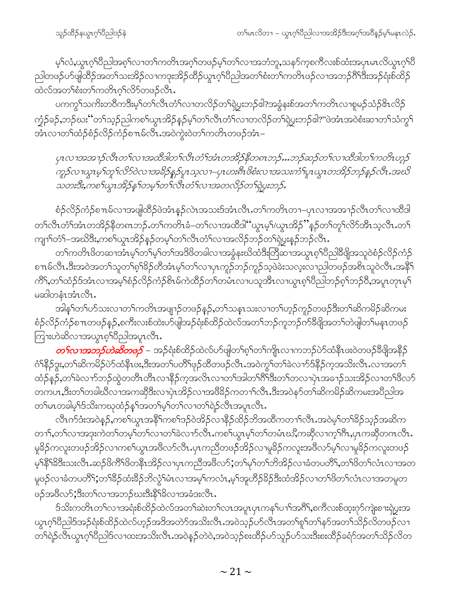မ့်)လံ,ယွာဂ့်)ပိညါအစ့်)လၫတ႑်ကတိၤအဂ့်)တဖဉ်မ့ှါတ}လၫအဘံဘူ,သန5်က့စကီလးစ်ထံးအပှၤမၤလိယွာဂ့်)ပိ ညါတဖဉ်ဟ်ဖျါထိဉ်အတ႑်သးအိဉ်လၢကဒုးအိဉ်ထိဉ်ယွπဂ့ါပီညါအတ႑်စံးတ႑်ကတိၤဖဉ်လၢအဘဉ်ဂိ<sup>ုဒ္</sup>ဒီးအဉ်ရံးစ်ထိဉ် ထဲလ်အတၫ်စံးတ႑်ကတိၤဂ့ၫ်လိ႒်တဖဉ်လီၤ.

ပကကွ<sup>ှ</sup>သကိုးတဝိကဒိီးမ့<sup>ှ</sup>တ<sup>ှ်</sup>လီၤတံ်ှလၤတလိဉ်တ႑်ရဲပွးဘဉ်<sup>ငွေ</sup>းစ်ခွန်းစ်အတ<sup>ှ</sup>ကတိၤလၢစူမဉ်သံဉ်<sup>ငွ</sup>ၤလိဉ် က္ဘံဉ်ခဉ်ႇဘဉ်ဃး'´တၫ်သ့ဉ်ညါကစၫ်ယွၤအိဉ်နှဉ်မ့ၢ်တၫ်လီၤတံၢ်လၢတလိဉ်တၫ်ရဲပွးဘဉ်ဓါ?''ဖဲအံၤအဝဲစံးဆၢတၫ်သံကွ႑် အံၤလၢတၫ်ထံဉ်စံဉ်လိဉ်ကံဉ်စπမ်လီၤ.အဝဲကွဲးဝဲတၫ်ကတိၤတဖဉ်အံၤ–

ပုၤလၢအအၫဉ်လီၤတ႑်လၢအထိဒါတ႑်လီၤတံ႑်အံၤတအိဉ်နိတၵၤဘဉ်…ဘဉ်ဆဉ်တ႑်လၢထိဒါတ႑်ကတိၤဟ့ဉ် ကူဉ်လၢယ္မွာမ့ၢ်တူၫ်လိ5၀ဲလၢအခ်ိဉ်နည်ပူးသ့လၢ–ပုၤပားဂ်ီးဖိစံးလၢအသးကံၫပူးယွၤတအိဉ်ဘဉ်နဉ်လီး အယ် သတးဒီး,ကစ†ယ္ဇၤအိဉ်န1်တမ္1်တ1်လီၤတံၤ်လ႑အတလိဉ်တ႑်ရဲပူးဘဉ်.

စံဉ်လိဉ်ကံဉ်စπမ်လၢအဖျါထိဉ်ဖဲအံၤန္ဉာ်လဲၤအသးဒ်အံၤလိၤ.တၫ်ကတိၤတၫ–ပှၤလၢအအၢဉ်လီၤတၫ်လၢထိဒါ တၫ်လီၤတံၫ်အံၤတအိဉ်နိတၵၤဘဉ်ႉတၫ်ကတိၤခံ–တၫ်လၢအထိဒါ''ယ္ဂၤမ့ၫ်/ယွၤအိဉ်''နဉ်တၫ်တူၫ်လိ႒်အီၤသ့လီၤ.တ႑် ကျၫ်တံ် –အဃိဒီး,ကစၤ်ယွၤအိဉ်နှဉ်တမ့္ပါတၤ်လီၤတံၤ်လၢအလိဉ်ဘဉ်တၤ်ရဲပွးနှဉ်ဘဉ်လီၤ.

တၫ်ကတိၤဖိတဆၢအႆၤမ့<sup>၎</sup>တ႑်မ့<sup>၎</sup>တ႑်အဒိဖိတခါလၢအခွံနးဃိထံဒီးတြိဆၢအယွၤစ့<sup>၎</sup>ပီညါဒီဖျိအသူဝဲစံဉ်လိဉ်ကံဉ် စπမ်လီၤ.ဒီးအဝဲအတ႑်သူတ႑်စ္န1်ခ်ို တိုအံၤမ္ ါတ႑်လ႑ဟု ကူဉ်ဘဉ်ကူဉ်သဲ့ဖဲခဲးသလူးလ႑ည္ပါတဖဉ်အစိၤသူဝဲလီၤ.အနီ ြ ကိ်း,တၫ်ထံဉ်ဒ်အံၤလၢအမ့ၢ်စံဉ်လိဉ်ကံဉ်စိၤမ်ကဲထိဉ်တၫ်တမံၤလၢပသူအိၤလၢယ္ပၤစ့ၢ်ပိညါဘဉ်စ့ၢ်ဘဉ်၀ိႇအပူၤတုၤမုၢိ မဆါတနံၤအံၤလီၤ.

အါန1်တ1်ဟ်သးလၢတ1်ကတိၤအဖျာဉ်တဖဉ်နဉ်,တ1်သနၤုသးလၢတ1်ဟ့ဉ်ကူဉ်တဖဉ်ဒီးတ1်ဆိကမိဉ်ဆိကမး စံဉ်လိဉ်ကံဉ်စπတဖဉ်နှဉ်,စကီးလးစ်ထဲးပာ်ဖျါအဉ်ရံးစ်ထိဉ်ထဲလ်အတ<sup>၎</sup>ဘဉ်ကူဘဉ်က်<sup>8ွ</sup>ဖိျအတ႑်တဲဖျါတ႑်မနၤတဖဉ် ကြားဟဲဆိလၢအယွာစ့်္ဂါပိညါအပူာလီာ.

<mark>*တ¶လၫအဘ}်ဟဲဆိတဖ</sub>ဉ် –* အဉ်ရံး</mark>စ်ထိဉ်ထဲလ်ပာ်ဖျါတ<sup>၎</sup>ဂ့ၢ်တၢ်ကျိၤလၫကဘဉ်ပဲာ်ထံနိၤဖးဝဲတဖဉ်ခီဖျိအနိဉ် ဂံ<sup>ရန္</sup>ဉ်ဒွး,တၫ်ဆိကမိဉ်ပဲာ်ထံနီၤဖး,ဒီးအတ႑်ပတိႝၤဖုဉ်ထိတဖဉ်လိၤ.အဝဲကွ<sup>၎</sup>တ႑်ခဲလ႑ာ်ဒ်နိဉ်က္ခအသိးလိၤ.လၢအတ႑် ထံဉ်နဉ်,တၫ်ခဲလၫာ်ဘဉ်ထွဲတတိၤတိၤလၢနိဉ်က္ခအလိၤလၢတၫ်အါတၫ်ဂိ<sup>႖</sup>ဒိီးတၫ်တလၢပုဲၤအခၢဉ်သးအိဉ်လၢတၫ်<sup>ဨ</sup>လာ် တကပၤႇဒိီးတၫ်တခါဃီလၫအကဆိုဒီးလၫပှဲၤအိဉ်လၫအဖိခိဉ်ကတ႑ၢ်လိၤႉဒိီးအဝဲနာ်တၫ်ဆိကမိဉ်ဆိကမးအပိညါအ တၫ်မၤတခါမှၫ်ဒ်သိးကဃုထံဉ်နှၤ်အတ႑်မှၤ်တ႑်လ႑တ႑်ရဲဉ်လီၤအပူၤလီၤ.

လီၤက်ဒံးအဝဲနဉ်,ကစၢ်ယွၤအနိ<sup>5</sup>ုကစၢ်ဒဉ်ဝဲအိဉ်လၫနိဉ်ထိဉ်ဘိအထိကတ႑ၢ်လီၤ.အဝဲမ့ၢ်တၢ်ခိဉ်သှဉ်အဆိက တၫႝႇတႝလၫအဒုးကဲတႝတမ့ႝၮႝလၫတႝႝႀဲလၫာ်လီၤႉကစါယွာမ့ါတါတမံၤဃိႆႇကဆိုလၫက့ါဂီၤႇပုၤကဆိုတဂၤလီၤႉ မူခိဉ်ကလူးတဖဉ်အိဉ်လၫကစၫ်ယွၤအဖိလာ်လီၤ.ပှၤကညီတဖဉ်အိဉ်လၫမူခိဉ်ကလူးအဖိလာ်မ့<sup>၎</sup>လၢမူခိဉ်ကလူးတဖဉ် မ့်)နိ<sup>ု့</sup>88ိုးသးလီၤႉဆဉ်ဖိကိ်ါဖိတနိုၤအိဉ်လၢပုၤကညီအဖီလာ်;တၢိမုၢ်တၫ်ဘိအိဉ်လၢခံတပတိိၢႇတၢိဖိတၫ်လံၤလၢအတ မူဖဉ်လၢခံတပတိိ1;တၫ်ိနိဉ်ထံးခိဉ်ဘိလွံၫိမံၤလၢအမှၤ်ကလံၤႇမ့ၢ်အူဟိဉ်နိဉ်ဒီးထံအိဉ်လၢတၢ်ဖိတၤ်လံၤလၢအတမူတ ဖဉ်အဖိလာ်;ဒီးတၫ်လၢအဘဉ်ဃးဒီးနိ1်ခ်လၢအခံဒးလိၤ.

ဒ်သိးကတိၤတၫ်လၢအရံႈစ်ထိဉ်ထဲလ်အတ႑်ဆဲးတ႑်လၤအပူၤပုၤကန႑်ပၢ႑်အဂိါ,စကီလးစ်ထူးဂုာ်ကျဲးစၫးရှဲပွးအ ယွၤဂ့ါ်ပီညါဒ်အဉ်ရုံးစ်ထိဉ်ထဲလ်ဟ့ဉ်အဒိအတဲာ်အသိးလီၤႉအဝဲသ့ဉ်ပာ်လီၤအတ႑်စူၫ်တ႑်နာ်အတ႑်သိဉ်လိတဖဉ်လ႑ တၫ်ရဲဉ်လီၤယွၤဂ့ါပီညါဒ်လၢထးအသိးလီၤ.အဝဲနှဉ်တဲဝဲ,အဝဲသ့ဉ်စးထိဉ်ပာ်သူဉ်ပာ်သးဒီးစးထိဉ်ခရံာ်အတ႑်သိဉ်လိတ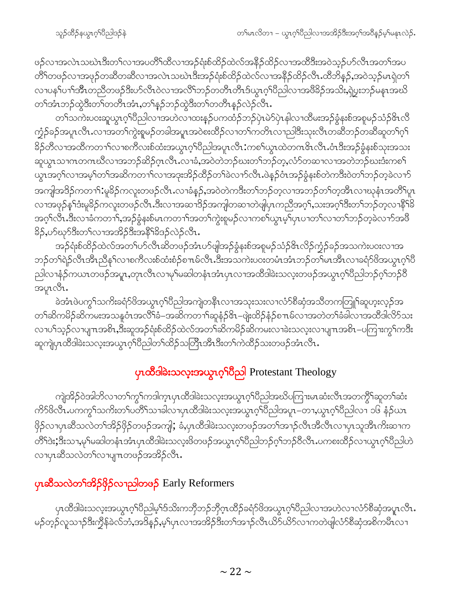ဖဉ်လၢအလဲၤသဃဲၤဒီးတၫ်လၢအပတိႝၤ်ထိလၢအဉ်ရံးစ်ထိဉ်ထဲလ်အနိဉ်ထိဉ်လၢအထိဒီးအဝဲသုဉ်ဟ်လီၤအတၫ်အပ တိ်ါတဖဉ်လၢအဖုဉ်တဆိတဆိလၢအလဲၤသဃဲၤဒီးအဉ်ရံးစ်ထိဉ်ထဲလ်လၢအနိဉ်ထိဉ်လီၤႉထိဘိန္ဉာ်,အဝဲသ့ဉ်မၤရှဲတ<sup>၎</sup> လၢပန1်ပၫ်၊အီၤတညီတဖဉ်ဒီးပာ်လီၤဝဲလၢအလိၤ်ဘဉ်တတိၤတိၤဒ်ယ္လၤဂ့ၤ်ပိညါလၢအဖိခိဉ်အသိး,ရဲပွးဘဉ်မနၤအဃိ တၫ်အံၤဘဉ်ထွဲဒီးတၫ်တတိၤအံၤ,တ႑်နှဉ်ဘဉ်ထွဲဒီးတၫ်တတိၤနှဉ်လဲဉ်လီၤ.

တ႑်သကဲးပဝးဆူယွπဂ့ၫိပိညါလၫအဟဲလ႑ထးန္ဉာိပကထံဉ်ဘဉ်ပုံၤမဲ၁်ပုံၤနါလ႑ထိမးအဉ်ခွံနႈစ်အစူမဉ်သံဉ်&ၤလိ က္ခံဉ်ခဉ်အပူၤလီၤႉလၫအတၲ၊ကွဲးစူမဉ်တခါအပူၤအဝဲစးထိဉ်လၫတၤ်ကတိၤလ႑ညါဒီးသုးလီၤတဆီဘဉ်တဆီဆူတၤ်ဂ့ၤ် <u>့</u><br>နဉ်တီလၢအထိကတၫ်လၢစကီလးစ်ထံးအယွာဂ့်္ဂါဝညါအပူာလီၤ•ကစ္ပါယွာထဲတဂၤဇိၤလီၤ•ဝံးဒီးအဉ်ခွံနးစ်သုံးအသး ဆူယွာသာကတဂၤဃီလာအဘဉ်ဆိဉ်ဂုၤလီၤ.လၢခံ,အဝဲတဲဘဉ်ဃးတၢ်ဘဉ်တ့,လံာ်တဆၢလၢအတဲဘဉ်ဃးဒီးကစၢ် ယ္ပၤအဂ္ဒါလၫအမ့ါတၫ်အဆိကတ႑ာ်လၫအဒုးအိဉ်ထိဉ်တ႑်ခဲလ႑ာ်လီၤ.ဖဲန္ဉ်ဝံၤအဉ်ခွံနးစ်တဲကဒီးဝဲတၫ်ဘဉ်တ့ခဲလ႑ာ် အကျါအဒိဉ်ကတ႑)ႏမူခိဉ်ကလူးတဖဉ်လီၤႉလၢခံနဉ်ႇအဝဲတဲကဒီးတၫ်ဘဉ်တ့လၢအဘဉ်တၫ်တဲ့အီၤလၢဃုနံၤအတိႝၤပူၤ လၫအဖုဉ်န<sup>ှ</sup>်ဒီးမူ<sup>8</sup>ဉ်ကလူးတဖဉ်လီၤ.ဒီးလၫအဆ<sup>ုံဒြ</sup>ဉ်အကျါတဆ႑တဲဖျံပှၤကညီအဂ္ဂါ,သးအဂ္ဂါဒီးတ႑်ဘုတ္ဝေၤနိ<sup>ု</sup>ဒ် အဂ္ဂါလီၤ.ဒီးလ<sup>ုံ</sup>ခံကတ<sup>ျှိ</sup>,အဉ်ခွံနးစ်မၤကတ႑ါအတ႑်ကွဲးစူမဉ်လ႑ကစ႑်ယွၤမ့<sup>ရြ</sup>ပုၤပ႑တ႑်လ႑တ႑်တခဲလ႑ာအဖြ နိ5့်,ပာ်ဃှာ်ဒီးတ႑်လၢအအိဉ်ဒီးအနိ<sup>႖</sup>နိဒဉ်လဲဉ်လီၤ.

အဉ်ရုံးစ်ထိဉ်ထဲလ်အတ<sup>ှ</sup>ုပာလီၤဆိတဖဉ်အံၤပာ်ဖျံအဉ်ခွံနးစ်အစူမဉ်သံဉ်<sup>၉</sup>ၤလိဉ်က္ခံဉ်ခဉ်အသကဲးပဝးလၢအ ဘဉ်တ<sup>ှ</sup>ရဲဉ်လီၤအီၤညီန<sup>ှ</sup>လၢစကီလးစ်ထံးစံဉ်စπမ်လီၤ.ဒီးအသကဲးပဝးတမံၤအံၤဘဉ်တ<sup>ြ</sup>မၤအီၤလၢခရံဉ်ဖိအယွၤဂ့<sup>၎</sup>ပီ ညါလၫနံဉ်ကယၤတဖဉ်အပူၤ,တုၤလိၤလၢမုၢ်မဆါတနံၤအံၤပှၤလၢအထိဒါခဲးသလူးတဖဉ်အယွၤဂ့ၢ်ပိညါဘဉ်ဂ့ၢ်ဘဉ်ဝိ အပူၤလီၤ.

ခဲအံၤဖဲပက္ဂ<sup>၎</sup>သက်ိဴးခရံာ်ဖိအယွπဂ့ါပီညါအကျဲတနီၤလၢအသုးသးလၢလံာ်စီဆုံအသိတကတြူၫ်ဆူဟုးလ့ဉ်အ တၫ်ဆိကမိဉ်ဆိကမးအသနုပံၤအလိြ်ခံ−အဆိကတၫ်ာဆူနံဉ&ၤ−ဖျဲးထိဉ်နံဉ်စπမ်လၤအတဲတၫ်ခံခါလၤအထိဒါလိ်ာသး လၢပါသှဉ်လၢပျπအစိၤ,ဒီးဆူအဉ်ရံးစ်ထိဉ်ထဲလ်အတ<sup>ြ</sup>ဆိကမိဉ်ဆိကမးလၢခဲးသလ့းလၢပျπအစိၤ–ပကြၢးကွ<sup>၎</sup>ကဒီး ဆူကျဲပှၤထိဒါခဲးသလုးအယွၤဂ့ၢ်ပီညါတၫ်ထိဉ်သတြိၤအီၤဒီးတၫ်ကဲထိဉ်သးတဖဉ်အံၤလီၤ.

## ပုၤထိခါခဲးသလူးအယွာဂ့<sup>ရှ</sup>ပိညါ Protestant Theology

ကျဲအိဉ်ဝဲအါဘိလၫတၫ်ကွ႑်ကဒါက္•ပု႑ထိဒါခဲႏသလ့ႏအယွ႑ဂ္႑်ပိညါအဃိပကြ႑းမၤဆံးလီၤအတကွိ႑်ဆူတ႑်ဆံး ဖြဉ်လၢပှၤဆီသလဲတၫ်အိဉ်ဖှိဉ်တဖဉ်အကျါ; ခံ,ပှၤထိဒါခဲးသလူးတဖဉ်အတၫ်အၫဉ်လီၤအိလီၤလၢပှၤသူအိၤကိးဆၢက တိံา်ဒဲး;ဒီးသၢ,မှၫ်မဆါတနံၤအံၤပုၤထိဒါခဲးသလူးဖိတဖဉ်အယွπဂ့ၫ်ပိညါဘဉ်ဂ့ၫ်ဘဉ်ဝိလိၤႉပကစးထိဉ်လၢယွπဂ့ၫ်ပိညါဟဲ လၢပုၤဆီသလဲတၫ်လၢပျ႑ာတဖဉ်အအိဉ်လီၤ.

### <mark>ပှၤဆိံသလဲတ<sup>ရ</sup>အိဉ်ဖှိဉ်လၫညါတဖဉ်</mark> Early Reformers

yၤထီဒါခဲးသလုံးအယွπဂ့<sup>ရ</sup>ပိညါမ့<sup>ရ</sup>ဒ်သိးကဘိုဘဉ်ဘိုဂ္ $\tau$ ထိဉ်ခရံဉ်ဖိအယွπဂ့<sup>ရ</sup>ပိညါလၫအဟဲလ႑လံာ်စိဆုံအပူၤလိၤ. မဉ်တ့ဉ်လူသ႑ာ်ဒီးကွိန်ခဲလ်ဘံ,အဒိနဉ်,မ့ှ်ပှၤလၢအအိဉ်ဒီးတၢ်အ႑ာ်လီၤယိာ်ယိာလၢကတဲဖျဲလံာ်စိဆုံအစိကမိၤလၢ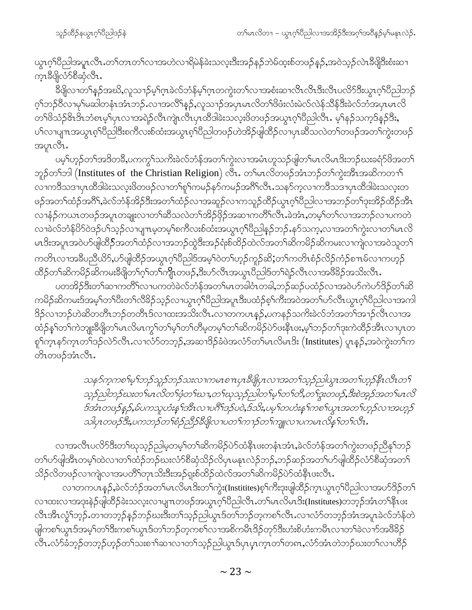ယ္ပၤဂ့ౕၢပဵညါအပူၤလဵိၤ.တၤ်တၤတၤ်လၢအဟဲလၢရိမဲန်ခဲးသလ့းဒီးအဉ်နဉ်ဘဲမ်ထ့းစ်တဖဉ်နှဉ်ႇအဝဲသ့ဉ်လဲၤဒီဖိျဒီးစံးဆ႑ က္§ဒီဖြလံာ်စီဆုံလီၤ.

ခ်ိဳဖျိလၢတၫ်နဉ်အဃိႇလူသ႑ာ်မ့<sup>၎</sup>ဂ္႑ခဲလ်ဘံန်မ့<sup>၎</sup>ဂ္႑တကွဲးတၫ်လၢအစံးဆၢလိၤလိၤဒီးလိၤပလိ်ာဒီးယွၤဂ့ၫ်ပိညါဘဉ် ဂ့ၢ်ဘဉ်ဝိလၢမုၢိမဆါတနံၤအံၤဘဉ်ႉလၢအလိၢ်နဉ်ႇလူသ႑ာ်အပုၤမၤလိတၢ်ဖိဖံးလံးမဲလ်လဲန်သိန်ဒိီးခဲလ်ဘဲအပုၤမၤလိ တၫ်ဖိသံဉ်&ာဒိၤဘံစၤမ့ၢ်ပုၤလၢအရဲဉ်လိၤကျဲၤလိၤပုၤထိဒါခဲးသလ့းဖိတဖဉ်အယွၤဂ့ၢ်ပိညါလိၤႉ မ့ၢ်နဉ်သက့ဒ်န္ဉာဒိးႏ ပါလာပျπအယွာစ့ါပြီညါဒီးစကီလးစ်ထံးအယွာစ့ါပြီညါတဖဉ်ဟဲအိဉ်ဖျါထိဉ်လာပုာဆီသလဲတါတဖဉ်အတါကွဲးတဖဉ် အပူၤလီၤ.

ပမ့်္ဂဟ္ဥာ်တ႑်အဒိတခ်ိဳႇပကကွ႑်သက်ိဳးခဲလ်ဘံန်အတ႑်ကွဲးလၢအမံၤဟူသဉ်ဖျံတ႑်မၤလိမၤဒိးဘဉ်ဃးခရံာ်ဖိအတ႑် ဘူဉ်တ<sup>ရ</sup>ဘါ (Institutes of the Christian Religion) လီး. တ<sup>ရ</sup>မာလိတဖဉ်အံၤဘဉ်တ<sup>ရ</sup>ကွဲးအီၤအဆိကတၫ<sup>ရ</sup> လၫကဒိသဒၢပုၤထိဒါခဲးသလူးဖိတဖဉ်လ႑တ႑်စူ႑်ကမဉ်နှာ်ကမဉ်အဂိၢိလိၤႉသနာ်က့လ႑ကဒိသဒ႑ပုၤထိဒါခဲးသလူးတ ဖဉ်အတၫ်ထံဉ်အဂိ်ၫ,ခဲလ်ဘံန်အိဉ်ဒီးအတ႑်ထံဉ်လၢအဆူဉ်လၢကသူဉ်ထိဉ်ယွπဂ့ၢ်ပီညါလၢအဘဉ်တၢ်ဒုးအိဉ်ထိဉ်အီၤ လၢနံ့ဉ်ကယၤတဖဉ်အပူၤတချူးလၢတၫ်ဆီသလဲတၫ်အိဉ်ဖိုဉ်အဆၢကတိႝၤလိၤ.ခဲအံၤႇတမ့ၢ်တၫ်လၢအဘဉ်လၢပကတဲ လၢခဲလ်ဘံန်ပိ5်ဝဲဒဉ်ပါသ့ဉ်လၢပျπမ့တမ့ါစကီလးစ်ထံးအယွπဂ့ါ်ပီညါနှဉ်ဘဉ်ႉနဉ်သက့,လၢအတါကွဲးလၢတါမπလိ မၤဒိးအပူၤအ၀ဲဟ်ဖျါထိိ**ှ်**အတ<sup>ှ</sup>ထံဉ်လၢအဘဉ်ထွဲဒီးအဉ်ရံးစ်ထိဉ်ထဲလ်အတ<sup>ှ</sup>ဆိကမိဉ်ဆိကမးလၢကျဲလၢအ၀ဲသူတ<sup>ှ</sup> ကတိၤလၢအခ်ဳပညီယိ9်,ပ9်ဖျါထိဉ်အယွာဂ့ၫ်ပီညါဒ်အမှ့ၫ်ဝဲတ႑်ဟူဉ်ကူဉ်ဆိ;တ႑်ကတိၤစံဉ်လိဉ်ကံဉ်စ႑ာမ်လ႑ကဟူဉ် ထိဉ်တ႑်ဆိကမိဉ်ဆိကမးခီဖျိတ႑်ဂ့႑်တ႑်ကျိုးတဖဉ်ႇဒီးဟ်လီၤအယွာၤပိညါ့ဒ်တ႑်ရဲဉ်လီၤလၢအဖိခိဉ်အသိးလီၤႉ

ပတအိဉ်ဒီးတၫ်ဆၢကတိႝၤ်လၢပကတဲခဲလ်ဘံန်အတၤ်မၤတခါဝံၤတခါ,ဘဉ်ဆဉ်ပထံဉ်လၢအဝဲပာ်ကဲပာ်ဒိဉ်တၤ်ဆိ ကမိဉ်ဆိကမးဒ်အမ့<sup>၎</sup>တၫ်ပီးတၫ်လီခိဉ်သ့ဉ်လၫယွၤဂ့ၫ်ပီညါအပူၤဒီးပထံဉ်စ့ၫ်ကီးအဝဲအတၫ်ပဉ်လီၤယွၤဂ့ၢ်ပီညါလၫအကါ ဒိဉ်လၢဘဉ်ဟဲဆိတတိၤဘဉ်တတိၤဒ်လၢထးအသိးလိၤႉလၢတကပၤန္ဉာ်,ပကနဉ်သကိႏခဲလ်ဘံအတၫ်အၢဉ်လိၤလၢအ ထံဉ်န1်တ1်ကဲဘျုးဒီဖျိတ1်မၤလိမၤကွ1်တ1်မ့1်တ1်တိမ့တမ့1်တ1်ဆိကမိဉ်ပဲဉ်ဖးနိုၤဖး,မ့1်ဘဉ်တ1်ဒုးကဲထိဉ်အီၤလၢပုၤတ စှ<sup>ရ</sup>က္ခၤနာ်က္ၤတၫ်ဒဉ်လဲာ်လီၤႉလၢလံာ်တဘ္နာ်,အဆၢဒိဉ်ခံဖဲအလံာ်တၫ်မၤလိမၤဒိး (Institutes) ပူၤန္ဉာ်,အဝဲကွဲးတၫ်က တိၤတၒဉ်အံၤလီၤႉ

> သန5်က္ခကစၫ်မှ႞ဘဉ်သူဉ်ဘဉ်သးလၢကမၤစ႑ာပု႑8ိဖျိပုၤလၢအတ႑်သွဉ်ညါယွၤအတ႑်ဟ္နဉ်နိုၤလိၤတ႑် သူဉ်ညါဘဉ်ဃးတ ်မၤလိတ ်ဖုံတ ်ဃ ၢ,တ ်ဃုသုသုဉ်ညါတ ်မှ ်တ ်တိ,တ ်ဒူးတဖဉ်,ဒီးစဲအုဉ်အတ ်မၤလိ ဒ်အံၤတဖဉ်နဉ်,မ်ပကသူဟံးနှ<sup>၎</sup>အီၤလၢပဂိ<sup>ု</sup>ဒဉ်ပဝဲ,ဒ်သိး,ပမ့္ပ်တဟံးနှၤ်ကစၤ်ယွၤအတၤ်ဟွဉ်လၢအဟွဉ် သါပုၤတဖဉ်ဒီး,ပကဘဉ်တ႑်စံဉညီဉ်နီဖျိလၤပတ႑်က႑ာ်တ႑်ကျူလၤပကမၤလိန္န ါတ႑်လီး.

လၢအလီၤပလိ်ာဒီးတၫ်ဃုသုဉ်ညါမှတမ့ၢ်တၫ်ဆိကမိဉ်ပဲာ်ထံနိၤဖးတနံၤအံၤ,ခဲလ်ဘံန်အတၫ်ကွဲးတဖဉ်ညီန႑်ဘဉ် တၫ်ပာ်ဖျါအီၤတမ့ၢ်ထဲလၢတၫ်ထံဉ်ဘဉ်ဃးလံာ်စီဆုံသိဉ်လိပုၤမနုၤလဲဉ်ဘဉ်ႇဘဉ်ဆဉ်အတၫ်ပာ်ဖျါထိဉ်လံာ်စီဆုံအတ႑် သိဉ်လိတဖဉ်လၢကျဲလၢအပတိႝ႞တုၤသိးဒီးအဉ်ရှုးစ်ထိဉ်ထဲလ်အတ႑်ဆိကမိဉ်ပဲာ်ထံနိုၤဖးလီၤ.

လၢတကပၤန္5်ႇခဲလ်ဘံဉ်အတ႑်မၤလိမၤဒိးတ႑်ကွဲး(Institites)စ့႑်ကိုးဒုးဖျါထိဉ်က္ၤယ္ဂၤဂ့႑်ပိညါလၫအပာ်ဒိဉ်တ႑် လၫထးလၫအဒုးနဲဉ်ဖျ်ထိဉ်ခဲးသလူးလၫပျ႑ာတဖဉ်အယွာဂ့ၫ်ပိညါလီၤႉတၫ်မာလိမာဒိး(Institutes)တဘ့ဉ်အံၤတၫ်နီၤဖး လီၤအီၤလွံၤ်ဘုဉ်ႉတၢတဘုဉ်နဉ်ဘဉ်ဃးဒီးတၤ်သုဉ်ညါယွၤဒ်တၤ်ဘဉ်တဲ့ကစၤ်လီၤႉလၢလံာ်တဘုဉ်အံၤအပူၤခဲလ်ဘံန်တဲ ဖျါကစ<sup>၎</sup>ယွၤဒ်အမ့<sup>၎</sup>တ<sup>၎</sup>ဒီးကစ<sup>၎</sup>ယွၤဒ်တ႑်ဘဉ်တ့ကစ႑်လၢအစိကမိၤဒိဉ်တုာ်ဒီးဟံးစိဟံးကမိၤလၢတ႑်ခဲလၢာ်အ<sup>88</sup>ဉ် လီၤႉလံာ်ခံဘုဉ်တဘုဉ်ဟုဉ်တ<sup>၎</sup>သးစၫ<sup>ု</sup>ဆၫလၢတ႑်သုဉ်ညါယွၤဒ်ပှၤပှၤက္ၤတ႑်တ၈ၤႇလံာ်အံၤတဲဘဉ်ဃးတ႑်လၢဟိဉ်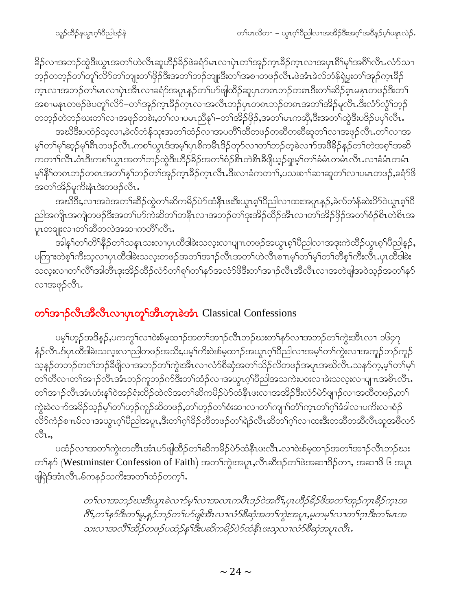ခိဉ်လၢအဘဉ်ထွဲဒီးယွာအတ႑်ဟဲလီာဆူဟီဉ်ခိဉ်ဖဲခရံာ်မာလၢပှဲာတ႑်အှဉ်ကွာခိဉ်ကွာလၢအပုာဂီးမှ်ျအဂီးလီာယံာ်သၢ ဘ့ဉ်တဘ့ဉ်တ<sup>၎</sup>တုိလိ်ာတ်ကျုးတ<sup>ှ</sup>ဖြိဉ်ဒီးအတ<sup>ှ</sup>ဘဉ်ဘျုးဒီးတ<sup>ှ</sup>အစၫတဖဉ်လီၤ.ဖဲအံၤခဲလ်ဘံန်ရဲပွးတ<sup>ှ</sup>အှဉ်ကူးခိဉ် က္<br>က္လလာအဘဉ်တၢိမၤလာပုံၤအီၤလာခရံဉ်အပူၤန္ဉဉ်တ႑်ပာပျံထိဉ်ဆူပှၤတရာဘဉ်တရာဒီးတ႑်ဆိဉ်စုၤမန္၊တဖဉ်ဒီးတ႑် အစၢမနၤတဖဉ်ဖဲပတူၫ်လိ5်–တၫ်အှဉ်ကူးခ်ိဉ်ကူးလၢအလီၤဘဉ်ပုၤတ၈ၤဘဉ်တ၈ၤအတၫ်အိဉ်မူလီၤ.ဒီးလံာ်လွံၫ်ဘွဉ် တဘူဉ်တဲဘဉ်ဃးတ႑်လၢအဖုဉ်တစဲး,တ႑်လၢပမၤညီန႑်–တ႑်အိဉ်ဖိုဉ်,အတ႑်မၤကဆို,ဒီးအတ႑်ထွဲဒီးပဒိဉ်ပပု႑်လီၤ.

အဃိဒီးပထံဉ်သ့လၫႇခဲလ်ဘံန်သုးအတ<sup>ှ</sup>ထံဉ်လၫအပတိႝၤ်ထိတဖဉ်တဆိတဆိဆူတၤ်လၫအဖုဉ်လီၤႉတၤ်လၫအ မ့်ၢတၢိမှၢိဆ့ဉ်မှၢိရီးတဖဉ်လီး ကစၢိယ္ဂၤဒ်အမ့်၊ပုၤစိကမ်ိဳးဒိဉ်တုာ်လၢတၢ်ဘဉ်တဲ့ခဲလၫာ်အဖိခိဉ်နှဉ်တၢ်တဲအစ့ၢ်အဆိ ကတ႑ၢိလိၤႉဝံၤဒီးကစၫ်ယွၤအတ႑်ဘဉ်ထွဲဒီးဟိဉ်ခိဉ်အတ႑်စံဉစိၤတဲစိၤဒီဖျိယ့ဉ်ရူးမ့႑်တ႑်ခံမံၤတမံၤလိၤႉလၢခံမံၤတမံၤ မ့်)နိ<sup>5</sup>ုတၵၤဘဉ်တၵၤအတ<sup>ှ</sup>န္ ်ဘဉ်တ ်အှဉ်က္ၤဒိဉ်က္ၤလီၤ.ဒီးလၢခံကတၢ ်ႇပသးစၢ ်ဆၢဆူတ ်လၢပမၤတဖဉ်ႇခရံာ်ဖိ အတ႑်အိဉ်မူကိုးနံၤဒဲးတဖဉ်လီၤ.

အဃိဒီး,လၫအဝဲအတ႑်ဆိႆဉ်ထွဲတ႑်ဆိကမိဉ်ပဲာ်ထံနီၤဖးဒီးယွၤစ့ၫ်ပိညါလ႑ထးအပူၤန္ဉ\$,ခဲလ်ဘံန်ဆဲးပိာ်ဝဲယွၤစ့ၫ်ပိ ညါ့အကျိုၤအကျဲတဖဉ်ဒီးအတ႑်ပာ်ကဲဆိတ႑်တနိၤလၢအဘဉ်တ႑်ဒုးအိဉ်ထိဉ်အီၤလၢတ႑်အိဉ်ဖိုဉ်အတ႑်စံဉ်စိၤတဲစိၤအ ပူးတချူးလၢတၫ်ဆီတလဲအဆၢကတိႝၤ်လီး

အါန1်တ1်တိ1်နိဉ်တ1်သနၤာသးလၢပှၤထိဒါခဲးသလ့းလၢပျ႑ာတဖဉ်အယွာစ့ါပိညါလၢအဒုးကဲထိဉ်ယွာစ့ါပိညါနှဉ်, ပကြၫးတဲစ့<sup>၎</sup>ကိႏသ့လၫပှၤထိဒါခဲးသလ့းတဖဉ်အတ<sup>ု</sup>အၫဉ်လီၤအတ<sup>ု</sup>ဟဲလိၤစ႑ာမှ<sup>ြ</sup>တ<sup>ြ</sup>မှ်တြက်တိစ့်ဂ်ကိုးလီၤ.ပုၤထိဒါခဲး သလူးလၢတၫ်လိႝၫအါတိၤဒုးအိဉ်ထိဉ်လံာ်တၫ်စူၫ်တ႑်နာ်အလံာ်ဖိဒီးတ႑်အ႑ာ်လီၤအီလီၤလၢအတဲဖျါအဝဲသူဉ်အတ႑်နှာ် လၫအဖုဉ်လီၤ.

### တ**်ာအာဉ်လီးအိလီးလာဟုတွ်အီးတှာခဲအံုး** Classical Confessions

ပမ့်္ဂဟ္ဥၥ်အဒိန္ဥ်,ပကကွ်္ဂလၢဝဲးစ်မ့ထၢဥ်အတ႞အၫၣလီၤဘဉ်ဃးတ႞နဉ်လၢအဘဉ်တ႞ကွဲးအီၤလၢ ၁၆၄၇ နံဉ်လီၤ.ဒ်ပှၤထိဒါခဲးသလ့းလ႑ညါတဖဉ်အသိႏႇပမ့<sup>၎</sup>ကိးဝဲးစ်မ့ထ႑ဉ်အယွၤဂ့<sup>၎</sup>ပိညါလ႑အမ့<sup>၎</sup>တ႑်ကွဲးလ႑အကူဉ်ဘဉ်ကူဉ် သ့နဉ်တဘဉ်တဝါဘဉ်ခီဖျိလၢအဘဉ်တါကွဲးအီၤလၢလံာ်စီဆုံအတါသိဉ်လိတဖဉ်အပူၤအဃိလီၤႉသနာ်က့ႇမ့ါတါမ့ါ တၫ်တီလၢတၫ်အၫဉ်လီၤအံၤဘဉ်ကူဘဉ်က်ဒီးတ႑်ထံဉ်လၢအယွၤဂ့ၢ်ပီညါအသကဲးပဝးလၢခဲးသလုံးလၢပျ႑ာအစိၤလီၤ. တၫ်အၫဉ်လီၤအံၤဟံးနှၤ်ဝဲအဉ်ရံးထိဉ်ထဲလ်အတ႑်ဆိကမိဉ်ပဲာ်ထံနိၤဖးလၢအအိဉ်ဒီးလံာ်မဲာ်ဖျာဉ်လၢအထိတဖဉ်,တ႑် ကွဲးခဲလၫာ်အခိဉ်သ့ဉ်မ့<sup>၎</sup>တ႑်ဟ့ဉ်ကူဉ်ဆိတဖဉ်ႇတ႑်ဟ့ဉ်တ႑်စံးဆ႑လ႑တ႑်ကျ႑ာ်တံ႑်က္ၤတ႑်ဂ့ၢ်ခံခါလ႑ပကိးလ႑စံဉ် လိ5်ကံဉ်စπမ်လၫအယွπဂ့ါပိညါအပူး,ဒီးတ႑်ဂ့ါခိဉ်တိတဖဉ်တ႑်ရဲဉ်လီၤဆိတ႑်ဂ့ၤ်လၫထးဒီးတဆီတဆီလီၤဆူအဖိလ5်  $\sqrt[3]{1},$ 

ပထံဉ်လၢအတၫ်ကွဲးတတိၤအံၤဟ်ဖျါထိဉ်တ႑်ဆိကမိဉ်ပဲာ်ထံနိၤဖးလိၤ.လၢဝဲးစ်မှထ႑ာ်အတ႑်အၫဉ်လီၤဘဉ်ဃး တၫ်န**်** (Westminster Confession of Faith) အတၫ်ကွဲးအပူၤႇလီၤဆီဒဉ်တၫ်ဖဲအဆၢ<sup>8</sup>ဉ်တၢ, အဆၢဖိ ၆ အပူၤ ဖျဲရဲဒ်အံၤလီၤ.မ်ကနဉ်သကိးအတၫ်ထံဉ်တက့ၤ်.

> တ႑်လၢအဘဉ်ဃးဒီးယွၤခဲလ႑ာ်မ့္ပ်လၢအလၤကပိၤဒဉ်ဝဲအဂ်ိဳး,ပုၤဟိဉ်ခိဉ်ဖိအတ႑်အှဉ်က္၊ခြံဉ်က္၊အ ဂြိ1်တ႑်နဉ်ဒီးတ႑်မှနှဉ်ဘဉ်တ႑်ဟ်ပျံဒါ်းလ ၊လံဉ်စိဆုံအတ႑်ကွဲးအပူး,မှတမှ႑်လ ၊တ႑်ဂူးဒီးတ႑်မၤအ သးလၢအလိံၫအိဉ်တဖဉ်ပထံဉ်နှၤ်ဒီးပဆိကမိဉ်ပဲဉ်ထံနိၤဖးသူလၢလံဉ်စီဆုံအပူၤလီၤ.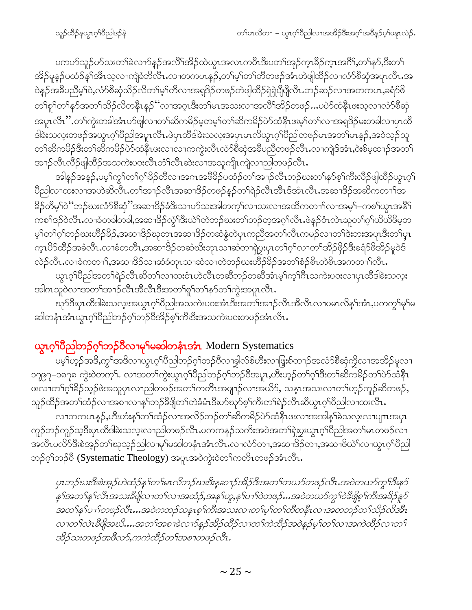ပကပာ်သူဉ်ပာ်သးတ<sup>၎</sup>ခဲလၫာ်နဉ်အလိ်<sup>၎</sup>အိဉ်ထဲယွာအလာကပီာဒီးပတ<sup>၎</sup>အုဉ်ကွာနိဉ်ကွာအင်္ဂိ<sup>ရ</sup>,တၫ်နာ်,ဒီးတ႑် အိဉ်မူနဉ်ပထံဉ်န1်အီၤသ့လၢကျဲခံဘိလီၤႉလၢတကပၤန္ဉာ်,တ1်မ့ၤ်တ1်တိတဖဉ်အံၤဟဲဖျဲထိဉ်လၢလံာ်စီဆုံအပူၤလီၤၗအ ဝဲနဉ်အခ်ီပညီမ့<sup>ှ</sup>ဝဲ,လံာ်စီဆုံသိဉ်လိတ<sup>ှ</sup>မ့ှ်တိလၢအရှဒိဉ်တဖဉ်တဲဖျါထိဉ်ရှဲရှဲပျီပျီလီၤ.ဘဉ်ဆဉ်လၢအတကပၤ,ခရံာ်ဖိ တၫ်စူၫ်တ႑်နှာ်အတ႑်သိဉ်လိတနိုၤန္ဉာဴိလၤအဂ္ဂၤဒီးတ႑်မၤအသးလၤအလိၤ်အိဉ်တဖဉ်…ပပဲာ်ထံနိုၤဖးသ့လၤလံာ်စီဆုံ အပူၤလီၤ''.တၫ်ကွဲးတခါအံၤဟ်ဖျါလၢတၫ်ဆိကမိဉ်မ့တမ့ၫ်တၫ်ဆိကမိဉ်ပဲာ်ထံနီၤဖးမ့ၫ်တၫ်လၢအရှ<sup>8</sup>ဉ်မးတခါလၢပုၤထိ ဒါခဲးသလူးတဖဉ်အယွπဂ့ါပိညါအပူπလိၤႉဖဲပုၤထိဒါခဲးသလူးအပှၤမπလိယ္ဂၤဂ့ါပိညါတဖဉ်မπအတ1်မπန္ဉဉ်,အဝဲသ့ဉ်သူ တၫ်ဆိကမိဉ်ဒီးတၫ်ဆိကမိဉ်ပဲာ်ထံနိုၤဖးလၢလၢကကွဲးလီၤလံာ်စီဆုံအခ်ိပညီတဖဉ်လီၤႉလၢကျဲဒ်အံၤႇ၀ဲးစ်မှထၢဉ်အတ႑် အၫဉ်လီၤလီဉ်ဖျါထိဉ်အသကဲးပဝးလီၤတံၤ်လီၤဆဲးလၢအသူကျိၤကျဲလၢညါတဖဉ်လီၤႉ

အါနဉ်အနဉ်,ပမ့<sup>၎</sup>ကွ<sup>၎</sup>တ႑်ဂ့<sup>၎ဌ</sup>ဉ်တိလၢအဂၤအ<sup>88</sup>ဉ်ပထံဉ်တ႑်အၫဉ်လီၤဘဉ်ဃးတ႑်နဉ်စ့႑်ကီးလိဉ်ဖျါထိဉ်ယွၤဂ့႑် ပိညါလၫထးလၫအဟဲဆိလိၤႉတၫ်အ႑ာ်လိၤအဆၢဒိဉ်တဖဉ်နဉ်တၫ်ရဲဉ်လိၤအီၤဒ်အံၤလိၤၗအဆၢဒိဉ်အဆိကတ႑ၢ်အ ခြိဉ်တိမ့်ၫ်ဝဲမ်ဘည်ဃးလံာ်စီဆုံ"အဆ႑ဒြဉ်ခံဒီးသ႑ဟ်သးအါတက္န္ကိုလ႑သးလ႑အထိကတ႑ာ်လ႑အမွှဴြ-ကစ႑်ယွၤအန္ဒိြ ကစ<sup>႖</sup>ဒဉ်ဝဲလီၤႉလၢခံတခါတခါႇအဆၢဒိဉ်လွံ<sup>႖ဒ္ဌိုး</sup>ယဲ႑်တဲဘဉ်ဃးတ႑်ဘဉ်တ့အဂ္໋ုလီၤႉဖဲနဉ်ဝံၤလဲၤဆူတ႑်ဂ္႑်ယိယိဖိမ့တ မ့်ၢတၢ်ဂ့ၢ်ဘဉ်ဃးဟိဉ်<sup>8</sup>ဉ်,အဆၢဒိဉ်ဃုတုၤအဆၢဒိဉ်တဆံနွံတဲပုၤကညီအတၤ်လီၤကမဉ်လၢတၫ်ဒဲးဘးအပူၤဒီးတၢ်ပုၤ က္ၤပိ႒်ထိဉ်အခံလိၤႉလၢခံတတိၤႇအဆၢဒိဉ်တဆံဃိးတုၤသၢဆံတၢရဲပွးပုၤတၫ်ဂ့ၫ်လၢတၫ်အိဉ်ဖိုဉ်ဒီးခရံာ်ဖိအိဉ်မူဝဲဒ် လဲဉ်လီၤ.လၢခံကတၫ်ႇအဆၢဒိဉ်သၢဆံခံတုၤသၢဆံသၢတဲဘဉ်ဃးဟိဉ်ခိဉ်အတၫ်စံဉ်စိၤတဲစိၤအကတ႑ၢ်လီၤ.

ယ္စၤဂ့ౕၢပဵညါအတౕၢရဲဉ်လဵိၤဆိတၤ်လၢထးဝံၤဟဲလဵၤတဆီဘဉ်တဆီအံၤမ္ၤ်က္ၤ်ဂီၤသကဲးပဝးလၢပုၤထီဒါခဲးသလူး အါက သူဝဲလၫအတ<sup>ရှ</sup>အၫှာ်လီၤအီလီၤဒီးအတ<sup>ရ</sup>စု<sup>ရ</sup>တၫ်နဉ်တၫ်ကွဲးအပူၤလီၤ.

ဃုာ်ဒီးပှၤထိဒါခဲးသလုံးအယွπဂ့ါပိညါအသကဲးပဝးအံၤဒီးအတၫ်အၫဉ်လီၤအိလိၤလၢပမၤလိန္ၫ်အံၤႇပကကွ႑်မှၤ်မ ဆါတနံၤအံၤယ္ပၤဂ့ါပီညါဘဉ်ဂ့ါဘဉ်ဝိအိဉ်စ့ါကီးဒီးအသကဲးပဝးတဖဉ်အံၤလီၤ.

### ယွာလ်ပြီညါဘဉ်လ်ုဘဉ်ဝိလၢမှSမဆါတနံၤအံၤ Modern Systematics

ပမ့်္ကဟုဉ်အဒိ,ကွ်္ဂအဒိလၢယွၤဂ့်္ဂါပိညါဘဉ်ဂ့်္ဂဘဉ်ဝီလၢခွါလ်စ်ဟီးလၢဖြူးစ်ထၫဉ်အလံာ်စီဆုံကွိလၢအအိဉ်မူလၢ ၁၇၉၇–၁၈၇၈ ကွဲးဝဲတက့<sup>၎</sup>. လၫအတ<sup>၎</sup>ကွဲးယွၤဂ့<sup>၎</sup>ပိညါဘဉ်ဂ့<sup>၎</sup>ဘဉ်ဝိအပူၤ,ဟိးဟ့ဉ်တ<sup>၎</sup>ဂ့<sup>၎ဒ္</sup>းတ႑်ဆိက်မိဉ်တ႑်ပဲ၁်ထံနိုၤ ဖးလၫတၫ်ဂ္ဂါခိဉ်သူဉ်ဖဲအသူပုၤလ႑ညါတဖဉ်အတ႑်ကတိၤအဖျၫဉ်လၢအယိ9်, သန္ၤအသးလၢတ႑်ဟုဉ်ကူဉ်ဆိတဖဉ်, သူဉ်ထိဉ်အတ<sup>၎</sup>ထံဉ်လၢအစၫလၫန<sup>ှ</sup>ါဘဉ်<sup>ဒွ</sup>ဖိျတၫ်တဲခံမံၤဒီးဟ်ဃုာ်စ့<sup>၎</sup>ကီးတ႑်ရဲဉ်လီၤဆီယွၤဂ့ၫ်ပိညါလၫထးလီၤ

လၢတကပၤန္}်ႇဟီးဟံးန<sup>ှ</sup>တြ်ထံဉ်လၢအလိဉ်ဘဉ်တၢ်ဆိကမိဉ်ပဲာ်ထံနိၤဖးလၢအအါန္1်ခဲသလူးလၢပျπအပှၤ ကူဉ်ဘဉ်ကူဉ်သ့ဒီးပှၤထိဒါခဲးသလ့းလၫညါတဖဉ်လီၤ.ပကကနဉ်သကိးအဝဲအတ<sup>ှ</sup>ရှဲးပွးယွၤဂ့<sup>ရ</sup>ဝိညါအတ<sup>ှ</sup>မၤတဖဉ်လ႑ အလီၤပလိ်ာဒီးစဲအ့ဉ်တၫ်ဃုသ့ဉ်ညါလၢမှၢ်မဆါတနံၤအံၤလီၤ.လၢလံာ်တၢ,အဆၢဒိဉ်တၢ,အဆၢဖိယဲၫ်လၢယွၤဂ့ၢ်ပိညါ ဘဉ်ဂ့ၢ်ဘဉ်ဝီ (Systematic Theology) အပူၤအဝဲကွဲးဝဲတၢ်ကတိၤတဖဉ်အံၤလီၤ $\cdot$ 

ပုၤဘဉ်ဃးဒီးစဲအှဉ်ဟဲထံဉ်န1်တ1်မၤလိဘဉ်ဃးဒီးနအ႑ာဴအိဉ်ဒီးအတ1်တယာ်တဖဉ်လီၤ.အဝဲတယာ်ကျွ1်ဒီးနဉ် န္ ၫ်အတ႑်န္ ၫ်လီၤအသးဒီဖျိလ ၊တ႑်လ ၊အထံဉ်ႇအန ၫ်ဟူႇန ႑်ပ ႑ာ်ဝဲတဖဉ်…အဝဲတယာ်ကွ ၫ်ဝဲဒီဖျိစ္ ၫ်ကီးအခိဉ်နူဉ် အတ႑်န Yပ႑ာတဖဉ်လီး…အဝဲကဘဉ်သန္းစ့႑်ကီးအသးလ႑တ႑်မှ Jတ႑တိတနိုးလ႑အတဘဉ်တ႑်သိဉ်လိုအီး လၢတ<sup>်</sup>၊လဲၤခီဖျိအဃိ….အတ<sup>ရှ</sup>အစ<sup>ျ</sup>ခဲလၢာ်နှဉ်အိဉ်ထိဉ်လၢတ<sup>ရှ</sup>ကဲထိဉ်အဝဲနဉ်မှ<sup>ရ</sup>တ<sup>ရ</sup>လၢအကဲထိဉ်လၢတ<sup>ရှ</sup> အိဉ်သးတဖဉ်အဖိလာ်,ကကဲထိဉ်တ႑်အစ႑တဖဉ်လီး.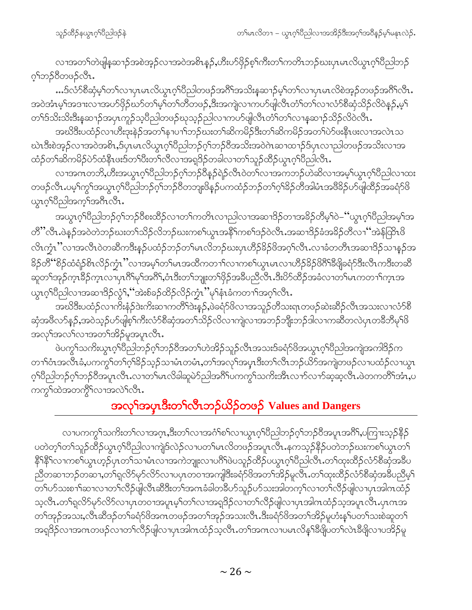လၫအတ႑်တဲဖျိန္ေသာ့အစဲအ့ဉ်လၫအဝဲအစိၤန္ဉာဴႇဟိဳးပာဴဖိုဉ်စ့်ౕကီးတၤ်ကတိၤဘဉ်ဃးပုၤမၤလိယ္မၤဂ့ၤ်ပီညါဘဉ် ့<sup>ရ</sup>ဘဉ်8ီတဖဉ်လီၤ.

…ဒ်လံ်ာစိဆုံမ့ှ်တှကာပုကမာတိယ္တာဝှိပြီညါတဖဉ်အဂိါအသိးနဆာဉ်မ့ှ်တှကာပုကမာလိစဲအ့ဉ်တဖဉ်အဂိါလီာ. အဝဲအံၤမ့ါအဒၢးလ႑အပာ်ဖိုဉ်ဃာ်တ႑်မှု၊်တ႑်တီတဖဉ်,ဒီးအကျဲလ႑ကပာ်ဖျလြီၤတံ႑်တ႑်လ႑လံာ်စီဆုံသိဉ်လိဝဲနဉ်,မ့္ တၫ်ဒ်သိးသိးဒီးနှဆ႑ာ်အပုၤကူဉ်သူပိညါတဖဉ်ဃုသူဉ်ညါလ႑ကပာ်ဖျါလီၤတံၤ်တ႑်လ႑န္နဆ႑ာ်သိဉ်လိဝဲလီၤ.

အဃိဒီးပထံဉ်လၢဟိးဒုးနဲ့ဉ်အတ႑်နาပ႑)်ဘဉ်ဃးတ႑်ဆိကမိဉ်ဒီးတ႑်ဆိကမိဉ်အတ႑်ပဲဉ်ဖးနိုၤဖးလ႑အလဲၤသ ဃဲၤဒီးစဲအ့ဉ်လၢအဝဲအစိၤႇဒ်ပုံၤမၤလိယ္မၤဂ့်ၫပီညါဘဉ်ဂ့်ၫ်ဘဉ်ဝိအသိးအဝဲဂဲၤဆ႑ထ႑ာ်ဒ်ပုံၤလ႑ညါတဖဉ်အသိးလၢအ ထံဉ်တၫ်ဆိကမိဉ်ပဲဉ်ထံနိုၤဖးဒ်တ႑်ပီးတ႑်လီလၢအရှုဒိဉ်တခါလၢတ႑်သူဉ်ထိဉ်ယွπ့ဂ်ုပီညါလီၤ.

လၢအဂၤတဘိႇဟိီးအယွာက်ပြီညါဘဉ်ဂ့်္ကာဉ်ဝိန္ ဉ်ရဲဉ်လီၤဝဲတ္လလၢအကဘဉ်ဟဲဆိလၢအမ့္ပ်ယွာက်ပြီညါလၢထး တဖဉ်လီၤႉပမ့<sup>၎</sup>ကွ<sup>၎</sup>အယွπဂ့<sup>၎</sup>ပိညါဘဉ်ဂ့<sup>၎</sup>ဘဉ်ဝိတဘျးဖိနှဉ်ပကထံဉ်ဘဉ်တ<sup>၎</sup>ဂ့<sup>၎ဌ</sup>ဉ်တိအါမံၤအဖိ<sup>ဋ္ဌ</sup>ဉ်ပာဖျါထိဉ်အခရံဉ်ဖိ ယ္စာဂ့<sup>၎</sup>ပီညါအက္Sအဂီၤလီၤ.

အယွၤဂ့ၫ်ပီညါဘဉ်ဂ့ၫ်ဘဉ်ဝီစးထိဉ်လ႑တ႑်ကတိၤလ႑ညါလ႑အဆ႑ဒိဉ်တ႑အခိဉ်တိမ့ၫ်ဝဲ–''ယွၤဂ့ၫ်ပီညါအမ့ၫ်အ တိ"လိၤ.ဖဲနဉ်အဝဲတဲဘဉ်ဃးတ႑်သိဉ်လိဘဉ်ဃးကစ႑်ယွၤအနိ<sup>႖</sup>ကစ႑်ဒဉ်ဝဲလိၤ.အဆ႑ဒိဉ်ခံအခိဉ်တိလ႑"အဲန်ထြိၤဖိ လိၤကၠံၤ''လၢအလိၤဝဲတဆိကဒိႏန္ဉ်ပထံဉ်ဘဉ်တၫ်မၤလိဘဉ်ဃးပုၤဟိဉ်<sup>႙ွ</sup>ဉ်ဖိအဂ္ဂၢ်လိၤႉလၢခံတတိၤအဆၢဒိဉ်သၢန္ဉာ်အ <sup>8</sup>ဉ်တိ''စိဉ်ထံရံဉ်စိၤလိဉ်က္ဉံၤ''လၢအမ့<sup>၎</sup>တ႑်မၤအထိကတ႑ာ်လၢကစ႑်ယွၤမၤလၢဟိဉ်<sup>8</sup>ဉ်<sup>88</sup>ြစီဖျိခရံှာဒီးလီၤကဒီးတဆိ ဆူတ<sup>ရ</sup>အုဉ်က္§ြန်က္လာလျာဟု (၁) မိုက်ဆံုးမွာ အိုးတရား အလံုးအနီပညီလ်ိဳး အိုးပိုက်ထိုင်အခံလာတရမ်းကတ္ကာ ကားအ ယွၤဂုၤ်၀ည္ပါလၤအဆၤဒိဉ်လွံ1်, အဲးစ်ခဉ်ထိဉ်လိဉ်ကံ့ၤ ''မု1နံၤခံကတ႑ၤ်အဂ္ဂၤလီၤ.

အဃိဒီးပထံဉ်လၢက်းနံဉ်ဒဲးကိးဆၫကတိ<sup>ြ</sup>ဒဲးနဉ်,ဖဲခရံာ်ဖိလၢအသူဉ်တိသးရာတဖဉ်ဆဲးဆိဉ်လီၤအသးလၢလံာ်စိ ဆုံအဖိလာ်နဉ်,အဝဲသ့ဉ်ဟ်ဖျ်စ့်၊ကီးလံာ်စီဆုံအတ႑်သိဉ်လိလၢကျဲလၢအဘဉ်ဘိုးဘဉ်ဒါလၢကဆီတလဲပှၤတခီဘိမှ၊်ဖိ .<br>အလှ<sup>ရှ</sup>အလ<sup>ှ</sup>လၫအတ<sup>ှ</sup>အိဉ်မူအပူၤလီၤ

ဖဲပက္ဂ<sup>န</sup>သကိႏယ္လၤဂ့<sup>ရ</sup>ပိညါဘဉ်ဂ့<sup>ရ</sup>ဘဉ်ဝိအတ<sup>ရ</sup>ဟဲအိဉ်သူဉ်လီၤအသးဒ်ခရံာ်ဖိအယွၤဂ့<sup>ရ</sup>ပိညါအကျဲအကါဒိဉ်က တၫ်ုဝံၤအလီၤခံႇပကကွ််တ႑်ဂ့်ာ်ခိဉ်သူဉ်သၢမံၤတမံၤႇတ႑်အလှ်အပူၤဒီးတ႑်လီၤဘဉ်ယိဉ်အကျဲတဖဉ်လၢပထံဉ်လၢယွၤ ဂ့်္ဂါတို့သည် ပုံသည် ပြသင်္ဂါတို့ မောက်မား ပြသင်္ကြသင်္ကြသမ္တာ ပြသင်္က မောက်သည် ပြသင်္ကလိုက်မှာ မောက်<br>ဝှင်္ဂါတို့ ပြသင်္ကလိုက်များ ပြသင်္ကလိုက်များ ပြသင်္ကလိုက်များ ပြသင်္ကလာ မောက်များ ပြသင်္ကလိုက်များ ပြသင်္ကလာ ကက္ဂါထဲအတက္ဂ်ီါလၫအလဲါလီၤ.

# အလု်အပှၤဒီးတ<sup>ှ</sup>လီၤဘဉ်ယိဉ်တဖဉ် Values and Dangers

လၫပကကွ<sup>၎</sup>သကိႏတၫ်လၫအဂ္ဂၤ,ဒီးတ႑်လၢအဂံၫ်စ႑်လၫယွၤဂ့ၫ်ပီညါဘဉ်ဂ့ၫ်ဘဉ်ပီအပူၤအဂီၢ်,ပကြၫးသ့ဉ်နိဉ် ပတဲတ့<sup>၎</sup>တၫ်သူဉ်ထိဉ်ယွπဂ့<sup>၎</sup>ပြည်လၫကျဲဒ်လဲဉ်လၫပတၫ်မπလိတဖဉ်အပူπလြီးနကသ့ဉ်နိဉ်ပတဲဘဉ်ဃးကစၫ်ယွπတ႑ နိ<sup>ု</sup>နိ<sup>ု</sup>လၢကစ<sup>ြ</sup>ယ္မွာဟ့ဉ်ပှၤတ<sup>ြ</sup>သၢမံၤလၢအကဲဘျုးလၢပ<sup>8</sup>ါဖဲပသူဉ်ထိဉ်ပယ္ပၤဂ့ၢ်ပီညါလီၤ.တၫ်ထုးထိဉ်လံာ်စီဆုံအခ်ဳပ ညီတဆၢဘဉ်တဆၢ,တၫ်ရလိ႒်မု႒်လိ႒်လၢပၦၤတဝၢအကျါဒီးခရံ႒်ဖိအတ႑်အိဉ်မူလီၤႉတ႑်ထုးထိဉ်လံ႒်စီဆုံအခ်ဳပညီမ့႑် —<br>တ႑်ပာ်သးစ႑ာ်ဆၫလ႑တ႑်လိဉ်ဖျ်လီၤဆီဒီးတ႑်အဂၤခံခါတခ်ိဳပာ်သူဉ်ပာ်သးအါတက္ ါလ႑တ႑်လိဉ်ဖျ်လ႑ပ္ၤအါဂၤထံဉ် သ့လီၤႉတၫ်ရလိ5်မှ5်လိ5်လၢပုၤတဝၢအပူၤမ့ၢ်တၫ်လၢအရှဒိဉ်လၢတၫ်လိ5်ဖျါလၢပုၤအါဂၤထံဉ်သ့အပူၤလီၤႉပုၤဂၤအ တၫ်အုဉ်အသး,လီၤဆီဒဉ်တၫ်ခရံာ်ဖိအဂၤတဖဉ်အတၫ်အုဉ်အသးလီၤ.ဒီးခရံာ်ဖိအတၫ်အိဉ်မူဟံးနှၤ်ပတ႑်သးစဲဆူတ႑် အရှ3်ဉလၢအဂၤတဖဉ်လၢတၫ်လိဉ်ဖျိလၢပှၤအါဂၤထံဉ်သ့လိၤႉတၫအဂၤလၢပမၤလိန္1်ိဳဖျိပတ႑်လဲၤဒီဖျိလၢပအိဉ်မူ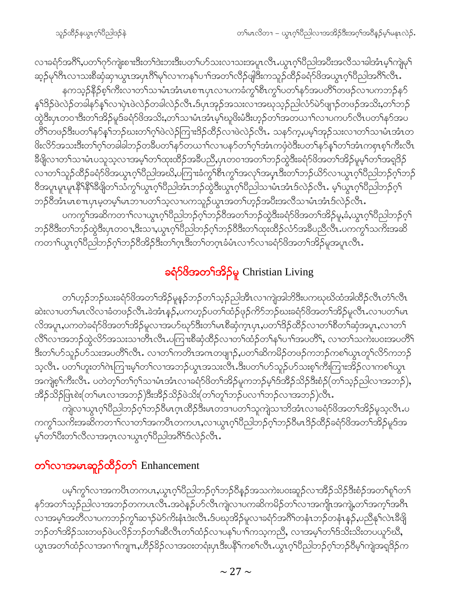သူဉ်ထိဉ်နယ္ဇၤဂ့ౕၢိပညါဒဉ်နဲ

လၢခရံဉ်အဂိ်1,ပတ1်ဂုဉ်ကျဲးစၫးဒီးတၫ်ဒဲးဘးဒီးပတ႑်ပဉ်သးလၢသးအပူၤလီၤ.ယွၤဂုၤ်ပိညါအပီးအလိသၢခါအံၤမ့ၤ်ကျဲမှၤ် ဆ္ဝိမုၫိဂီၤလၫသးစိဆုံဆုၫယွၤအပှၤဂိၢိမုၫ်လၫကန႑်ပ႑ၢ်အတ႑်လိဉ်ဖျံဒြီးကသူဉ်ထိဉ်ခရာ်၆အယွၤဂ့ၢိပိညါအဂိၢ်လိၤ.

နကသ့ဉ်နိဉ်စ့ါ်ကီးလၢတါသၢမံၤအံၤမၤစ႑ာပှၤလၢပကခံကွါစီၤကွါပတါနဉ်အပတိါတဖဉ်လၢပကဘဉ်နဉ် န5်ဒိဉ်ဖဲလဲဉ်တခါနာ်န5်လၫပုံၤဖဲလဲဉ်တခါလဲဉ်လီၤ.ဒ်ပုၤအုဉ်အသးလၢအဃုသ့ဉ်ညါလံာ်မဲာ်ဖျၫဉ်တဖဉ်အသိးႇတ5်ဘဉ် ထွဲဒီးပှၤတဝၢဒိီးတၫ်အိဉ်မူဒ်ခရံဉ်ဖိအသိး,တ႑်သၢမံၤအံၤမ့<sup>်</sup>၊ဃူဖိးမံဒီးဟ့ဉ်တ႑်အတယ႑ၤ်လၢပကပဉ်လိၤပတ႑်နဉ်အပ တိ်ါတဖဉ်ဒီးပတၫ်နဉ်နှၤ်ဘဉ်ဃးတ႑်ဂ့ါဖဲလဲဉ်ကြၫးဒိဉ်ထိဉ်လၢဖဲလဲဉ်လိၤႉ သနဉ်က့ႇပမ့ၢ်အှဉ်သးလၢတ႑်သၢမံၤအံၤတ ဖြိးလိ5်အသးဒီးတ႑်ဂ့႑်တခါခါဘဉ်တခ်ဳပတ႑်နှ5်တယ႑ၤ်လ႑ပန5်တ႑်ဂ့႑်အံၤကဖုံဝဲဒီးပတ႑်န5်န္ ၊်တ႑်အံၤကစုၤစ့႑်ကီးလီၤ ခ်ိဳဖျိလၢတၫ်သၢမံၤပသူသ့လၢအမ့ၢ်တၫ်ထုးထိဉ်အခ်ိဳပညိႇပုၤတဝၢအတၫ်ဘဉ်ထွဲဒီးခရံာ်ဖိအတၫ်အိဉ်မူမ့ၢ်တၫ်အရှ3ဉ် လၢတ<sup>႖</sup>သူဉ်ထိဉ်ခရံဉ်ဖိအယွၤဂ့<sup>၎</sup>ပိညါအဃိႇပကြၫးခံကွ<sup>၎ရွှိ</sup>ၤကွ<sup>၎</sup>အလု<sup>၎</sup>အပွာဒီးတ႑်ဘဉ်ယိဉ်လ႑ယွာဂ့်၊ပိညါဘဉ်ဂ့႑်ဘဉ် ႜ<br>တေးပူးမူးမူးနိ<sup>ု့ ရွ</sup>ောက်သုံးမွေးပါတယ်။ အသုံးမွေးပွဲ ပြည်သည်။ အသုံး အသုံး မွေးပွဲ ပြည်သည် မွေး ဘဉ်၀ိအံၤမၤစ႑ာပုၤမ့တမ့<sup>၎</sup>မၤဘၢပတ႑်သ့လၢပကသူဉ်ယွၤအတ<sup>၎</sup>ဟ့ဉ်အပီးအလိသၢမံၤအံၤဒ်လဲဉ်လီၤ**.** 

ပကကွ<sup>၎</sup>အဆိကတ႑ာ်လၫယ္ပၤဂ့ၢိပိညါဘဉ်ဂ့ၢ်ဘဉ်၀ိအတၤ်ဘဉ်ထွဲဒီးခရံာ်ဖိအတၫ်အိဉ်မူ,ခံ,ယွၤဂ့ၢ်ပိညါဘဉ်ဂ့ၢ် ဘဉ်၀ိဒိးတၫ်ဘဉ်ထွဲဒိးပှၤတဝ႑အိုးသ႑ယ္ပၤဂ့ၫ်ပိညါဘဉ်ဂ့ၫ်ဘဉ်၀ိဒိးတ႑်ထုးထိဉ်လံာ်အခ်ီပညီလီၤ.ပကကွ႑်သက်းအဆိ ကတၫၫ်ယွၤဂ့ၢိပိညါဘဉ်ဂ့ၢ်ဘဉ်ဝိအိဉ်ဒီးတ႑်ဂ္ $\overline{3}$ းတ႑်တဂ္ $\overline{1}$ ခံမံၤလ႑ာ်လၢခရံဉ်ဖိအတ႑်အိဉ်မူအပူၤလီၤ $\overline{.}$ 

### ခရံာ်<sup>ပြ</sup>အတ<sup>ြ</sup>အိဉ်မူ Christian Living

တၫ်ဟ့ဉ်ဘဉ်ဃးခရံာ်<sup>ဖွ</sup>အတၫ်အိဉ်မူနဉ်ဘဉ်တ႑်သ့ဉ်ညါအီၤလၫကျဲအါဘိဒီးပကဃုဃိထံအါထိဉ်လီၤတံ႑်လီၤ ဆဲးလၢပတ<sup>၎</sup>မၤလိလၢခံတဖဉ်လီၤ.ခဲအံၤန္ဉာဴ,ပကဟ့ဉ်ပတၫ်ထံဉ်ဖုဉ်ကိ်ာဘဉ်ဃးခရံာ်ဖိအတၫ်အိဉ်မူလီၤ.လၢပတၫ်မၤ လိအပူး,ပကတဲခရံ $\delta$ ဗိအတၫ်အိဉ်မူလၫအပာ်ဃုာ်ဒီးတၫ်မာစီဆုံက္ၤပုၤ,ပတၫ်ဒိဉ်ထိဉ်လ႑တၫ်စိတၫ်ဆုံအပူး,လ႑တ႑် လိ်ါလၢအဘဉ်ထွဲလိ်ာအသးသၢတိၤလိၤ.ပကြၢးစီဆုံထိဉ်လၢတၫ်ထံဉ်တ႑်နှၤ်ပၢ႑်အပတိၢ်, လၢတ႑်သကဲးပ၀းအပတိၤ် ဒီးတၫ်ဟ်သူဉ်ဟ်သးအပတိႝၤ်လီၤႉ လၢတၤ်ကတိၤအဂၤတဖျၫဉ်ႇပတၫ်ဆိကမိဉ်တဖဉ်ကဘဉ်ကစၢ်ယွၤတူၤ်လိ်ာကဘဉ် သလီၤ. ပတၫ်ဟူးတၫ်ဂဲၤကြၢးမ့ၢ်တၫ်လၢအဘဉ်ယွာအသးလီၤ.ဒီးပတၫ်ပာ်သူဉ်ပာ်သးစ့ၢ်ကိဳးကြၢးအိဉ်လ႑ကစၫ်ယွာၤ အကျဲစ့<sup>၎</sup>ကီးလီၤ<sup>့</sup> ပတဲတ့<sup>၎</sup>တ႑်ဂ့႑်သၢမံၤအံၤလၢခရံဉ်ဖိတ႑်အိဉ်မူကဘဉ်မ့<sup>၎ဌ်အိ</sup>ဉ်သိဉ်ဒီးစံဉ် $\overline{(\mathcal{O}}$ ႑်သူဉ်ညါလၢအဘဉ် $\big)$ , အိဉ်သိဉ်ဖြၤစဲး(တၫ်မၤလၢအဘဉ်)ဒီးအိဉ်သိဉ်ဖဲသိး(တၫ်တူၫ်ဘဉ်ပလၢၫ်ဘဉ်လၢအဘဉ်)လီၤ.

ကြုံလၫယ္ပၤဂ့ౕၢိပိညါဘဉ်ဂ့ౕၢဘဉ်ပိမၤဂၞၤထိဉ်ဒီးမၤတဒ႑ပတၤ်သူကျဲသ႑ဘိအႆၤလ႑ခရံာ်ဖိအတၤ်အိဉ်မူသ့လီၤ.ပ ကက္ဂ<sup>ရ</sup>သက်ိးအဆိကတ<sup>ြ</sup>လၢတၫ်အကပိၤတကပၤႇလၢယ္ပၤဂ့<sup>ရ</sup>ပီညါဘဉ်ဂ့<sup>ရ</sup>ဘဉ်ပီမၤဒိဉ်ထိဉ်ခရံာ်ဖိအတၫ်အိဉ်မူဒ်အ မ့်)တဉ်ပွဲးလဉ်ထွကသင်္ဘက ကိုင်ပွဲဘုံသွာပွဲခဲ့တွင် ထွက

### တ¶လၫအမၤဆူဉ်ထိဉ်တ¶ Enhancement

ပမ့ါ်ကွ<sup>ရ</sup>လၢအကပိႆၤတကပၤႇယ္လၤဂ့ါပိညါဘဉ်ဂ့ါဘဉ်၀ိန္ဉာ်အသကဲးပ၀းဆူဉ်လၢအိဉ်သိဉ်ဒီးစံဉ်အတ<sup>ရ</sup>စုါတ<sup>ရ</sup> နဉ်အတၫ်သွဉ်ညါလၫအဘဉ်တကပၤလိၤၗအဝဲနဉ်ိပ႒်လီၤကျဲလၫပကဆိကမိဉ်တၫ်လ႑အကျိုးအကျဲ့တၫ်အက္ဂၤ်အဂီၤ လၢအမ့ါ်အတိလၢပကဘဉ်ကွါဆၫဉ်မဲာ်ကိႏနံၤဒဲးလီၤ.ဒ်ပဃုအိဉ်မူလၢခရံာ်အဂိါတနံၤဘဉ်တနံၤန္ဉာ်,ပညီနုါလဲၤဒီဖြို ဘဉ်တၫ်အိဉ်သးတဖဉ်ဖဲပလိဉ်ဘဉ်တၫ်ဆီလီၤတၫ်ထံဉ်လၢပန႑်ပၢၢ်ကသ့ကညီ, လၢအမ့ၢ်တၢ်ဒ်သိးသိးတပယူဉ်ဃီ, ယ္ပၤအတၫ်ထံဉ်လၢအဂၢၫ်ကျπ,ဟိဉ်<sup>Sွ</sup>ဉ်လၢအ၀းတရံးပှၤဒီးပနိ<sup>၎</sup>ကစၫ်လီၤ.ယွၤဂ့ၫ်ပညါဘဉ်ဂ့ၢ်ဘဉ်ဝိမ့ၢ်ကျဲအရှ<sup>ဌ</sup>ဉ်က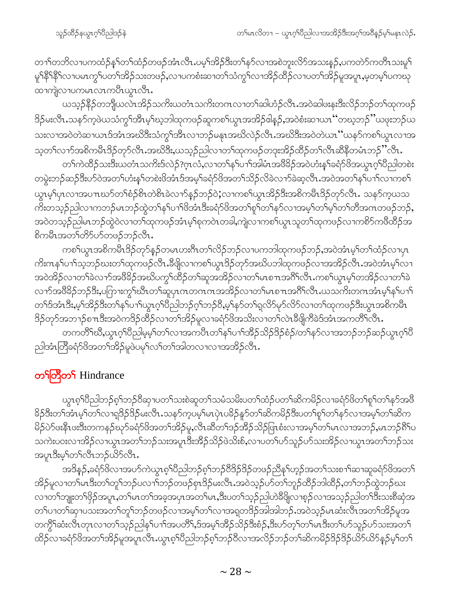တၫ်တဘိလၢပကထံဉ်နှ််တြထံဉ်တဖဉ်အံၤလီၤ.ပမ့်္သဒာိုဒ်ိုးတ်န5်လၢအစဲဘူးလိ်ာအသးန5်,ပကတဲာ်ကတီၤသးမှု် မူ<sup>၎န္ဓ</sup>ိရနိ<sup>ရ</sup>လၢပမၤကွၢ်ပတၫ်အိဉ်သးတဖဉ်,လၢပကစံးဆၢတၫ်သံကွ<sup>၎</sup>လၢအိဉ်ထိဉ်လၢပတၫ်အိဉ်မူအပူၤ,မ့တမ့ၢ်ပကဃု ထၫက္ပဲုလ႑ပကမၤလၤကပီၤယ္မၤလီၤ.

ယသ္ဝ်နိုဉ်တဘိုုယလဲၤအိဉ်သကိႏယတံၤသကိႏတဂၤလၢတၫ်ဆါဟံဉ်လီၤႉအဝဲဆါဖးနးဒီးလိဉ်ဘဉ်တၫ်ထုကဖဉ် ဒိဉ်မးလီၤႉသနၥ်က့ဖဲယသံကွ<sup>၎ဌာီ႑</sup>မ့<sup>၎</sup>ဃ့ဘါထုကဖဉ်ဆူကစၤ်ယွၤအအိဉ်ဇါနဉ်ႇအဝဲစံးဆၤယၤ ''တဃ့ဘဉ်''ယဖုးဘဉ်ယ သးလၫအဝဲတဲဆၫယၤဒ်အံၤအဃိဒီးသံကွౕၢအီၤလၫဘဉ်မနုၤအဃိလဲဉ်လီၤႉအဃိဒီးအဝဲတဲယၤ ''ယနဉ်ကစ႑်ယွၤလၢအ သ့တၫ်လၫာ်အစိကမိၤဒိဉ်တုာ်လီၤ.အဃိဒိး,ယသ္ဉဉ်ညါလၫတၫ်ထုကဖဉ်တဒုးအိဉ်ထိဉ်တၫ်လီၤဆိနိတမံၤဘဉ်ိႛလီၤႉ

တၫ်ကဲထိဉ်သးဒီးယတံၤသကိးဒ်လဲဉ်?ဂ္ဂၤလံ,လၢတၫ်နှၤ်ပၢၤ်အါမံၤအဖိခိဉ်အဝဲဟံးနှၤ်ခရံဉ်ဖိအယွၤဂ့ၤ်ပိညါတစဲး တမ္ပဲးဘဉ်ဆဉ်ဒီးဟ်ဝဲအတၫ်ဟံးနှၤ်တစဲးဖိအံၤဒ်အမှၤ်ခရံာ်ဖိအတ႑်သိဉ်လိခဲလ႑ာခဲဆ့လီၤႉအဝဲအတ႑်နှၤ်ပ႑်လ႑ကစ႑် ယွာမ့်္ျပာလာအပπဃာ်တၫ်စံဉ်စိၤတဲစိၤခဲလၫာ်နှဉ်ဘဉ်ဝဲ;လၢကစၫ်ယွာအိဉ်ဒီးအစိကမိၤဒိဉ်တုာ်လီၤႉ သနာ်ကဲ့ယသ ကိႏတသ္ဉဉ်ညါလၫကဘဉ်မၤဘဉ်ထွဲတ႑်နှၤ်ပ႑ာဖိအံၤဒီးခရံဉ်ဖိအတ႑်စူ႑်တ႑်နှဉ်လ႑အမ္ ါတ႑်မ့္ဂ်တ႑်တီအဂၤတဖဉ်ဘဉ်, အဝဲတသွဉ်ညါမၤဘဉ်ထွဲဝဲလၫတၫ်ထုကဖဉ်အံၤမ့ၢ်စုကဝဲၤတခါ,ကျဲလ႑ကစၫ်ယွၤသူတၫ်ထုကဖဉ်လ႑ကစိၥ်ကဖိထိဉ်အ စိကမီၤအတၤ်တိ>်ပာ်တဖဉ်ဘဉ်လီၤ.

ကစၫ်ယွၤအစိကမီၤဒိဉ်တုာ်နှဉ်တမၤဟးဂီၤတ႑်လိဉ်ဘဉ်လၢပကဘါထုကဖဉ်ဘဉ်,အဝဲအံၤမ့ၢ်တ႑်ထံဉ်လၢပုၤ ကိးဂၤန1်ပ႑)သ့ဘဉ်ဃးတ1်ထုကဖဉ်လီၤ.ဒီဖျိလ႑ကစ1်ယွၤဒိဉ်တုာ်အဃိပဘါထုကဖဉ်လ႑အအိဉ်လီၤ.အဝဲအံၤမ့1်လ႑ အဝဲအိဉ်လၢတၫ်ခဲလၫာ်အဖိခိဉ်အဃိပက္ဂၤ်ထိဉ်တၫ်ဆူအအိဉ်လၢတၤ်မၤစ႑ာအဂၤိလိၤႉကစၤ်ယွၤမ့ၤ်တအိဉ်လၢတၤ်ခဲ လၫာ်အဖိ<sup>8</sup>ဉ်ဘဉ်ဒိး,ပဂြာၫးကွ<sup>ှ</sup>ဃီၤတၢ်ဆူပုၤကတဂၤကအအိဉ်လၢတၢ်မၤစ႑ာအဂိၢလိၤႉယသကိႏတဂၤအံၤမ့ၢ်နှၤ်ပၢၤ တၫ်ဒ်အံၤဒီး,မ့ၢ်အိဉ်ဒီးတ႑်နှၤ်ပ႑ာယ္ဂၤဂိုပြီညါဘဉ်ဂ့ၢ်ဘဉ်၀ိႇမ့ၢ်နှာ်တ႑်ရလိာမှာ်လိာ်လ႑တ႑်ထုကဖဉ်ဒီးယွၤအစိကမီၤ <sup>8</sup>ဉ်တုာ်အဘၫဉ်စπဒီးအဝဲက<sup>8</sup>ဉ်ထိဉ်လၢတ်၊အိဉ်မူလၢခရံာ်ဖိအသိးလၢတၢ်လဲၤခီဖျိကိခဲဒ်အံၤအကတိၢ်လိၤႉ

တကတိႝၤ်ဃိဳႇယ္လၤဂ့ၢိပိညါမ့မ့ၤ်တၤ်လၢအကပိၤတၤ်နၤ်ပၢၤ်အိဉ်သိဉ်ဒိဉ်စံဉ်/တၤ်နဉ်လၢအဘဉ်ဘဉ်ဆဉ်ယွၤဂ့ၢ်ပိ ညါအံၤတြိခရံဉ်ဖိအတ႑်အိဉ်မူဖဲပမှ<sup>၎</sup>လ႑်တ႑်အါတလ႑လ႑အအိဉ်လိၤ<sup>့</sup>

### တ<sup>S</sup>တြိတ် Hindrance

ယွၤစ့<sup>၎</sup>ပီညါဘဉ်စ့<sup>၎</sup>ဘဉ်ဝိဆှ႑ပတ႑်သးစဲဆူတ႑်သမံသမိးပတ႑်ထံဉ်ပတ႑်ဆိကမိဉ်လ႑ခရံာ်ဖိတ႑်စူ႑်တ႑်နဉ်အဖိ နိဉ်ဒီးတၫ်အံၤမ့ၢ်တၫ်လၢရုဒိဉ်ဒိဉ်မးလီၤႉသနဉ်ကဲ့ပမ့ၢ်မၤပှဲၤပနိဉ်နှဉ်တၫ်ဆိကမိဉ်ဒီးပတၫ်စူၫ်တၫ်နှဉ်လၢအမ့ၢ်တၫ်ဆိက မိဉ်ပဲ၁်ဖးနီၤဖးဒီးတကနဉ်ဃှာ်ခရံာ်ဖိအတ႑်အိဉ်မူ,လီၤဆီတ႑်ဒဉ်အိဉ်သိဉ်ဖြၤစံးလၢအမ့္ပါတ႑်မၤလၢအဘဉ်,မၤဘဉ်ရိၤ်ပ သကဲးပဝးလၢအိဉ်လၢယွၤအတၫ်ဘဉ်သးအပူၤဒီးအိဉ်သိဉ်ဖဲသိးစ်,လၢပတၫ်ဟ်သူဉ်ဟ်သးအိဉ်လၢယွၤအတၫ်ဘဉ်သး အပူၤဒီးမ့<sup>၎</sup>တ႑လီၤဘဉ်ယိဉ်လီၤ.

အဒိန္ဥ်ာနရံာ်ဖိလၢအပာ်ကဲယွာစူ ်ျပဳညါဘဉ်စ့ ်ဘဉ်၀ီဒိဉ်ဒိဉ်တဖဉ်ညီနှ ်ဟူဉ်အတ ်သးစ႑်ာဆာဆူခရံာ်ဖိအတ ် အိဉ်မူလၢတၫ်မၤဒီးတၫ်တူၫ်ဘဉ်ပလၢၫ်ဘဉ်တဖဉ်စှၤဒိဉ်မးလီၤ.အဝဲသ့ဉ်ဟ်တၫ်ဘူဉ်ထိဉ်ဘါထိဉ်,တ႑်ဘဉ်ထွဲဘဉ်ဃး လၢတၫ်ဘျုးတၫ်ဖိုဉ်အပူၤႇတၫ်မၤတၫ်အခဲ့အပုၤအတ႑်မၤႇဒိႆးပတ႑်သူဉ်ညါဟဲဒီဖိုုလၢစ္ဉဉ်လၢအသုဉ်ညါတၫ်ဒိႆးသးစိဆုံအ တၫ်ပၢတၫ်ဆုၫပသးအတၫ်တူၫ်ဘဉ်တဖဉ်လၢအမ့ၢ်တၫ်လၢအရှတဒိဉ်အါအါဘဉ်ႉအဝဲသုဉ်မၤဆံးလီၤအတၫ်အိဉ်မူအ တက္ဂိ်ါဆံးလီၤတုၤလၢတၫ်သ့ဉ်ညါန<်ပ႑ာအပတိိ\,ဒ်အမ့္ပ်အိဉ်သိဉ်ဒီးစံဉ်,ဒီးပာ်တ့်္ဂတၤမၤဒီးတ႑်ပာ်သူဉ်ပာ်သးအတ႑် ထိဉ်လၢခရံာ်ဖိအတၫ်အိဉ်မူအပူၤလီၤ.ယွၤစ့ၢ်ပီညါဘဉ်စ့ၢ်ဘဉ်၀ီလၢအလိဉ်ဘဉ်တၫ်ဆိကမိဉ်ဒိဉ်ဒိဉ်ယိာယိာနှဉ်မ့ၢ်တ႑်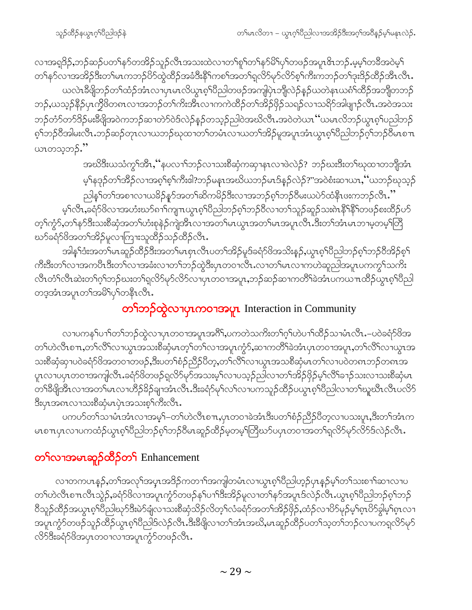လၢအရှ3်ဉ,ဘဉ်ဆဉ်ပတၫ်နဉ်တအိဉ်သူဉ်လီၤအသးထဲလၢတၫ်စူၫ်တၫ်နှာ်မိ်ၤပုၫ်တဖဉ်အပူ၊ ဇိၤဘဉ်ႉမ့မ့ၫ်တဓိအဝဲမ့႑် တၫ်နာ်လၫအအိဉ်ဒီးတၫ်မၤကဘဉ်ပိဉ်ထွဲထိဉ်အခံဒီးနိ<sup>႖</sup>ကစၫ်အတ႑်ရလိဉ်မှာ်လိဉ်စ့ၫ်ကီးကဘဉ်တ႑်ဒုးဒိဉ်ထိဉ်အိၤလီၤ ယလဲၤခ်ီဖျိဘဉ်တၫ်ထံဉ်အံၤလၢပှၤမၤလိယွၤစ့ၫ်ပိညါတဖဉ်အကျပြဲၤဘျိလဲဉ်နဉ်ယတဲနၤယစံၫ်ထိဉ်အဘျိတဘဉ် ဘဉ်,ယသ့ဉ်နိဉ်ပှၤက္ခိဖိတၵၤလၫအဘဉ်တၫ်ကိုးအိၤလၫကကဲထိဉ်တၫအိဉ်ဖိုဉ်သရဉ်လ႑သရိဉ်အါဖျ႑ာ်လီၤႉအဝဲအသး ဘဉ်တံာ်တာ်ဒိဉ်မးခ်ီဖျိုအဝဲကဘဉ်ဆ႑တဲာ်ဝဲဒ်လဲဉ်နှဉ်တသူဉ်ညါဝဲအဃိလီၤႉအဝဲတဲယၤ ''ယမၤလိဘဉ်ယွၤစ့္ပ်ပညါဘဉ် စ့်)ဘဉ်ဝိအါမးလီၤ.ဘဉ်ဆဉ်တုၤလၢယဘဉ်ဃုထၢတၤ်တမံၤလၢယတၤ်အိဉ်မူအပူၤအံၤယ္ဂၤစ့ၤ်ပိညါဘဉ်ဂ့်၊ဘဉ်ဝိမၤစ႑ာ ယၤတသ့ဘဉ်."

> အဃိဒီးယသံကွ<sup>ရ</sup>အိၤႇ''နပလၫ်ာဘု်လၢသးစိဆုံကဆုၫနၤလၢဖဲလဲဉ်? ဘဉ်ဃးဒီးတၫ်ဃုထၢတဘျိအံၤ မ့်)နဒုဉ်တ<sup>ှ</sup>အိဉ်လၢအစ့်)စ့်၊ကီးဖါ?ဘဉ်မနၤအဃိယဘဉ်မၤဒ်နဉ်လဲဉ်?"အဝဲစံးဆၢယၤႇိယဘဉ်ဃုသ့ဉ်

ညါနှ်ါတၢ်အစၢလၢယ<sup>္ဌ</sup>ဉ်နှာ်အတၤ်ဆိကမိဉ်ဒီးလၢအဘဉ်စ့ါဘဉ်၀ိမးယပဲာ်ထံနိၤဖးကဘဉ်လီၤ.''

မ့<sup>၎</sup>လီၤႇ<sup>ွှ</sup>ရာ်<sup>8</sup>လၫအဟံးဃာ်၈ၫ်ကျπယွၤစ့<sup>၎</sup>ပီညါဘဉ်စ့<sup>၎</sup>ဘဉ်ဝိလၢတ႑်သူဉ်ဆူဉ်သး၈ဲၤနိ<sup>၎</sup>နိ<sup>ု</sup>တဖဉ်စးထိဉ်ပာ် တ့ౕ)ကၠံ်ာႇတౕ)နာ်ဒီးသးစိဆုံအတၤ်ဟံးစုနဲဉ်ကျဲအီၤလၢအတၤ်မၤယ္ပၤအတၤ်မၤအပူၤလီၤ.ဒီးတၤ်အံၤမၤဘၢမ္စတမ့ၤ်တြိ ဃာ်ခရံာ်ဖိအတ႑်အိဉ်မူလၢကြားသူထိဉ်သဉ်ထိဉ်လီၤ.

အါန1်ဒံးအတ1်မၤဆူဉ်ထိဉ်ဒီးအတ1်မၤစှၤလီၤပတ<sup>႖</sup>အိဉ်မူဒ်ခရံာ်<sup>ပွ</sup>အသိးနဉ်ႇယွၤစ့ၢ်ပီညါဘဉ်စ့ၢ်ဘဉ်၀ီအိဉ်စ့ၫ် ကိုးဒီးတၫလာအကပိၤဒီးတၫၳလၢအခံးလၢတၫ်ဘဉ်ထွဲဒီးပုၤတဝၢလိၤလၢတၫမၤလၢကဟဲဆူညါအပူၤပကကွ႑်သကိႏ လီၤတံၤ်လီၤဆဲးတၤ်ဂ့ၤ်ဘဉ်ဃးတၤ်ရလိ၁်မှာ်လိ၁်လၢပုၤတဝၢအပူၤႇဘဉ်ဆဉ်ဆၢကတိၤ်ခဲအံၤပကယ႑ၤထိဉ်ယွၤၵ့ၤ်ပိညါ တဒ္ဒအံၤအပူၤတၫ်အမိ႑်ပု႑်တနိၤလိၤ.

### တ<sup>ှ</sup>ဘဉ်ထွဲလၫပုၤကဝၫအပူၤ Interaction in Community

လၢပကန1်ပၫါတ1်ဘဉ်ထွဲလၢပှၤတဝၢအပူၤအဂိါ,ပကတဲသကိႏတ1်ဂ့ါဟဲပၫါထိဉ်သၢမံၤလီၤ.–ပဝဲခရံာ်ဖိအ တၫ်ဟဲလီၤစ $\pi$ ႇတၫ်လိႝ႞လၫယ္ပၤအသးစိဆုံမၤတ့ၫ်တၫ်လၢအပူၤက္ပံာ်ႇဆၢကတိႝၫ်ခဲအံၤပှၤတဝၢအပူၤႇတၫ်လိႝၤ်လၢယွၤအ သးစိဆုံဆု1ပဝဲခရံာ်ဖိအတဝ1တဖဉ်,ဒီးပတ်္ဂစံဉ်ညီဉ်ပိတ့,တ႑်လိြလ1ယွၤအသစိဆုံမၤတ႑်လ1ပဝဲတ၈ၤဘဉ်တ၈ၤအ ပူၤလၢပၦၤတဝၢအကျါလီၤႉခရံာ်ဖိတဖဉ်ရလိာ်မှာ်အသးမ့ၢ်လၢပသ့ဉ်ညါလၢတၢ်အိဉ်ဖှိဉ်မ့ၢ်လိၢ်ခ႑ာ်သးလၢသးစိဆုံမၤ ဒီးပုၤအၵၤလၫသးစိဆုံမၤပုဲၤအသးစ့<sup>၎</sup>ကီးလီၤ**.** 

ပကဟ်တၫ်သၢမံၤအံၤလၢအမ့¶–တ႑်ဟဲလီၤစπ,ပှၤတဝၢခဲအံၤဒီးပတ¶စံဉ်ညီဉ်ပီတ့လၢပသးပူၤ,ဒီးတၫ်အံၤက မာစπပှာလာပကထံဉ်ယွာစ့<sup>ရ</sup>ပီညါဘဉ်စ့<sup>ရ</sup>ဘဉ်ပီမာဆူဉ်ထိဉ်မဲ့တမ့<sup>ရ</sup>တြီဃာ်ပပှာတဝါအတ်ရလိွာမှာလိွာ်ဒ်လဲဉ်လီား

## တ<sup>ှ</sup>လၫအမၤဆူဉ်ထိဉ်တှ Enhancement

လၢတကပၤန္5်ႇတၫ်အလုၫ်အပ္႑အဒိဉ်ကတ႑ၫ်အကျါတမံၤလၢယ္ပၤစ္ပၢိပိညါဟ့ဉ်ပှၤန္ဉာ်မ့ၢ်တ႑်သးစ႑ာ်ဆ႑လၢပ တၫ်ဟဲလီၤစ πလီၤသွဲဉ်ႇခရံာ်ဖိလၤအပူၤကွံာ်တဖဉ်နှၤ်ပၫၤ်ဒီးအိဉ်မူလၤတ႑်နှာ်အပူၤဒ်လဲဉ်လီၤႉယ္ဂၤစ္႑်ပြည္ပါဘဉ်စ့႑်ဘဉ် ဝိသူဉ်ထိဉ်အယွာစ့<sup>ရ</sup>ပိညါဃုာ်ဒီးမဲာ်ချံလาသးစိဆုံသိဉ်လိတ့<sup>ရ</sup>လံခရံာ်အတ<sup>ရ</sup>အိဉ်ဖိုဉ်,ထံဉ်လ<sup>ှ</sup>ပိဉ်မှဉ်မှုရှာပိဉ်ခွါမ့ှရှာလ၊ အပူၤကၠံာ်တဖဉ်သူဉ်ထိဉ်ယွၤစ့ၫ်ပီညါ့ဒ်လဲဉ်လီၤ.ဒီးခီဖျိလၢတ႑်အံၤအဃိႇမၤဆူဉ်ထိဉ်ပတ႑်သ့တ႑်ဘဉ်လၢပကရုလိ႒်မှာ် လိ5်ဒီးခရံှာ်ဖိအပုၤတဝၢလၢအပူၤက္စာ်တဖဉ်လီၤ.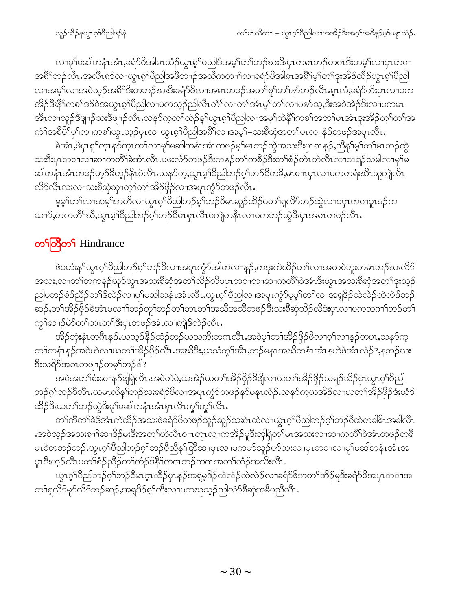လၢမှ1်မဆါတနံၤအံၤႇခရံဉ်ဖိအါၵၤထံဉ်ယွၤစ့1်ပညါဒ်အမ့1်တ1်ဘဉ်ဃးဒီးပုၤတၵၤဘဉ်တၵၤဒီးတမ့1်လၢပုၤတဝ႑ အရိ<sup>ု</sup>ဘဉ်လီၤႉအလီၤၵာ်လၫယ္ပၤစ္ပ္ပါတီဖြတ္ခ်တ္မွ အထိကတ႑ာလၢခရံာဖြတ္ခါစြာအရွိၫမ္နာတ႑ေအာင္အတိုက္တို႔စ္ပါတ္ပါ လၢအမ့ါ်လၢအဝဲသ့ဉ်အ<sup>ရွ</sup>ိုဒီးတဘဉ်ဃးဒီးခရံာ်ဖိလၢအ၈ၤတဖဉ်အတ<sup>ှ</sup>ုစှုါတ<sup>ှ</sup>နာ်ဘဉ်လီၤ.စ့ၤလံ,ခရံာ်ကိးပုၤလၢပက <u>အိဉ်ဒီးနိ<sup>ု</sup>ကစ<sup>ှ</sup>ဒဉ်ဝဲအယွာစ့<sup>ရ</sup>ပြီညါလာပကသူဉ်ညါလီၤတံ<sup>ရ</sup>လာတ<sup>ှ</sup>အံၤမှ<sup>ြ</sup>တှလာပနဉ်သူ,ဒီးအဝဲအဲဉ်ဒိုးလာပကမာ</u> အီၤလၢသူဉ်ဒိဖျၫဉ်သးဒိဖျၫဉ်လိၤႉသနာ်က့တၫ်ထံဉ်နှၤ်ယွၤစ့ၤ်ပိညါလၢအမ့ၤ်ထဲနိၤ်ကစၤ်အတၤ်မၤအံၤဒုးအိဉ်တ့ၤ်တၤ်အ ကံ်ျအစိမိ်ျပုံလาကစဉ်ယွာဟ့ဉ်ပုာလာယွာစ့်ပြီညါ့အစိ်ျလာအမ့်-သးစိဆုံအတဉ်မာလာနံဉ်တဖဉ်အပူာလီာ.

ခဲအံၫႇဖဲပုၤစူၫ်က္ၤနာ်က္ၤတ႑်လၢမှၫ်မဆါတနံၤအံၤတဖဉ်မ့ၫ်မၤဘဉ်ထွဲအသးဒီးပုၤၵၤန္ဉာ်ႇညီနှၤ်မ့ၫ်တ႑်မၤဘဉ်ထွဲ သးဒီးပုၤတဝၢလၢဆ႑ကတိႝၫ်ခဲ့အံၤလီၤ.ပဖးလံာ်တဖဉ်ဒီးကနဉ်တ႑်ကစိဉ်ဒီးတ႑်စံဉ်တဲၤတဲလီၤလၤသရဉ်သမါလၢမှြမ ဆါတနံၤအံၤတဖဉ်ဟ္၄်ခ်ီဟ့ဉ်နီၤ၀ဲလီၤႉသနဉ်က့ႇယ္လၤစ့ၫ်ပီညါဘဉ်စ့ၫ်ဘဉ်၀ိတခ်ိႇမၤစ႑ာပုၤလ႑ပကတရံးဃီၤဆူကျဲလီၤ လိ5်လီၤလးလၫသးစိဆုံဆုၫတ့ၫ်တၫ်အိဉ်ဖှိဉ်လၫအပူၤကွံ၁်တဖဉ်လီၤ

မ့မ့်ၢ်တၤ်လၢအမဲ့ၤ်အတိလၢယ္ပၤစ္ပါပီညါဘဉ်စ့်ၢ်ဘဉ်၀ိမၤဆူဉ်ထိဉ်ပတၤ်ရလိ်ာဘဉ်ထွဲလၢပၦၤတဝၢပူၤဒဉ်က ယၫာ်,တကတိႝၫဃိဳ,ယွၤၵ့ၫိပီညါဘဉ်ၵ့ၫ်ဘဉ်8ိမၤစှၤလီၤပကျဲတနိၤလၢပကဘဉ်ထွဲဒီးပှၤအၵၤတဖဉ်လီၤ.

### တ<sup>ှ</sup>ကြီတှ Hindrance

ဖဲပဟံးန5်ယွာစ့်၊ပိညါဘဉ်စ့်၊ဘဉ်ဝိလၢအပူၤက္ပံဉ်အါတလၢနည်,ကဒုးကဲထိဉ်တ႑်လၢအတစဲဘူးတမၤဘဉ်ဃးလိဉ် အသး,လၫတၫ်တကနဉ်ဃှာ်ယွπအသးစိဆုံအတ¶်သိဉ်လိပပုၤတဝ႑လ႑ဆ႑ကတိြခဲအံၤဒီးယွπအသးစိဆုံအတ႑်ဒုးသ့ဉ် ညါပဘဉ်စံဉ်ညိဉ်တ<sup>၎</sup>ဒ်လဲဉ်လၢမှ<sup>၎</sup>မဆါတနံၤအံၤလီၤႉယွၤဂ့ၢ်ပီညါလၢအပူၤကွံဉ်မ့မ့<sup>၎</sup>တ႑်လၢအရှ<sup>8</sup>ဉ်ထဲလဲဉ်ထဲလဲဉ်ဘဉ် ဆဉ်,တ<sup>ရ</sup>အိဉ်ဖြိဉ်ခဲအံၤပလၢ<sup>ရ</sup>ဘဉ်တူရာဘဉ်တရတာတရာအသိအသိတဖဉ်<sup>ခွဲ</sup>းသားစိဆုံသိဉ်လိဒံးပုၤလၢပကသဂၢရာဘဉ်တ<sup>ရ</sup> ကွ်ဆာဉ်မဲာ်တ်ကာတ်ဒီးပုၤတဖဉ်အံၤလၢကျဲဒ်လဲဉ်လီၤ

အိဉ်ဘုံးနံၤတဂ်ီၤနဉ်,ယသ့ဉ်နိဉ်ထံဉ်ဘဉ်ယသက်းတဂၤလိၤ.အဝဲမ့<sup>၎</sup>တၫ်အိဉ်ဖှိဉ်ဖိလၢဝ့ၢ်လၢန္ဉာ်တပၤ,သနဉ်က့ တၫ်တနံၤနဉ်အဝဲဟဲလၤယတၫ်အိဉ်ဖိုဉ်လီၤ.အဃိဒီး,ယသံကွၫ်အီၤ,ဘဉ်မနၤအဃိတနံၤအံၤနဟဲဖဲအံၤလဲဉ်?,နဘဉ်ဃး ဒီးသရိဉ်အဂၤတဖျၫဉ်တမ့<sup>၎</sup>ဘဉ်ဇါ?

.<br>အဝဲအတၫ်စီးဆၫနၵ်ဖျဲရဲလီၤႉအဝဲတဲဝဲႇယအဲဉ်ယတၫ်အိဉ်ဖှိဉ်နီဖျိလ႑ယတၫ်အိဉ်ဖှိဉ်သရဉ်သိဉ်ပှၤယွၤဂ့ၢ်ပီညါ ဘဉ်ဂ့ၢ်ဘဉ်ဝီလီၤ ယမၤလိနၤ်ဘဉ်ဃးခရံာ်ဖိလၢအပူၤက္ဂံာ်တဖဉ်နာ်မနၤလဲဉ်,သနာ်ကဲ့ယအိဉ်လၤယတၤ်အိဉ်ဖိုဉ်ဒီးယံာ် ထိဉ်ဒီးယတ<sup>ၡ</sup>ဘဉ်ထွဲဒီးမှ<sup>ရ</sup>မဆါတနံၤအံၤစုၤလီၤက္ဇ<sup>ရ်</sup>ကွ<sup>ရ်</sup>လီၤ*း* 

တၫ်ကီတၫ်ခဲဒ်အံၤကဲထိဉ်အသးဖဲခရံာ်ဖိတဖဉ်သူဉ်ဆူဉ်သးဂဲၤထဲလၢယ္ပၤဂ့ၫ်ပိညါဘဉ်ဂ့ၢ်ဘဉ်၀ိထဲတခါ&ၤအခါလိၤ .<br>အဝဲသုဉ်အသးစၫ<sup>ရှ</sup>ဆၫ<sup>8</sup>ဉ်မႈဒီးအတ႑်ဟဲလ်ိၤစ႑ာတုၤလ႑ကအိဉ်မူဒီးဘှါရှဲတ<sup>ြ</sup>မၤအသးလ႑ဆ႑ကတိႝၤ်ခဲအံၤတဖဉ်တခ်ိ မၤ၀ဲတဘဉ်ဘဉ် ယွၤဂ့<sup>ရ</sup>ပြညါဘဉ်ဂ့<sup>ရ</sup>ဘဉ်ဝီညီန<sup>ှ</sup>ကြီဆ႑ပှၤလ႑ပကပဉ်သူဉ်ပာ်သးလ႑ပုၤတဝ႑လ႑မှ<sup>ရ</sup>မဆါတနံၤအာ ပူးဒီးဟု့ဉ်လီၤပတ်ౕစံဉ်ညီဉ်တၤ်ထံဉ်ဒ်နိ်ၤ်တဂၤဘဉ်တဂၤအတၤ်ထံဉ်အသိးလီၤ.

ယွၤဂ့ါ်ပီညါဘဉ်ဂ့ါဘဉ်ပီမၤဂ့ၤထိဉ်ပုၤန္ဉာ်အရှမ့ဒိဉ်ထဲလဲဉ်ထဲလဲဉ်လၢခရံာ်ဖိအတၤ်အိဉ်မူဒီးခရံာ်ဖိအပုၤတဝၢအ တၫ်ရလိ5်မု5်လိ5်ဘဉ်ဆဉ်,အရဒိဉ်စ့ၫ်ကီးလၤပကဃုသုဉ်ညါလံ၁်စီဆုံအခ်ဳပညီလီၤ.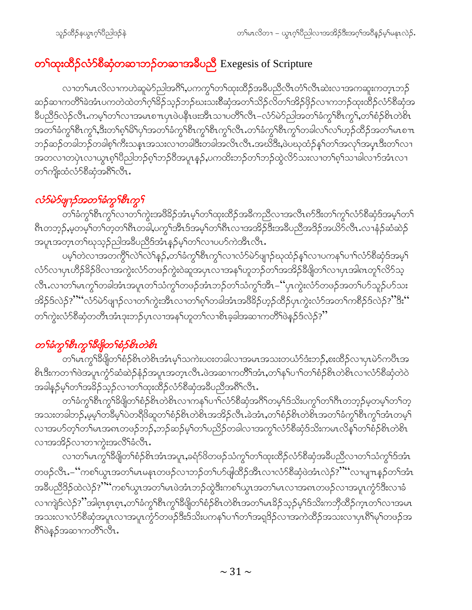# တ**်ာ**ထုးထိ**ဉ်လံာစိဆုံတဆၫဘဉ်တဆ႑အ**ဓိပညိဳ Exegesis of Scripture

လၢတၫ်မၤလိလၢကဟဲဆူမဲာ်ညါအဂိ်ၫ,ပကကွ႑်တ႑်ထုံးထိဉ်အခ်ိပညီလိၤတံၤ်လီၤဆဲးလၢအကဆူးကတ္ၤဘဉ် ဆဉ်ဆၢကတိ်<sup>ရ</sup>ခဲအံၤပကတဲထဲတၫ်ဂ့<sup>႖</sup>ၶိဉ်သ့ဉ်ဘဉ်ဃးသးစိဆုံအတ႑်သိဉ်လိတ႑်အိဉ်ဖိုဉ်လ႑ကဘဉ်ထုးထိဉ်လံာ်စိဆုံအ ခ်ီပညီဒ်လဲဉ်လီၤ.ကမ့်္ဂတ႑်လၫအမၤစ႑ာပုပဲပနိုၤဖဴးအီၤသ႑ပတိ႑်လီၤ–လံာ်မဲာ်ညါအတ႑်ခံကျွှေရီၤကျွှ်တြေစိုးတစ်ိုး အတ်ရံဆွဲကို အားလုံးမှုတွေကို အသင်းမှုတွဲ အသင်းများ အသင်းများ အသင်းများ အသင်းများ အသင်းများ အ ဘဉ်ဆဉ်တခါဘဉ်တခါစ့<sup>၎</sup>ကီးသနၤအသးလၢတခါဒိီးတခါအလိၤလီၤ.အဃိဒိီး,ဖဲပဃုထံဉ်န<်ါတ်၊အလုၤ်အပ္ပ္မာဒီးတၤ်လ႑ အတလၢတပှဲၤလၢယ္ပၤစ့်၊ပိညါဘဉ်စ့်၊ဘဉ်၀ိအပူၤန္ဉာ,ပကထိးဘဉ်တၫ်ဘဉ်ထွဲလိ5်သးလၢတၫ်စ့်၊သၢခါလၫာ်အံၤလၢ တ႑်ကျိုးထံလံာ်စီဆုံအရိ<sup>ု</sup>လီၤ.

### လံ>်မဲ>်ဖျၫဉ်အတ႑်ခံကွ႑်စီၤကွ႑်

.<br>တၫ်ခံကွ<sup>ရ</sup>စီၤကွ<sup>ရ်</sup>လၢတ<sup>ရ</sup>ကွဲးအ<sup>88</sup>ခ််အံၤမ့<sup>ရ</sup>တ႑်ထုံးထိဉ်အခ်ီကညီလၢအလီၤ၈ာ်ဒီးတ႑်ကွ<sup>ရ</sup>လံာ်စီဆုံဒ်အမ့<sup>ရ</sup>တ႑် ရိႆၤတဘုဉ်ႇမ့တမ့<sup>်</sup>၊တၫ်တ့တၫိ၈ီၤတခါႇပက္ဂၢဒါာဒ်အမ့ၢ်တၫိ၈ီၤလၢအအိဉ်ဒီးအခ်ီပညီအဒိဉ်အယိ5်လီၤႉလၢနံဉ်ဆံဆဲဉ် အပူးအတူးတၫိဃုသူဉ်ညါအခ်ဳပညီဒ်အံၤန္ဉာမ့်ၫ်တၫလပာတဲအိၤလီး.

ပမ့<sup>၎</sup>တဲလၫအတကွိ<sup>၎</sup>လဲႝလဲႝနၣ်ႇတႝ်ခံကွ<sup>ြ</sup>စီၤကွါလၫလံာ်မဲာ်ဖျာဉ်ဃုထံဉ်နှါလ႑ပကန<sup>ှ</sup>ပ႑ါလံာ်စီဆုံဒ်အမှါ လံာ်လၫပှၤဟိဉ်<sup>8</sup>ဉ်<sup>8</sup>လၫအကွဲးလံာ်တဖဉ်ကွဲးဝဲဆူအပှၤလၢအန<sup>ှ</sup>ုဟုဘဉ်တၫ်အအိဉ်<sup>8ွ</sup>ဖျိတၫ်လၢပှၤအါ၈ၤတုၫလိာ်သ့ လီၤႉလၢတၫ်မၤကွၢ်တခါအံၤအပူၤတၫ်သံကွၢ်တဖဉ်အံၤဘဉ်တၫ်သံကွၢ်အိၤ–''ပှၤကွဲးလံာ်တဖဉ်အတ႑်ပာ်သူဉ်ပာ်သး အိဉ်§လဲဉ်?""လံဉ်မဲဉ်ဖျာဉ်လၢတၫ်ကွဲးအိၤလၢတၫ်စ့ၫ်တခါအံၤအ<sup>88</sup>ဉ်ဟ္ဥတိဉ်ပှၤကွဲးလံဉ်အတ႑်ကစိဉ်§လဲဉ်?"ဒိုး" တၫ်ကွဲးလံာ်စိဆုံတတိၤအံၤဒုးဘဉ်ပှၤလၢအန<sup>ှ</sup>ပဉုတၫ်လၢစိၤခ့ခါအဆၢကတိႝၤဖဲနဉ်ဒ်လဲဉ်?**''** 

## တ<sup>ှ</sup>ခံကွ<sup>ှ</sup>စီးကွ<sup>ှ</sup>ခံဖြတ်စဉ်စီးတဲစီး

တၫိမၤက္ဂၢိနိဖျိတၫ်စံဉ်စိၤတဲစိၤအံၤမ့ၢ်သကဲးပဝးတခါလၢအမၤအသးတယံာ်ဒံးဘဉ်ႇစးထိဉ်လၢပုၤမဲာ်ကပိၤအ <u>စိၤဒီးကတၫ်ဖဲအပူၤကွ</u>ႆာ်ဆံဆဲဉ်နံဉ်အပူၤအတဲ့ၤလီၤ.ဖဲအဆၢကတိႝၤ်အံၤ,တၢ်နှၤ်ပၢၤ်တၢ်စံဉ်စိၤတဲစိၤလၢလံာ်စီဆုံတဲဝဲ အခါနဉ်မှါတါအခိဉ်သှဉ်လၢတါထုးထိဉ်လံာ်စိဆုံအခိပညီအရိ<sup>ရှ</sup>လိၤ

တၫ်ခံကွ<sup>ှ</sup>စိၤကွ<sup>ှ</sup>ဒိဖျိတၫ်စံဉိစိၤတဲစိၤလၢကန<sup>ှ</sup>ပၢၫ်လံာ်စီဆုံအဂိၢိတမ့ၢ်ဒ်သိးပကွှၢ်တၫ်ဂိၤတဘ့ဉ်မ့တမ့ၢ်တၫ်တ့ အသးတခါဘဉ်,မမ့<sup>ရ</sup>တ<sup>္တ</sup>မ့်ရဲပဲတရိ<sup>ဖို့</sup>ဆူတ<sup>ရ</sup>စံဉ်စိၤတဲ<sup>စွဲ</sup>ၤအအိဉ်လီၤ.ခဲအံၤ,တ<sup>ရ</sup>စံဉ်စိၤတဲစိၤအတ<sup>ရှ</sup>ခံကွ<sup>ရရွိ</sup>ၤကွ<sup>ရ</sup>အံၤတမ့်၊ လၢအပာ်တွ<sup>ှ</sup>တ်များအရာတဖဉ်ဘဉ်,ဘဉ်ဆဉ်မ့ှါတှိပညိဉ်တခါလၢအကွှဲလာ်စိဆုံဒ်သိုးကမၤလိန္နှိါတှိစိဉ်စိၤတဲစိၤ လၫအအိဉ်လၫတၫကွဲးအလိ်<sup>ရ</sup>ခံလိၤ<sup>့</sup>

လၢတၫ်မၤကွ<sup>ဴ</sup>၊ဒီဖျိတၫ်စံဉ်စိၤအံၤအပူၤ,ခရံဉ်ဖိတဖဉ်သံကွၢ်တၢ်ထုးထိဉ်လံာ်စီဆုံအခ်ီပညီလၢတၫ်သံကွ<sup>ှ</sup>ဒ်အံၤ တဖဉ်လီၤ.–''ကစၢိယ္ပၤအတၫ်မၤမနၤတဖဉ်လၢဘဉ်တၫ်ပာ်ဖျါထိဉ်အီၤလၢလံာ်စိဆုံဖဲအံၤလဲဉ်?''''လၢပျ႑ာနှဉ်တၫ်အံၤ အခ်ီပညီဒိဉ်ထဲလဲဉ်?""ကစါယွာအတါမာဖဲအံာဘဉ်ထွဲဒီးကစါယွာအတါမာလၢအရာတဖဉ်လၢအပူာကွံာ်ဒီးလၢခံ လၫကျဲဒ်လဲဉ်?''အါစုၤစုၤစုၤ,တ႑်ခံကွ႑်စီၤကွ႑်ခ်ိဖြိတ႑်စံဉ်စိၤတဲစိၤအတ႑်မၤခိဉ်သှဉ်မှြဒ်သိးကဘိုထိဉ်က္ၤတ႑်လ႑အမၤ အသးလၫလံာ်စိဆုံအပူၤလၫအပူၤကၠႆာ်တဖၣ်ဒီးဒ်သိးပကန<sup>ၡ</sup>ပၫ<sup>ှ</sup>တၫ်အရှ<sup>8</sup>ဉ်လၫအကဲထိဉ်အသးလ႑ပုၤ<sup>ရွ</sup>ာ်မှ<sup>ရ</sup>တဖဉ်အ ဂြိမ်နဉ်အဆ႑ကတိ်ိုလိုၤ.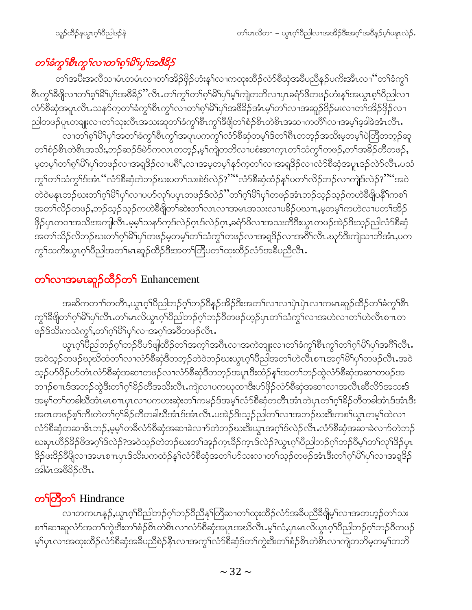## တၫ်ခံကွ႑်စီးကွ႑်လ႑တ႑်စ္န႑်မိ႑်ပု႑်အဇိခို၌

တၫ်အပီးအလိသၢမံၤတမံၤလၢတၫ်အိဉ်ဖှိဉ်ဟံးနှၤ်လၢကထုးထိဉ်လံာ်စီဆုံအခ်ဳပညီနဉ်ပကိးအိၤလၢ'´တၫ်ခံကွ႑် စီၤကွၫ်နီဖျိလၢတၫ်စ့ၫိမိၫပှၫ်အဗီနိဉႛလီၤႉတ႑်ကွ႑်တ႑်စ့႑်မိ႑်ပှ႑်မ့ှၫ်ကျဲတဘိလ႑ပှၤခရံဉ်ဖိတဖဉ်ဟံးန္႑်အယွၤစ့ၫ်ပီညါလ႑ လံာ်စီဆုံအပူၤလီၤႉသနာ်က့တၫ်ခံကွၫ်စီၤကွၫ်လၢတၫ်စ့ၫ်မိ႑်ပှၫ်အဖီခိဉ်အံၤမ့ၫ်တ႑်လၢအဆူဉ်ဒိဉ်မးလၢတ႑်အိဉ်ဖှိဉ်လၢ ညါတဖဉ်ပူၤတချူးလၢတၫ်သုးလီၤအသးဆူတ႑်ခံကွ႑်စီၤကွ႑်ခ်ီဖျိတ႑်စံဉ်စိၤတဲစိၤအဆ႑ကတိႝၤ်လ႑အမ့႑်ခ့ခါခဲအာၤလီၤ. လၢတၫ်စ့ၫိမိၫၒှၫအတၫ်ခံကွၫ်စီၤကွၫ်အပူၤပကကွၫ်လံာ်စီဆုံတမ့ၫ်ဒ်တၫ်ရီၤတဘ္ဉာ်အသိးမ့တမ့ၫ်ပဲတြိတဘ္ဉာ်ဆူ တၫ်စံဉ်စိၤတဲစိၤအသိး,ဘဉ်ဆဉ်ဒ်မဲ၁်ကလၤတဘ့ဉ်,မ့ၢ်ကျဲတဘိလၢပစံးဆၢက္ၤတၫ်သံကွၢ်တဖဉ်,တၫ်အခိဉ်တိတဖဉ်, မ့တမ့်ၫတၫ်စ့ၫ်မိ႑်ပှၫတဖဉ်လၫအရှဒိဉ်လၢပ၈ိႝ,လၫအမ့တမ့ၢိနဉ်ကဲ့တ႑်လၢအရှဒိဉ်လၢလံာ်စီဆှံအပူၤဒဉ်လဲာ်လီၤ.ပသံ ကွ<sup>၎</sup>တ႑်သံကွ<sup>၎ဌ</sup>အံၤ '်လံာ်စီဆုံတဲဘဉ်ဃးပတ႑်သးစဲဒ်လဲဉ်?'''´လံာ်စီဆုံထံဉ်နှၤ်ပတ႑်လိဉ်ဘဉ်လ႑ကျဲဒ်လဲဉ်?'''´အဝဲ တဲဝဲမနုၤဘဉ်ဃးတ႑်ဂ္ဂါမိ႑်ပု႑်လ႑ပပ္ဝလှ႑်ပပ္႑တဖဉ်ဒ်လဲဉ်ိႆတ႑်ဂ္ဂါမိ႑်ပု႑်တဖဉ်အံၤဘဉ်သူဉ်သူဉ်ကဟဲခ်ီဖျိပန္ဂ်ီြကစ႑် အတ႑်လိဉ်တဖဉ်,ဘဉ်သ့ဉ်သ့ဉ်ကဟဲဒီဖျိတ႑်ဆဲးတ႑်လၤလၢအမၤအသးလၢပဒိဉ်ပဃၤာ,မ့တမ့႑်ကဟဲလၢပတ႑်အိဉ် ဖြိ5်ပှၤတဝၢအသိးအကျါလီၤ.မ့မ့<sup>၎</sup>သန5်က့ဒ်လဲဉ်ဂ္ၤဒ်လဲဉ်ဂ္**၊,**ခရံာ်ဖိလၢအသးတိ<sup>8</sup>ဒီးယွၤတဖဉ်အဲဉ်ဒိးသ့ဉ်ညါလံာ်စိဆုံ အတ<sup>ှ</sup>သိဉ်လိဘဉ်ဃးတ<sup>ှ</sup>ဂှါမိ<sup>ုပှ</sup>ါတဖဉ်မှတမှ<sup>ြ</sup>တဉ်သံကွှ<sup></sup>ါတဖဉ်လၢအရှဒိဉ်လၢအ<sup>8ှ</sup>၊လီၤႉဃုာ်ဒီးကျဲသၢဘိအံၤ,ပက ကွၫ်သကိႏယ္လၤဂ့ၫ်ပီညါအတ႑်မၤဆူဉ်ထိဉ်ဒီးအတ႑်တြီပတ႑်ထုးထိဉ်လံာ်အခ်ီပညီလီၤ.

## တ**်**လၫအမၤဆူဉ်ထိဉ်တ**်** Enhancement

အဆိကတၫ်ာတတိၤႇယ္ပၤဂ့်၊ပိညါဘဉ်ဂ့်ၢဘဉ်၀ိန္ဉာ်အိဉ်ဒီးအတၤ်လၢလၢပှဲၤပှဲၤလၢကမၤဆူဉ်ထိဉ်တၤ်ခံကွၤ်စီၤ ကွ<sup>ှ</sup>န္ဒိဖျိတ<sup>ှ</sup>ဂ့်<sup>ရွှ</sup>ြိုပါတီး တ<sup>ှ</sup>မာလိယ္မာဂ့်္ဂါပိညါဘဉ်ဂ့်္ဂါဘဉ်ဝိတဖဉ်ဟုဉ်ပှာတဉ်သံကွှ<sup>င်္ဂ</sup>လၢအဟဲလၢတ်၊ဟဲလီးစπတ ဖဉ်§သိးကသံကွ¶ႇတ¶ဂူ႞မိျပု႑ိလၢအဂ္ဍ႞အ၀ီတဖဉ်လီၤႉ

ယွၤဂ့ၢ်ပိညါဘဉ်ဂ့ၢ်ဘဉ်ဝိဟ်ဖျ်ထိဉ်တၫ်အကဲ့ၤ်အဂ်ီၤလၢအကဲဘျုးလၢတၤ်ခံကွၤ်စီၤကွၤ်တၤ်ဂ့ၤ်မိၤ်ပှၤ်အဂ်ီၤလီၤ အဝဲသ့ဉ်တဖဉ်ဃုဃိထံတ<sup>၎</sup>လၫလံာ်စီဆိုဒီတဘ့ဉ်တဲဝဲဘဉ်ဃးယွπဂ့ၢ်ပီည<sup>ြ</sup>အတ<sup>၎</sup>ဟဲလိၤစ႑ာအဂ္ဂါမိ<sup>၎</sup>ပုၫ်တဖဉ်လီၤႉအဝဲ သ့ဉ်ပာ်ဖိုဉ်ပာ်တံၤလံာ်စိဆုံအဆၢတဖဉ်လၢလံာ်စိဆုံဒိတဘ့ဉ်အပူၤဒီးထံဉ်နှၤ်အတၤ်ဘဉ်ထွဲလံာ်စိဆုံအဆၢတဖဉ်အ ဘၫှဉ်စπဒ်အဘှဉ်ထွဲဒီးတၫ်ဂ့ၢ်ိန်ဉ်တီအသိးလီၤ.ကျဲလၢပကဃုထၢဒီးပာ်ဖှိဉ်လံာ်စိဆုံအဆၢလၢအလီၤဆီလိာ်အသးဒ် အမ့်ၫတ႑်တခါဃိအံၤမၤစ႑ာပုၤလ႑ပကဟးဆဲုးတ႑်ကမဉ်ဒ်အမ့်ၫလံာ်စိဆုံတတိၤအံၤတဲပှၤတ႑်ဂ့ၫ်ခိဉ်တိတခါအံၤဒ်အံၤဒိး အဂၤတဖဉ်စ့<sup>၎</sup>ကီးတဲတ<sup>၎</sup>ဂ္ဂ<sup>၎႙ွ</sup>ဉ်တိတခါဃိအံၤဒ်အံၤလိၤ.ပအဲဉ်ဒိးသ့ဉ်ညါတ႑်လၢအဘဉ်ဃးဒိးကစ႑်ယွၤတမ့ၤ်ထဲလၢ လံာ်စီဆုံတဆၢဇိၤဘဉ်,မ့မ့််ကခီလံာ်စီဆုံအဆၢခဲလၢာ်တဲဘဉ်ဃးဒီးယွၤအဂ္ဂါဒ်လဲဉ်လီၤ.လံာ်စီဆုံအဆၢခဲလၢာ်တဲဘဉ် ဃးပှၤဟိဉ်<sup>႙ွ</sup>ဉ်ဖိအဂ္ဂ<sup>၎ဌ</sup>လဲဉ်?အဝဲသ့ဉ်တဲဘဉ်ဃးတ<sup>၎</sup>အုဉ်က္ၤနိဉ်က္ၤဒ်လဲဉ်?ယွၤဂ့<sup>၎</sup>ပိညါဘဉ်ဂ့ါဘဉ်စိမ့<sup>၎</sup>တ<sup>၎</sup>လု<sup>၎ဌ</sup>ဉ်ပှၤ ဒိဉ်ဖးဒိဉ်နိဖိုုလၫအမၤစ႑ာပုၤဒ်သိႏပကထံဉ်နှၤ်လံာစိဆုံအတၤ်ဟ်သးလၢတၤ်သ့ဉ်တဖဉ်အံၤဒီးတၤ်ဂ့ၤ်မိၤ်ပုၤ်လၢအရှဒိဉ် အါမံၤအဗီ8ိဉ်လီၤ.

### တ<sup>ှ</sup>ကြီတှ Hindrance

လၢတကပၤန္ဉာ်,ယွၤဂ့ါပီညါဘဉ်ဂ့ါဘဉ်၀ီညီနုါတြီဆၢတၢ်ထုးထိဉ်လံာ်အခ်ီပညီခ်ီဖျိမ့ါလၢအတဟ့ဉ်တၢ်သး စၫ<sup>ု</sup>ဆၫဆူလံာ်အတ<sup>ှ</sup>ကွဲးဒီးတၫ်စံဉစိၤတဲစိၤလၢလံာ်စီဆုံအပူၤအဃိလီၤ.မ့<sup>၎</sup>လံႇပုၤမၤလိယ္ဂၤဂ့<sup>၎</sup>ပိညါဘဉ်ဂ့ၫ်ဘဉ်၀ိတဖဉ် မ့်ပုၤလၢအထုးထိဉ်လံာ်စိဆုံအခ်ိပညီစဲဉ်နိၤလၢအကွ်၊လံာ်စိဆုံဒ်တၢ်ကွဲးဒီးတၢ်စံဉ်စိၤတဲစိၤလၢကျဲတဘိမ့တမ့ၢ်တဘိ